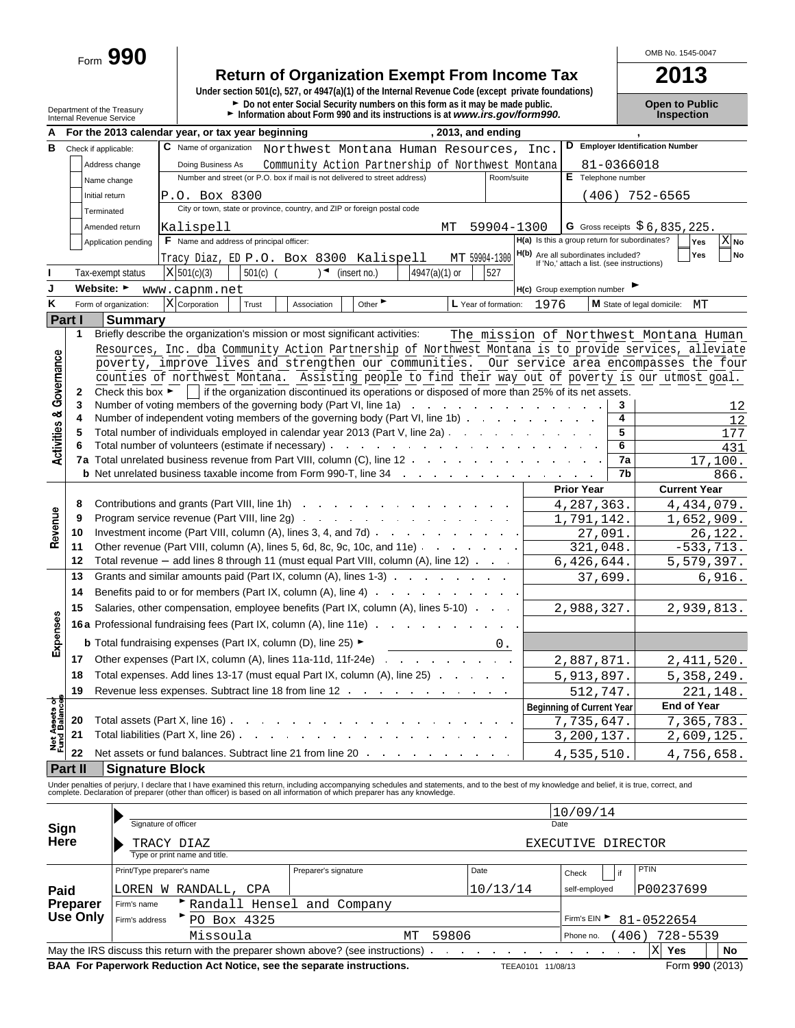Form **990**

# **Return of Organization Exempt From Income Tax**<br>
Under section 501(c), 527, or 4947(a)(1) of the Internal Revenue Code (except private foundations)

Department of the Treasury **Depention Public**<br>Department of the Treasury **Depention Public**<br>Internal Revenue Service **Depention internal of the Conduct Propertion** 

OMB No. 1545-0047

|  | pen to Public     |  |
|--|-------------------|--|
|  | <b>Inspection</b> |  |

|                              |                 |                        | , 2013, and ending<br>For the 2013 calendar year, or tax year beginning                                                                                                                                                                  |            |                                                                                   |            |                                        |                 |
|------------------------------|-----------------|------------------------|------------------------------------------------------------------------------------------------------------------------------------------------------------------------------------------------------------------------------------------|------------|-----------------------------------------------------------------------------------|------------|----------------------------------------|-----------------|
| в                            |                 | Check if applicable:   | C Name of organization<br>Northwest Montana Human Resources, Inc.                                                                                                                                                                        |            |                                                                                   |            | D Employer Identification Number       |                 |
|                              |                 | Address change         | Doing Business As                                                                                                                                                                                                                        |            |                                                                                   | 81-0366018 |                                        |                 |
|                              |                 |                        | Community Action Partnership of Northwest Montana<br>Number and street (or P.O. box if mail is not delivered to street address)                                                                                                          | Room/suite | E Telephone number                                                                |            |                                        |                 |
|                              |                 | Name change            |                                                                                                                                                                                                                                          |            |                                                                                   |            |                                        |                 |
|                              |                 | Initial return         | P.O. Box 8300                                                                                                                                                                                                                            |            | (406)                                                                             |            | 752-6565                               |                 |
|                              |                 | Terminated             | City or town, state or province, country, and ZIP or foreign postal code                                                                                                                                                                 |            |                                                                                   |            |                                        |                 |
|                              |                 | Amended return         | Kalispell<br>МT                                                                                                                                                                                                                          | 59904-1300 |                                                                                   |            | G Gross receipts $$6,835,225$ .        |                 |
|                              |                 | Application pending    | F Name and address of principal officer:                                                                                                                                                                                                 |            | H(a) Is this a group return for subordinates?                                     |            | Yes                                    | X <sub>No</sub> |
|                              |                 |                        | MT 59904-1300<br>Tracy Diaz, ED P.O. Box 8300 Kalispell                                                                                                                                                                                  |            | H(b) Are all subordinates included?<br>If 'No,' attach a list. (see instructions) |            | Yes                                    | No              |
|                              |                 | Tax-exempt status      | $501(c)$ (<br>$\rightarrow$<br>4947(a)(1) or<br>$X$ 501(c)(3)<br>(insert no.)                                                                                                                                                            | 527        |                                                                                   |            |                                        |                 |
| J                            |                 | Website: ►             | www.capnm.net                                                                                                                                                                                                                            |            | H(c) Group exemption number                                                       |            |                                        |                 |
| Κ                            |                 | Form of organization:  | X Corporation<br>Other<br>L Year of formation:<br>Trust<br>Association                                                                                                                                                                   | 1976       |                                                                                   |            | M State of legal domicile:<br>МT       |                 |
| <b>Part I</b>                |                 | <b>Summary</b>         |                                                                                                                                                                                                                                          |            |                                                                                   |            |                                        |                 |
|                              | 1               |                        | Briefly describe the organization's mission or most significant activities:                                                                                                                                                              |            |                                                                                   |            | The mission of Northwest Montana Human |                 |
|                              |                 |                        | Resources, Inc. dba Community Action Partnership of Northwest Montana is to provide services, alleviate                                                                                                                                  |            |                                                                                   |            |                                        |                 |
| Governance                   |                 |                        | poverty, improve lives and strengthen our communities. Our service area encompasses the four                                                                                                                                             |            |                                                                                   |            |                                        |                 |
|                              |                 |                        | counties of northwest Montana. Assisting people to find their way out of poverty is our utmost goal.                                                                                                                                     |            |                                                                                   |            |                                        |                 |
|                              | 2               |                        | Check this box $\blacktriangleright$   if the organization discontinued its operations or disposed of more than 25% of its net assets.                                                                                                   |            |                                                                                   |            |                                        |                 |
|                              | 3               |                        | Number of voting members of the governing body (Part VI, line 1a)<br>the contract of the contract of the contract of                                                                                                                     |            |                                                                                   | 3          |                                        | 12              |
|                              | 4               |                        | Number of independent voting members of the governing body (Part VI, line 1b)                                                                                                                                                            |            |                                                                                   | 4          |                                        | 12              |
|                              | 5               |                        | Total number of individuals employed in calendar year 2013 (Part V, line 2a)                                                                                                                                                             |            |                                                                                   | 5          |                                        | 177             |
| <b>Activities &amp;</b>      |                 |                        | Total number of volunteers (estimate if necessary) enter the case of the control of the control of the control of the control of the control of the control of the control of the control of the control of the control of the           |            |                                                                                   | 6          |                                        | 431             |
|                              |                 |                        | <b>7a</b> Total unrelated business revenue from Part VIII, column (C), line 12                                                                                                                                                           |            |                                                                                   | 7a         |                                        | 17,100.         |
|                              |                 |                        | <b>b</b> Net unrelated business taxable income from Form 990-T, line 34 and the state of the state of the state of the Network of Network and Section 4.1 and Section 4.1 and Section 4.1 and Section 4.1 and Section 4.1 and Secti      |            |                                                                                   | 7b         |                                        | 866.            |
|                              |                 |                        |                                                                                                                                                                                                                                          |            | <b>Prior Year</b>                                                                 |            | <b>Current Year</b>                    |                 |
|                              | 8               |                        | Contributions and grants (Part VIII, line 1h) example and the state of the state of the contributions and grants (Part VIII, line 1h)                                                                                                    |            | 4, 287, 363.                                                                      |            | 4,434,079.                             |                 |
| Revenue                      | 9               |                        |                                                                                                                                                                                                                                          |            | 1,791,142.                                                                        |            | 1,652,909.                             |                 |
|                              | 10              |                        |                                                                                                                                                                                                                                          |            | 27,091.                                                                           |            |                                        | 26,122.         |
|                              | 11              |                        | Other revenue (Part VIII, column (A), lines 5, 6d, 8c, 9c, 10c, and 11e)                                                                                                                                                                 |            | 321,048.                                                                          |            | $-533,713.$                            |                 |
|                              | 12              |                        | Total revenue - add lines 8 through 11 (must equal Part VIII, column (A), line 12)                                                                                                                                                       |            | 6,426,644.                                                                        |            | 5,579,397.                             |                 |
|                              | 13              |                        | Grants and similar amounts paid (Part IX, column (A), lines 1-3)                                                                                                                                                                         |            | 37,699.                                                                           |            |                                        | 6,916.          |
|                              | 14              |                        | Benefits paid to or for members (Part IX, column (A), line 4)                                                                                                                                                                            |            |                                                                                   |            |                                        |                 |
|                              | 15              |                        | Salaries, other compensation, employee benefits (Part IX, column (A), lines 5-10)                                                                                                                                                        |            | 2,988,327.                                                                        |            | 2,939,813.                             |                 |
|                              |                 |                        | <b>16a</b> Professional fundraising fees (Part IX, column (A), line 11e) <b>19.1.</b> The state of the state of the Professional funds of the Professional funds of the Professional funds of the Professional funds of the Professional |            |                                                                                   |            |                                        |                 |
| Expenses                     |                 |                        | <b>b</b> Total fundraising expenses (Part IX, column (D), line 25) ►                                                                                                                                                                     |            |                                                                                   |            |                                        |                 |
|                              | 17              |                        |                                                                                                                                                                                                                                          |            | 2,887,871.                                                                        |            | 2,411,520.                             |                 |
|                              | 18              |                        | Total expenses. Add lines 13-17 (must equal Part IX, column (A), line 25)                                                                                                                                                                |            |                                                                                   |            | 5,358,249.                             |                 |
|                              | 19              |                        | Revenue less expenses. Subtract line 18 from line 12 manus and contact the set of the Revenue less expenses.                                                                                                                             |            | 5,913,897.                                                                        |            |                                        |                 |
| ಕೆ                           |                 |                        |                                                                                                                                                                                                                                          |            | 512,747.                                                                          |            |                                        | 221,148.        |
|                              |                 |                        | Total assets (Part X, line 16)                                                                                                                                                                                                           |            | <b>Beginning of Current Year</b>                                                  |            | <b>End of Year</b>                     |                 |
|                              | 20              |                        | Total liabilities (Part X, line 26).                                                                                                                                                                                                     |            | 7,735,647.                                                                        |            | 7,365,783.                             |                 |
| Net Assets o<br>Fund Balance | 21              |                        |                                                                                                                                                                                                                                          |            | 3,200,137.                                                                        |            | 2,609,125.                             |                 |
|                              | 22              |                        | Net assets or fund balances. Subtract line 21 from line 20                                                                                                                                                                               |            | 4,535,510                                                                         |            | 4,756,658.                             |                 |
|                              | <b>Part II</b>  | <b>Signature Block</b> |                                                                                                                                                                                                                                          |            |                                                                                   |            |                                        |                 |
|                              |                 |                        | Under penalties of perjury, I declare that I have examined this return, including accompanying schedules and statements, and to the best of my knowledge and belief, it is true, correct, and<br>complete. Declaration of prepare        |            |                                                                                   |            |                                        |                 |
|                              |                 |                        |                                                                                                                                                                                                                                          |            |                                                                                   |            |                                        |                 |
|                              |                 |                        | Signature of officer                                                                                                                                                                                                                     |            | 10/09/14<br>Date                                                                  |            |                                        |                 |
| Sign                         |                 |                        |                                                                                                                                                                                                                                          |            |                                                                                   |            |                                        |                 |
| Here                         |                 |                        | TRACY DIAZ<br>Type or print name and title.                                                                                                                                                                                              |            | EXECUTIVE DIRECTOR                                                                |            |                                        |                 |
|                              |                 |                        |                                                                                                                                                                                                                                          |            |                                                                                   |            | <b>PTIN</b>                            |                 |
|                              |                 |                        | Print/Type preparer's name<br>Preparer's signature<br>Date                                                                                                                                                                               |            | Check                                                                             | if         |                                        |                 |
| Paid                         |                 |                        | LOREN W RANDALL,<br>CPA                                                                                                                                                                                                                  | 10/13/14   | self-employed                                                                     |            | P00237699                              |                 |
|                              | <b>Preparer</b> | Firm's name            | Randall Hensel and Company                                                                                                                                                                                                               |            |                                                                                   |            |                                        |                 |
|                              | <b>Use Only</b> | Firm's address         | PO Box 4325                                                                                                                                                                                                                              |            | Firm's EIN ▶                                                                      |            | 81-0522654                             |                 |
|                              |                 |                        | 59806<br>Missoula<br>MΤ                                                                                                                                                                                                                  |            | Phone no.                                                                         | 406)       | 728-5539                               |                 |
|                              |                 |                        | May the IRS discuss this return with the preparer shown above? (see instructions)<br>$\sim 10^{-10}$ km $^{-1}$<br>$\sim$                                                                                                                |            |                                                                                   |            | $\mathbf X$<br>Yes                     | No              |

**BAA For Paperwork Reduction Act Notice, see the separate instructions.** TEEA0101 11/08/13 Form 990 (2013)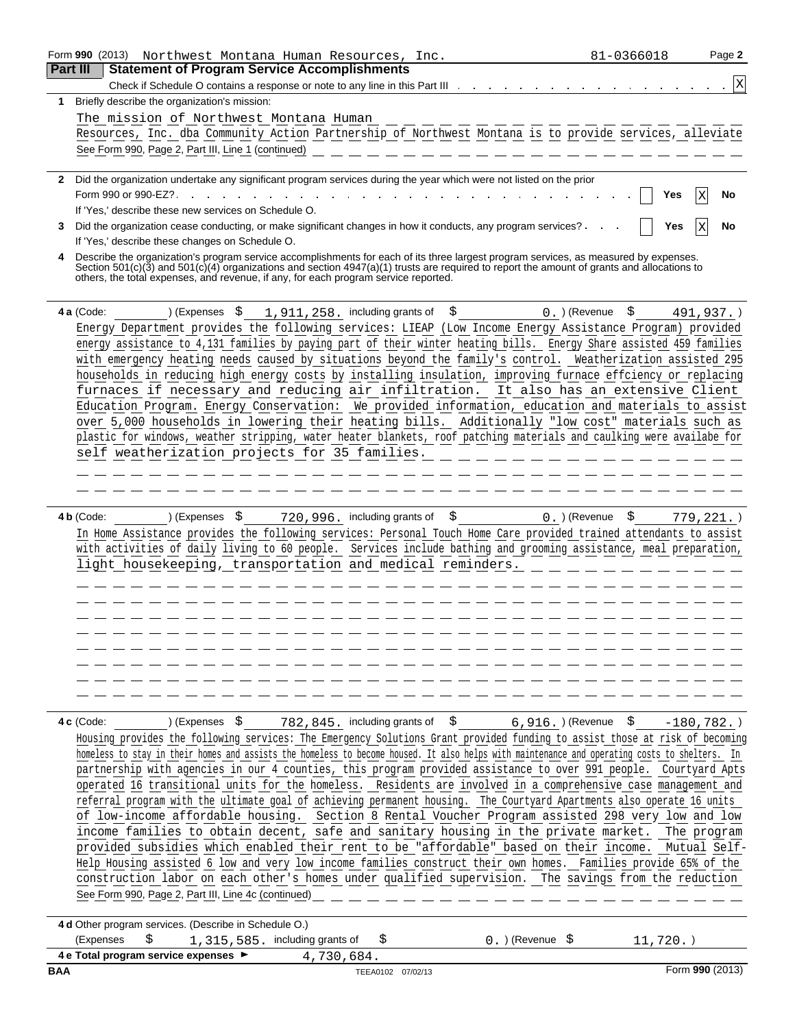|                 |            | Form 990 (2013)<br>Northwest Montana Human Resources, Inc.                                                                                                                                                                                                                                                                                                                | 81-0366018             | Page 2        |
|-----------------|------------|---------------------------------------------------------------------------------------------------------------------------------------------------------------------------------------------------------------------------------------------------------------------------------------------------------------------------------------------------------------------------|------------------------|---------------|
| <b>Part III</b> |            | <b>Statement of Program Service Accomplishments</b>                                                                                                                                                                                                                                                                                                                       |                        |               |
|                 |            | Check if Schedule O contains a response or note to any line in this Part III                                                                                                                                                                                                                                                                                              |                        | Χ             |
| 1.              |            | Briefly describe the organization's mission:                                                                                                                                                                                                                                                                                                                              |                        |               |
|                 |            | The mission of Northwest Montana Human                                                                                                                                                                                                                                                                                                                                    |                        |               |
|                 |            | Resources, Inc. dba Community Action Partnership of Northwest Montana is to provide services, alleviate                                                                                                                                                                                                                                                                   |                        |               |
|                 |            | See Form 990, Page 2, Part III, Line 1 (continued)                                                                                                                                                                                                                                                                                                                        |                        |               |
|                 |            | 2 Did the organization undertake any significant program services during the year which were not listed on the prior                                                                                                                                                                                                                                                      |                        |               |
|                 |            | Form 990 or 990-EZ?.                                                                                                                                                                                                                                                                                                                                                      | Yes                    | No            |
|                 |            | If 'Yes,' describe these new services on Schedule O.                                                                                                                                                                                                                                                                                                                      |                        |               |
| 3               |            | Did the organization cease conducting, or make significant changes in how it conducts, any program services?.                                                                                                                                                                                                                                                             | Yes                    | No            |
|                 |            | If 'Yes,' describe these changes on Schedule O.                                                                                                                                                                                                                                                                                                                           |                        |               |
|                 |            | Describe the organization's program service accomplishments for each of its three largest program services, as measured by expenses.<br>Section 501(c)(3) and 501(c)(4) organizations and section 4947(a)(1) trusts are required to report the amount of grants and allocations to<br>others, the total expenses, and revenue, if any, for each program service reported. |                        |               |
|                 | 4 a (Code: | ) (Expenses<br>- \$<br>$1,911,258.$ including grants of<br>\$                                                                                                                                                                                                                                                                                                             | $0.$ ) (Revenue<br>\$. | $491,937.$ )  |
|                 |            | Energy Department provides the following services: LIEAP (Low Income Energy Assistance Program) provided                                                                                                                                                                                                                                                                  |                        |               |
|                 |            | energy assistance to 4,131 families by paying part of their winter heating bills. Energy Share assisted 459 families                                                                                                                                                                                                                                                      |                        |               |
|                 |            | with emergency heating needs caused by situations beyond the family's control. Weatherization assisted 295                                                                                                                                                                                                                                                                |                        |               |
|                 |            | households in reducing high energy costs by installing insulation, improving furnace effciency or replacing                                                                                                                                                                                                                                                               |                        |               |
|                 |            | furnaces if necessary and reducing air infiltration. It also has an extensive Client                                                                                                                                                                                                                                                                                      |                        |               |
|                 |            | Education Program. Energy Conservation: We provided information, education and materials to assist                                                                                                                                                                                                                                                                        |                        |               |
|                 |            | over 5,000 households in lowering their heating bills. Additionally "low cost" materials such as                                                                                                                                                                                                                                                                          |                        |               |
|                 |            | plastic for windows, weather stripping, water heater blankets, roof patching materials and caulking were availabe for                                                                                                                                                                                                                                                     |                        |               |
|                 |            | self weatherization projects for 35 families.                                                                                                                                                                                                                                                                                                                             |                        |               |
|                 |            |                                                                                                                                                                                                                                                                                                                                                                           |                        |               |
|                 |            |                                                                                                                                                                                                                                                                                                                                                                           |                        |               |
|                 | 4 b (Code: | \$<br>720, 996. including grants of<br>) (Expenses<br>- \$                                                                                                                                                                                                                                                                                                                | \$<br>$0.$ ) (Revenue  |               |
|                 |            | In Home Assistance provides the following services: Personal Touch Home Care provided trained attendants to assist                                                                                                                                                                                                                                                        |                        | $779, 221.$ ) |
|                 |            | with activities of daily living to 60 people. Services include bathing and grooming assistance, meal preparation,                                                                                                                                                                                                                                                         |                        |               |
|                 |            | light housekeeping, transportation and medical reminders.                                                                                                                                                                                                                                                                                                                 |                        |               |
|                 |            |                                                                                                                                                                                                                                                                                                                                                                           |                        |               |
|                 |            |                                                                                                                                                                                                                                                                                                                                                                           |                        |               |
|                 |            |                                                                                                                                                                                                                                                                                                                                                                           |                        |               |
|                 |            |                                                                                                                                                                                                                                                                                                                                                                           |                        |               |
|                 |            |                                                                                                                                                                                                                                                                                                                                                                           |                        |               |
|                 |            |                                                                                                                                                                                                                                                                                                                                                                           |                        |               |
|                 |            |                                                                                                                                                                                                                                                                                                                                                                           |                        |               |
|                 |            |                                                                                                                                                                                                                                                                                                                                                                           |                        |               |
|                 |            |                                                                                                                                                                                                                                                                                                                                                                           |                        |               |
|                 | 4 c (Code: | ) (Expenses \$<br>782,845. including grants of \$                                                                                                                                                                                                                                                                                                                         | 6,916.)(Revenue \$     | $-180,782.$ ) |
|                 |            | Housing provides the following services: The Emergency Solutions Grant provided funding to assist those at risk of becoming                                                                                                                                                                                                                                               |                        |               |
|                 |            | homeless to stay in their homes and assists the homeless to become housed. It also helps with maintenance and operating costs to shelters. In                                                                                                                                                                                                                             |                        |               |
|                 |            | partnership with agencies in our 4 counties, this program provided assistance to over 991 people. Courtyard Apts                                                                                                                                                                                                                                                          |                        |               |
|                 |            | operated 16 transitional units for the homeless. Residents are involved in a comprehensive case management and                                                                                                                                                                                                                                                            |                        |               |
|                 |            | referral program with the ultimate goal of achieving permanent housing. The Courtyard Apartments also operate 16 units                                                                                                                                                                                                                                                    |                        |               |
|                 |            | of low-income affordable housing. Section 8 Rental Voucher Program assisted 298 very low and low                                                                                                                                                                                                                                                                          |                        |               |
|                 |            | income families to obtain decent, safe and sanitary housing in the private market. The program<br>provided subsidies which enabled their rent to be "affordable" based on their income. Mutual Self-                                                                                                                                                                      |                        |               |
|                 |            | Help Housing assisted 6 low and very low income families construct their own homes. Families provide 65% of the                                                                                                                                                                                                                                                           |                        |               |
|                 |            | construction labor on each other's homes under qualified supervision. The savings from the reduction                                                                                                                                                                                                                                                                      |                        |               |
|                 |            | See Form 990, Page 2, Part III, Line 4c (continued)                                                                                                                                                                                                                                                                                                                       |                        |               |
|                 |            |                                                                                                                                                                                                                                                                                                                                                                           |                        |               |
|                 |            | 4 d Other program services. (Describe in Schedule O.)                                                                                                                                                                                                                                                                                                                     |                        |               |
|                 |            | \$<br>(Expenses<br>1, 315, 585. including grants of<br>$0.$ ) (Revenue $$$<br>\$                                                                                                                                                                                                                                                                                          | $11,720.$ )            |               |
|                 |            | 4 e Total program service expenses > 4,730,684.                                                                                                                                                                                                                                                                                                                           |                        |               |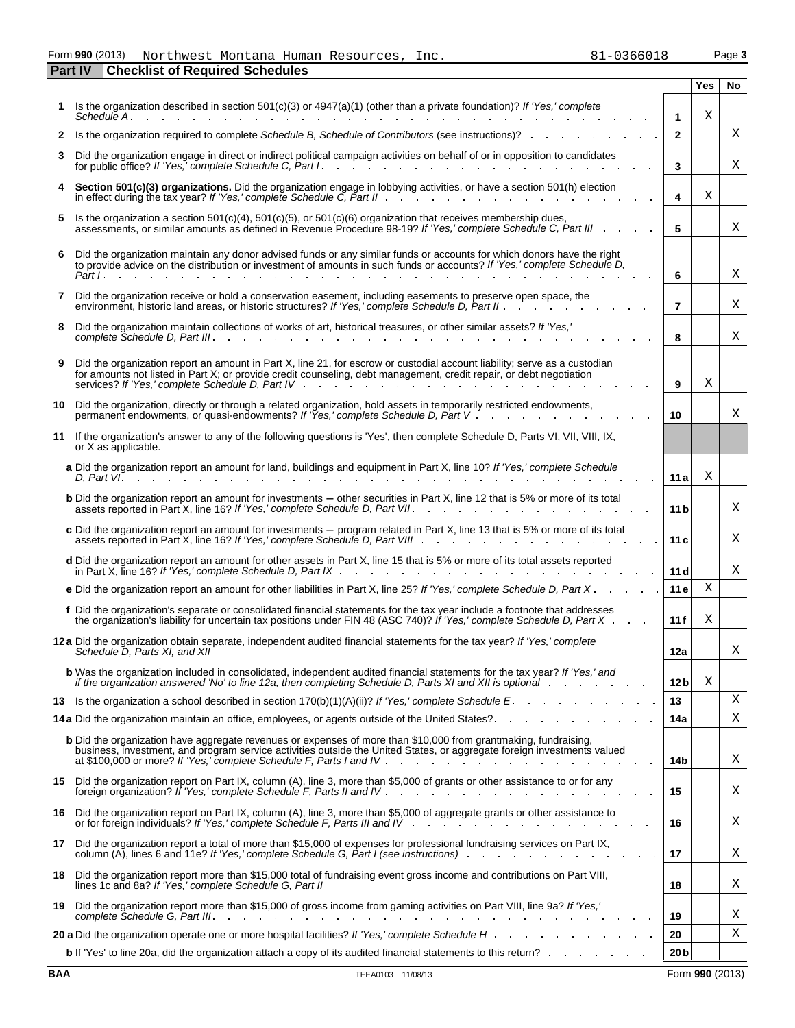Form 990 (2013) Northwest Montana Human Resources, Inc. 81-0366018 Page 3 **Part IV Checklist of Required Schedules**

|     |                                                                                                                                                                                                                                                                                                        |                 | Yes | <b>No</b> |
|-----|--------------------------------------------------------------------------------------------------------------------------------------------------------------------------------------------------------------------------------------------------------------------------------------------------------|-----------------|-----|-----------|
|     | Is the organization described in section $501(c)(3)$ or $4947(a)(1)$ (other than a private foundation)? If 'Yes,' complete<br>Schedule A.                                                                                                                                                              | 1               | Χ   |           |
| 2   | Is the organization required to complete Schedule B, Schedule of Contributors (see instructions)?                                                                                                                                                                                                      | $\mathbf{2}$    |     | X         |
| 3   | Did the organization engage in direct or indirect political campaign activities on behalf of or in opposition to candidates<br>for public office? If 'Yes,' complete Schedule C, Part I.                                                                                                               | 3               |     | Χ         |
| 4   | Section 501(c)(3) organizations. Did the organization engage in lobbying activities, or have a section 501(h) election<br>in effect during the tax year? If 'Yes,' complete Schedule C, Part II .                                                                                                      | 4               | Χ   |           |
| 5.  | Is the organization a section $501(c)(4)$ , $501(c)(5)$ , or $501(c)(6)$ organization that receives membership dues,<br>assessments, or similar amounts as defined in Revenue Procedure 98-19? If 'Yes,' complete Schedule C, Part III                                                                 | 5               |     | х         |
| 6   | Did the organization maintain any donor advised funds or any similar funds or accounts for which donors have the right<br>to provide advice on the distribution or investment of amounts in such funds or accounts? If 'Yes,' complete Schedule D,<br>Part I.                                          | 6               |     | Χ         |
| 7   | Did the organization receive or hold a conservation easement, including easements to preserve open space, the<br>environment, historic land areas, or historic structures? If 'Yes,' complete Schedule D, Part II.                                                                                     | 7               |     | Χ         |
| 8   | Did the organization maintain collections of works of art, historical treasures, or other similar assets? If 'Yes,'                                                                                                                                                                                    | 8               |     | Χ         |
| 9   | Did the organization report an amount in Part X, line 21, for escrow or custodial account liability; serve as a custodian<br>for amounts not listed in Part X; or provide credit counseling, debt management, credit repair, or debt negotiation<br>services? If 'Yes,' complete Schedule D, Part IV . | 9               | Χ   |           |
| 10. | Did the organization, directly or through a related organization, hold assets in temporarily restricted endowments,<br>permanent endowments, or quasi-endowments? If 'Yes,' complete Schedule D, Part V.                                                                                               | 10              |     | Χ         |
| 11  | If the organization's answer to any of the following questions is 'Yes', then complete Schedule D, Parts VI, VII, VIII, IX,<br>or X as applicable.                                                                                                                                                     |                 |     |           |
|     | a Did the organization report an amount for land, buildings and equipment in Part X, line 10? If 'Yes,' complete Schedule<br>D. Part VI.                                                                                                                                                               | 11 a            | Χ   |           |
|     | <b>b</b> Did the organization report an amount for investments – other securities in Part X, line 12 that is 5% or more of its total<br>assets reported in Part X, line 16? If 'Yes,' complete Schedule D, Part VII.                                                                                   | 11 b            |     | Χ         |
|     | c Did the organization report an amount for investments – program related in Part X, line 13 that is 5% or more of its total<br>assets reported in Part X, line 16? If 'Yes,' complete Schedule D, Part VIII.                                                                                          | 11 c            |     | Χ         |
|     | <b>d</b> Did the organization report an amount for other assets in Part X, line 15 that is 5% or more of its total assets reported<br>in Part X, line 16? If 'Yes,' complete Schedule D, Part IX                                                                                                       | 11 d            |     | X         |
|     | e Did the organization report an amount for other liabilities in Part X, line 25? If 'Yes,' complete Schedule D, Part X.                                                                                                                                                                               | 11e             | Χ   |           |
|     | f Did the organization's separate or consolidated financial statements for the tax year include a footnote that addresses<br>the organization's liability for uncertain tax positions under FIN 48 (ASC 740)? If 'Yes,' complete Schedule D, Part $X$ .                                                | 11f             | Χ   |           |
|     | 12 a Did the organization obtain separate, independent audited financial statements for the tax year? If 'Yes,' complete<br>Schedule D, Parts XI, and XII.                                                                                                                                             | 12a             |     | х         |
|     | <b>b</b> Was the organization included in consolidated, independent audited financial statements for the tax year? If 'Yes,' and<br>if the organization answered 'No' to line 12a, then completing Schedule D, Parts XI and XII is optional                                                            | 12 <sub>b</sub> | Χ   |           |
|     | 13 Is the organization a school described in section 170(b)(1)(A)(ii)? If 'Yes,' complete Schedule E                                                                                                                                                                                                   | 13              |     | Χ<br>Χ    |
|     | 14 a Did the organization maintain an office, employees, or agents outside of the United States? And All All A                                                                                                                                                                                         | 14a             |     |           |
|     | b Did the organization have aggregate revenues or expenses of more than \$10,000 from grantmaking, fundraising,<br>business, investment, and program service activities outside the United States, or aggregate foreign investments valued                                                             | 14b             |     | Χ         |
|     | 15 Did the organization report on Part IX, column (A), line 3, more than \$5,000 of grants or other assistance to or for any                                                                                                                                                                           | 15              |     | Χ         |
| 16  | Did the organization report on Part IX, column (A), line 3, more than \$5,000 of aggregate grants or other assistance to<br>or for foreign individuals? If 'Yes,' complete Schedule F, Parts III and IV                                                                                                | 16              |     | Χ         |
| 17  | Did the organization report a total of more than \$15,000 of expenses for professional fundraising services on Part IX,<br>column $(A)$ , lines 6 and 11e? If 'Yes,' complete Schedule G, Part I (see instructions) $\ldots$                                                                           | 17              |     | Χ         |
| 18  | Did the organization report more than \$15,000 total of fundraising event gross income and contributions on Part VIII,                                                                                                                                                                                 | 18              |     | Χ         |
| 19  | Did the organization report more than \$15,000 of gross income from gaming activities on Part VIII, line 9a? If 'Yes,'<br>complete Schedule G. Part III. A complete Schedule G. Part III.                                                                                                              | 19              |     | Χ         |
|     |                                                                                                                                                                                                                                                                                                        | 20              |     | х         |
|     | <b>b</b> If 'Yes' to line 20a, did the organization attach a copy of its audited financial statements to this return?                                                                                                                                                                                  | 20 <sub>b</sub> |     |           |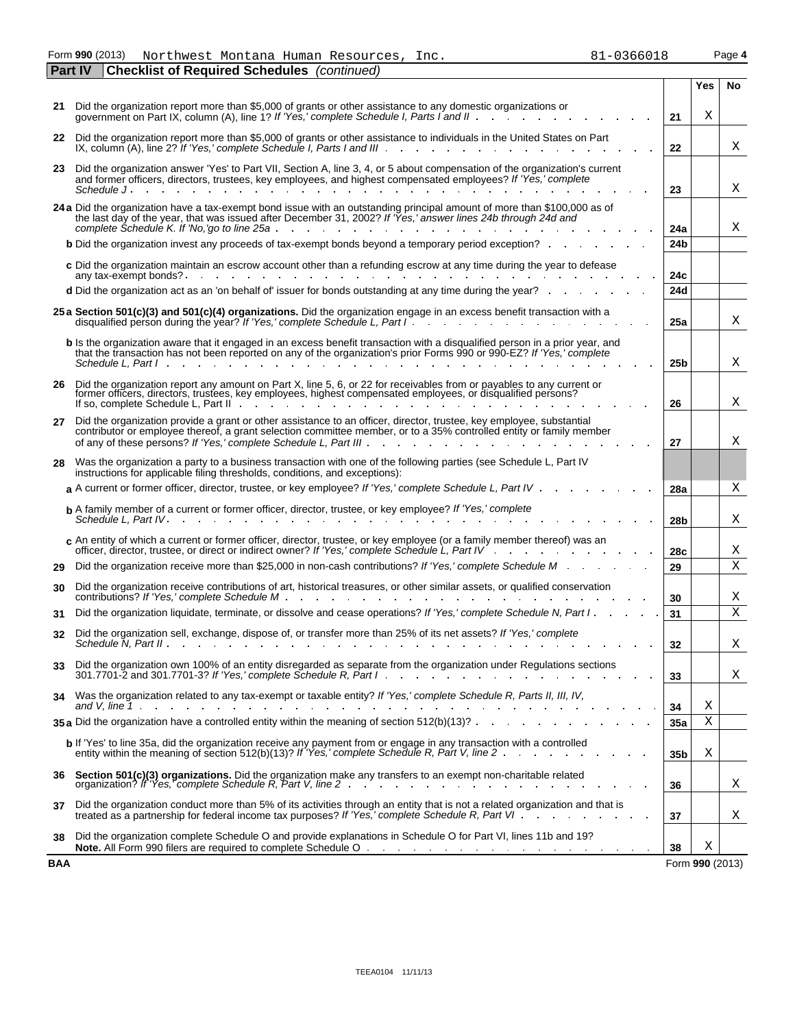Form **990** (2013) Northwest Montana Human Resources, Inc. 81-0366018 Page 4 Northwest Montana Human Resources, Inc. 81-0366018

|     | <b>Checklist of Required Schedules</b> (continued)<br><b>Part IV</b>                                                                                                                                                                                                                                                                                                    |  |                 |                 |             |
|-----|-------------------------------------------------------------------------------------------------------------------------------------------------------------------------------------------------------------------------------------------------------------------------------------------------------------------------------------------------------------------------|--|-----------------|-----------------|-------------|
|     |                                                                                                                                                                                                                                                                                                                                                                         |  |                 | Yes             | No.         |
|     | 21 Did the organization report more than \$5,000 of grants or other assistance to any domestic organizations or                                                                                                                                                                                                                                                         |  | 21              | Χ               |             |
| 22  | Did the organization report more than \$5,000 of grants or other assistance to individuals in the United States on Part<br>IX, column $(A)$ , line 2? If 'Yes,' complete Schedule I, Parts I and III $\cdots$ $\cdots$ $\cdots$ $\cdots$                                                                                                                                |  | 22              |                 | Χ           |
| 23. | Did the organization answer 'Yes' to Part VII, Section A, line 3, 4, or 5 about compensation of the organization's current<br>and former officers, directors, trustees, key employees, and highest compensated employees? If 'Yes,' complete                                                                                                                            |  |                 |                 | Χ           |
|     |                                                                                                                                                                                                                                                                                                                                                                         |  | 23              |                 |             |
|     | 24 a Did the organization have a tax-exempt bond issue with an outstanding principal amount of more than \$100,000 as of<br>the last day of the year, that was issued after December 31, 2002? If 'Yes,' answer lines 24b through 24d and                                                                                                                               |  | 24a             |                 | Χ           |
|     | <b>b</b> Did the organization invest any proceeds of tax-exempt bonds beyond a temporary period exception?                                                                                                                                                                                                                                                              |  | 24b             |                 |             |
|     | c Did the organization maintain an escrow account other than a refunding escrow at any time during the year to defease                                                                                                                                                                                                                                                  |  | 24c             |                 |             |
|     | <b>d</b> Did the organization act as an 'on behalf of' issuer for bonds outstanding at any time during the year?                                                                                                                                                                                                                                                        |  | 24d             |                 |             |
|     | 25 a Section 501(c)(3) and 501(c)(4) organizations. Did the organization engage in an excess benefit transaction with a<br>disqualified person during the year? If 'Yes,' complete Schedule L, Part I                                                                                                                                                                   |  | 25a             |                 | Χ           |
|     | b Is the organization aware that it engaged in an excess benefit transaction with a disqualified person in a prior year, and<br>that the transaction has not been reported on any of the organization's prior Forms 990 or 990-EZ? If 'Yes,' complete<br>Schedule L. Part I and I am a series are a series of the series of the series of the series of the series of t |  | 25 <sub>b</sub> |                 | Χ           |
|     | 26 Did the organization report any amount on Part X, line 5, 6, or 22 for receivables from or payables to any current or<br>former officers, directors, trustees, key employees, highest compensated employees, or disqualified persons?<br>If so, complete Schedule L, Part II and a complete schedule L, Part II                                                      |  | 26              |                 | Χ           |
| 27  | Did the organization provide a grant or other assistance to an officer, director, trustee, key employee, substantial<br>contributor or employee thereof, a grant selection committee member, or to a 35% controlled entity or family member<br>of any of these persons? If 'Yes,' complete Schedule L, Part III .<br>and a straightful and a straight and a             |  | 27              |                 | Χ           |
| 28  | Was the organization a party to a business transaction with one of the following parties (see Schedule L, Part IV<br>instructions for applicable filing thresholds, conditions, and exceptions):                                                                                                                                                                        |  |                 |                 |             |
|     | a A current or former officer, director, trustee, or key employee? If 'Yes,' complete Schedule L, Part IV                                                                                                                                                                                                                                                               |  | 28a             |                 | Χ           |
|     | b A family member of a current or former officer, director, trustee, or key employee? If 'Yes,' complete                                                                                                                                                                                                                                                                |  | 28 <sub>b</sub> |                 | Χ           |
|     | c An entity of which a current or former officer, director, trustee, or key employee (or a family member thereof) was an                                                                                                                                                                                                                                                |  | 28c             |                 | Χ           |
| 29  | Did the organization receive more than \$25,000 in non-cash contributions? If 'Yes,' complete Schedule M                                                                                                                                                                                                                                                                |  | 29              |                 | $\mathbf X$ |
| 30  | Did the organization receive contributions of art, historical treasures, or other similar assets, or qualified conservation<br>contributions? If 'Yes.' complete Schedule M.                                                                                                                                                                                            |  | 30              |                 | Χ           |
| 31  | Did the organization liquidate, terminate, or dissolve and cease operations? If 'Yes,' complete Schedule N, Part I                                                                                                                                                                                                                                                      |  | 31              |                 | $\mathbf X$ |
| 32  | Did the organization sell, exchange, dispose of, or transfer more than 25% of its net assets? If 'Yes,' complete<br>Schedule $N$ , Part II.                                                                                                                                                                                                                             |  | 32              |                 | Χ           |
| 33  | Did the organization own 100% of an entity disregarded as separate from the organization under Regulations sections<br>301.7701-2 and 301.7701-3? If 'Yes,' complete Schedule R, Part I.                                                                                                                                                                                |  | 33              |                 | Χ           |
| 34  | Was the organization related to any tax-exempt or taxable entity? If 'Yes,' complete Schedule R, Parts II, III, IV,                                                                                                                                                                                                                                                     |  | 34              | Χ               |             |
|     | 35 a Did the organization have a controlled entity within the meaning of section $512(b)(13)?$ .                                                                                                                                                                                                                                                                        |  | 35a             | Χ               |             |
|     | b If 'Yes' to line 35a, did the organization receive any payment from or engage in any transaction with a controlled<br>entity within the meaning of section 512(b)(13)? If 'Yes,' complete Schedule R, Part V, line 2.                                                                                                                                                 |  | 35b             | Χ               |             |
| 36  | Section 501(c)(3) organizations. Did the organization make any transfers to an exempt non-charitable related organization? If 'Yes, complete Schedule R, Part V, line 2                                                                                                                                                                                                 |  | 36              |                 | Χ           |
| 37  | Did the organization conduct more than 5% of its activities through an entity that is not a related organization and that is                                                                                                                                                                                                                                            |  | 37              |                 | Χ           |
| 38  | Did the organization complete Schedule O and provide explanations in Schedule O for Part VI, lines 11b and 19?                                                                                                                                                                                                                                                          |  | 38              | Χ               |             |
| BAA |                                                                                                                                                                                                                                                                                                                                                                         |  |                 | Form 990 (2013) |             |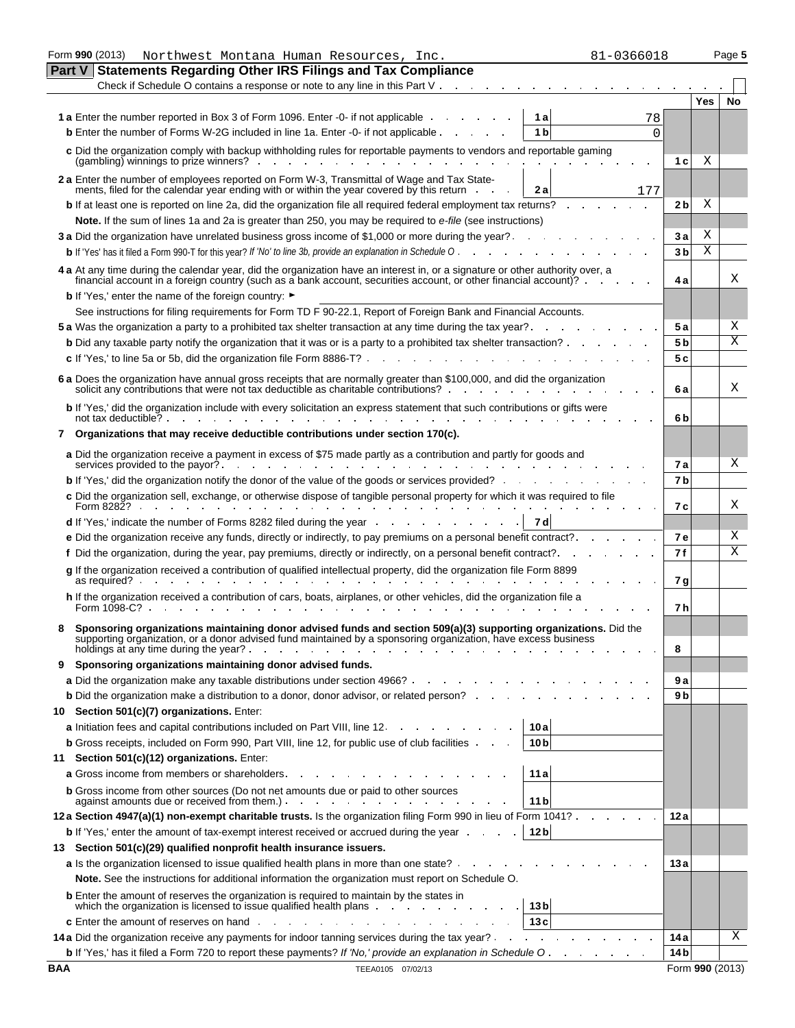|            | Form 990 (2013)<br>81-0366018<br>Northwest Montana Human Resources, Inc.                                                                                                                                                                                                         |                |                 | Page 5 |
|------------|----------------------------------------------------------------------------------------------------------------------------------------------------------------------------------------------------------------------------------------------------------------------------------|----------------|-----------------|--------|
|            | Part V<br><b>Statements Regarding Other IRS Filings and Tax Compliance</b>                                                                                                                                                                                                       |                |                 |        |
|            | Check if Schedule O contains a response or note to any line in this Part V                                                                                                                                                                                                       |                |                 |        |
|            |                                                                                                                                                                                                                                                                                  |                | Yes             | No     |
|            | 1 a Enter the number reported in Box 3 of Form 1096. Enter -0- if not applicable .<br>1a                                                                                                                                                                                         | 78             |                 |        |
|            | <b>b</b> Enter the number of Forms W-2G included in line 1a. Enter -0- if not applicable<br>1 <sub>b</sub>                                                                                                                                                                       | 0              |                 |        |
|            | c Did the organization comply with backup withholding rules for reportable payments to vendors and reportable gaming                                                                                                                                                             |                |                 |        |
|            | $(gambling)$ winnings to prize winners? $\ldots$ $\ldots$ $\ldots$ $\ldots$                                                                                                                                                                                                      | 1 c            | Χ               |        |
|            | 2 a Enter the number of employees reported on Form W-3, Transmittal of Wage and Tax State-                                                                                                                                                                                       |                |                 |        |
|            | ments, filed for the calendar year ending with or within the year covered by this return<br>2а<br>177                                                                                                                                                                            |                |                 |        |
|            | <b>b</b> If at least one is reported on line 2a, did the organization file all required federal employment tax returns?                                                                                                                                                          | 2 b            | Χ               |        |
|            | Note. If the sum of lines 1a and 2a is greater than 250, you may be required to e-file (see instructions)                                                                                                                                                                        |                |                 |        |
|            | 3 a Did the organization have unrelated business gross income of \$1,000 or more during the year?                                                                                                                                                                                | 3 а            | Χ               |        |
|            | <b>b</b> If 'Yes' has it filed a Form 990-T for this year? If 'No' to line 3b, provide an explanation in Schedule O                                                                                                                                                              | 3 <sub>b</sub> | X               |        |
|            | 4 a At any time during the calendar year, did the organization have an interest in, or a signature or other authority over, a<br>financial account in a foreign country (such as a bank account, securities account, or other financial account)?                                |                |                 | Χ      |
|            | <b>b</b> If 'Yes,' enter the name of the foreign country: ►                                                                                                                                                                                                                      | 4а             |                 |        |
|            | See instructions for filing requirements for Form TD F 90-22.1, Report of Foreign Bank and Financial Accounts.                                                                                                                                                                   |                |                 |        |
|            | 5 a Was the organization a party to a prohibited tax shelter transaction at any time during the tax year?.                                                                                                                                                                       | 5а             |                 | Χ      |
|            | <b>b</b> Did any taxable party notify the organization that it was or is a party to a prohibited tax shelter transaction?                                                                                                                                                        | 5 b            |                 | Χ      |
|            |                                                                                                                                                                                                                                                                                  |                |                 |        |
|            | c If 'Yes,' to line 5a or 5b, did the organization file Form 8886-T?                                                                                                                                                                                                             | 5 c            |                 |        |
|            | 6 a Does the organization have annual gross receipts that are normally greater than \$100,000, and did the organization<br>solicit any contributions that were not tax deductible as charitable contributions?                                                                   | 6а             |                 | Χ      |
|            | <b>b</b> If 'Yes,' did the organization include with every solicitation an express statement that such contributions or gifts were                                                                                                                                               |                |                 |        |
|            | not tax deductible? .                                                                                                                                                                                                                                                            | 6 b            |                 |        |
|            | 7 Organizations that may receive deductible contributions under section 170(c).                                                                                                                                                                                                  |                |                 |        |
|            | a Did the organization receive a payment in excess of \$75 made partly as a contribution and partly for goods and<br>services provided to the payor?.<br>and the control                                                                                                         | 7а             |                 | Χ      |
|            | <b>b</b> If 'Yes,' did the organization notify the donor of the value of the goods or services provided?                                                                                                                                                                         | 7 b            |                 |        |
|            | c Did the organization sell, exchange, or otherwise dispose of tangible personal property for which it was required to file<br>Form 8282?                                                                                                                                        | 7 с            |                 | Χ      |
|            | 7 d<br><b>d</b> If 'Yes,' indicate the number of Forms 8282 filed during the year                                                                                                                                                                                                |                |                 |        |
|            | e Did the organization receive any funds, directly or indirectly, to pay premiums on a personal benefit contract?                                                                                                                                                                | 7е             |                 | Χ      |
|            | f Did the organization, during the year, pay premiums, directly or indirectly, on a personal benefit contract?.                                                                                                                                                                  | 7f             |                 | Χ      |
|            | g If the organization received a contribution of qualified intellectual property, did the organization file Form 8899                                                                                                                                                            |                |                 |        |
|            | as required?                                                                                                                                                                                                                                                                     | 7 g            |                 |        |
|            | h If the organization received a contribution of cars, boats, airplanes, or other vehicles, did the organization file a<br>Form 1098-C?                                                                                                                                          | 7 h            |                 |        |
|            |                                                                                                                                                                                                                                                                                  |                |                 |        |
|            | Sponsoring organizations maintaining donor advised funds and section 509(a)(3) supporting organizations. Did the<br>supporting organization, or a donor advised fund maintained by a sponsoring organization, have excess business<br>holdings at any time during the year?<br>. | 8              |                 |        |
| 9          | Sponsoring organizations maintaining donor advised funds.                                                                                                                                                                                                                        |                |                 |        |
|            | <b>a</b> Did the organization make any taxable distributions under section 4966?                                                                                                                                                                                                 | 9а             |                 |        |
|            | <b>b</b> Did the organization make a distribution to a donor, donor advisor, or related person?                                                                                                                                                                                  | 9 b            |                 |        |
| 10         | Section 501(c)(7) organizations. Enter:                                                                                                                                                                                                                                          |                |                 |        |
|            | 10a<br><b>a</b> Initiation fees and capital contributions included on Part VIII, line 12.                                                                                                                                                                                        |                |                 |        |
|            | <b>b</b> Gross receipts, included on Form 990, Part VIII, line 12, for public use of club facilities<br>10 <sub>b</sub>                                                                                                                                                          |                |                 |        |
| 11         | Section 501(c)(12) organizations. Enter:                                                                                                                                                                                                                                         |                |                 |        |
|            | 11a<br>a Gross income from members or shareholders.                                                                                                                                                                                                                              |                |                 |        |
|            | <b>b</b> Gross income from other sources (Do not net amounts due or paid to other sources                                                                                                                                                                                        |                |                 |        |
|            | 11 <sub>b</sub><br>against amounts due or received from them.)                                                                                                                                                                                                                   |                |                 |        |
|            | 12 a Section 4947(a)(1) non-exempt charitable trusts. Is the organization filing Form 990 in lieu of Form 1041?                                                                                                                                                                  | 12 a           |                 |        |
|            | 12 <sub>b</sub><br><b>b</b> If 'Yes,' enter the amount of tax-exempt interest received or accrued during the year                                                                                                                                                                |                |                 |        |
|            | 13 Section 501(c)(29) qualified nonprofit health insurance issuers.                                                                                                                                                                                                              |                |                 |        |
|            | <b>a</b> Is the organization licensed to issue qualified health plans in more than one state?                                                                                                                                                                                    | 13 a           |                 |        |
|            | Note. See the instructions for additional information the organization must report on Schedule O.                                                                                                                                                                                |                |                 |        |
|            | <b>b</b> Enter the amount of reserves the organization is required to maintain by the states in<br>which the organization is licensed to issue qualified health plans<br>13 <sub>b</sub>                                                                                         |                |                 |        |
|            | 13c                                                                                                                                                                                                                                                                              |                |                 |        |
|            | 14 a Did the organization receive any payments for indoor tanning services during the tax year?                                                                                                                                                                                  | 14 a           |                 | Χ      |
|            |                                                                                                                                                                                                                                                                                  | 14 b           |                 |        |
| <b>BAA</b> | TEEA0105 07/02/13                                                                                                                                                                                                                                                                |                | Form 990 (2013) |        |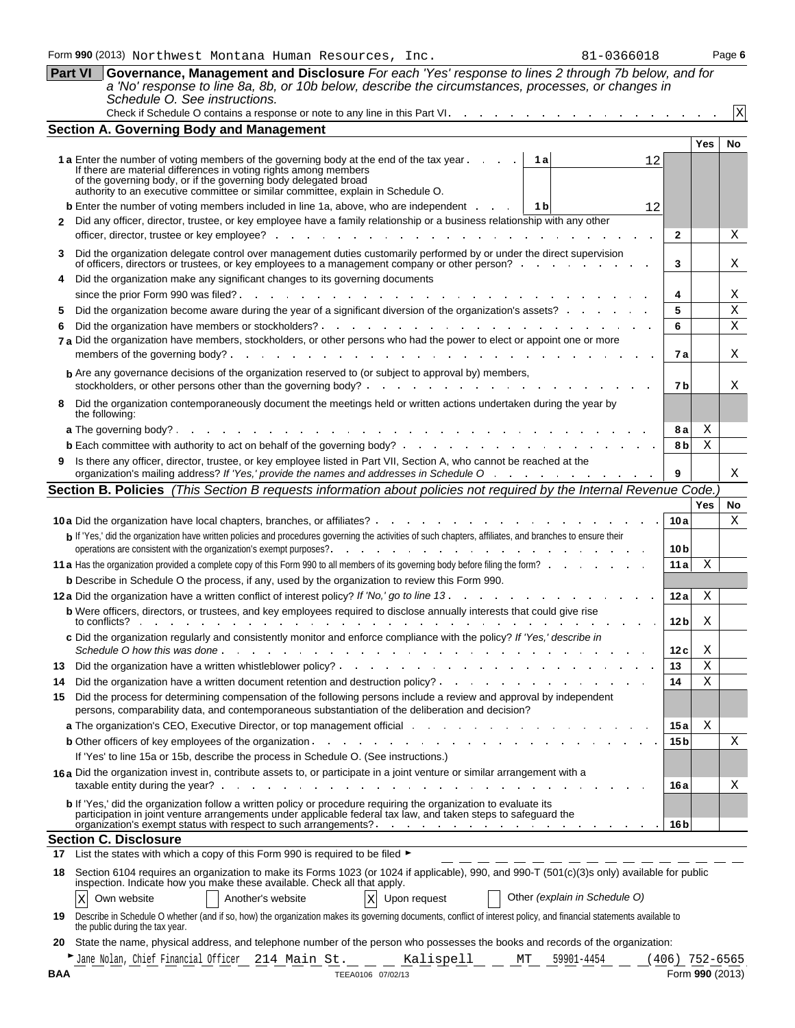|  |  |  | 0366018- |  |  |
|--|--|--|----------|--|--|
|  |  |  |          |  |  |
|  |  |  |          |  |  |

|              | <b>Part VI</b><br>Governance, Management and Disclosure For each 'Yes' response to lines 2 through 7b below, and for<br>a 'No' response to line 8a, 8b, or 10b below, describe the circumstances, processes, or changes in<br>Schedule O. See instructions.                                                                          |                 |                                     |    |
|--------------|--------------------------------------------------------------------------------------------------------------------------------------------------------------------------------------------------------------------------------------------------------------------------------------------------------------------------------------|-----------------|-------------------------------------|----|
|              | Check if Schedule O contains a response or note to any line in this Part VI.                                                                                                                                                                                                                                                         |                 |                                     | Χ  |
|              | <b>Section A. Governing Body and Management</b>                                                                                                                                                                                                                                                                                      |                 |                                     |    |
|              |                                                                                                                                                                                                                                                                                                                                      |                 | Yes                                 | No |
|              | <b>1 a</b> Enter the number of voting members of the governing body at the end of the tax year.<br>1 a<br>12<br>If there are material differences in voting rights among members<br>of the governing body, or if the governing body delegated broad authority to an executive committee or similar committee, explain in Schedule O. |                 |                                     |    |
|              | <b>b</b> Enter the number of voting members included in line 1a, above, who are independent .<br>1 b<br>12                                                                                                                                                                                                                           |                 |                                     |    |
| $\mathbf{2}$ | Did any officer, director, trustee, or key employee have a family relationship or a business relationship with any other<br>officer, director, trustee or key employee?                                                                                                                                                              | 2               |                                     | Χ  |
| 3            | Did the organization delegate control over management duties customarily performed by or under the direct supervision<br>of officers, directors or trustees, or key employees to a management company or other person?                                                                                                               | 3               |                                     | Χ  |
| 4            | Did the organization make any significant changes to its governing documents                                                                                                                                                                                                                                                         |                 |                                     |    |
|              | since the prior Form 990 was filed?<br>and a straight and a<br>the company of the company of the                                                                                                                                                                                                                                     | 4               |                                     | Χ  |
| 5            | Did the organization become aware during the year of a significant diversion of the organization's assets?                                                                                                                                                                                                                           | 5               |                                     | Χ  |
| 6            | Did the organization have members or stockholders?<br>design and the contract of the contract of the contract of                                                                                                                                                                                                                     | 6               |                                     | Χ  |
|              | 7 a Did the organization have members, stockholders, or other persons who had the power to elect or appoint one or more<br>the contract of the contract of the contract of the contract of the contract of<br>members of the governing body?.                                                                                        | 7 a             |                                     | Χ  |
|              | <b>b</b> Are any governance decisions of the organization reserved to (or subject to approval by) members,                                                                                                                                                                                                                           |                 |                                     |    |
|              | stockholders, or other persons other than the governing body?.<br>the contract of the contract of the contract of the contract of the contract of the contract of the contract of                                                                                                                                                    | 7 b             |                                     | Χ  |
| 8            | Did the organization contemporaneously document the meetings held or written actions undertaken during the year by<br>the following:                                                                                                                                                                                                 |                 |                                     |    |
|              | <b>a</b> The governing body? $\cdots$ $\cdots$ $\cdots$ $\cdots$ $\cdots$ $\cdots$ $\cdots$                                                                                                                                                                                                                                          | 8а              | Χ                                   |    |
|              |                                                                                                                                                                                                                                                                                                                                      | 8 b             | Χ                                   |    |
|              | Is there any officer, director, trustee, or key employee listed in Part VII, Section A, who cannot be reached at the<br>organization's mailing address? If 'Yes,' provide the names and addresses in Schedule O                                                                                                                      | 9               |                                     | Χ  |
|              | Section B. Policies (This Section B requests information about policies not required by the Internal Revenue Code.                                                                                                                                                                                                                   |                 |                                     |    |
|              |                                                                                                                                                                                                                                                                                                                                      |                 | <b>Yes</b>                          | No |
|              | <b>10a</b> Did the organization have local chapters, branches, or affiliates?                                                                                                                                                                                                                                                        | 10a             |                                     | X  |
|              | b If 'Yes,' did the organization have written policies and procedures governing the activities of such chapters, affiliates, and branches to ensure their<br>operations are consistent with the organization's exempt purposes?                                                                                                      | 10 <sub>b</sub> |                                     |    |
|              | 11 a Has the organization provided a complete copy of this Form 990 to all members of its governing body before filing the form?                                                                                                                                                                                                     | 11a             | Χ                                   |    |
|              | b Describe in Schedule O the process, if any, used by the organization to review this Form 990.                                                                                                                                                                                                                                      |                 |                                     |    |
|              | 12a Did the organization have a written conflict of interest policy? If 'No,' go to line 13.<br><b>Contract Contract</b>                                                                                                                                                                                                             | 12a             | Χ                                   |    |
|              | <b>b</b> Were officers, directors, or trustees, and key employees required to disclose annually interests that could give rise<br>to conflicts?                                                                                                                                                                                      | 12 b            | Χ                                   |    |
|              | c Did the organization regularly and consistently monitor and enforce compliance with the policy? If 'Yes,' describe in<br>Schedule O how this was done.<br>the contract of the contract of the contract of the contract of the contract of                                                                                          | 12 c            | Χ                                   |    |
| 13           |                                                                                                                                                                                                                                                                                                                                      | 13              | X                                   |    |
| 14           |                                                                                                                                                                                                                                                                                                                                      |                 | Χ                                   |    |
| 15           |                                                                                                                                                                                                                                                                                                                                      | 14              |                                     |    |
|              | Did the process for determining compensation of the following persons include a review and approval by independent<br>persons, comparability data, and contemporaneous substantiation of the deliberation and decision?                                                                                                              |                 |                                     |    |
|              | a The organization's CEO, Executive Director, or top management official and a substitution of the organization's CEO, Executive Director, or top management official and a substitution of the organization's CEO, Executive                                                                                                        | 15 a            | Χ                                   |    |
|              |                                                                                                                                                                                                                                                                                                                                      | 15 <sub>b</sub> |                                     | Χ  |
|              | If 'Yes' to line 15a or 15b, describe the process in Schedule O. (See instructions.)<br>16a Did the organization invest in, contribute assets to, or participate in a joint venture or similar arrangement with a                                                                                                                    |                 |                                     |    |
|              | taxable entity during the year?<br>b If 'Yes,' did the organization follow a written policy or procedure requiring the organization to evaluate its                                                                                                                                                                                  | 16 a            |                                     | Χ  |
|              | participation in joint venture arrangements under applicable federal tax law, and taken steps to safeguard the                                                                                                                                                                                                                       | 16 <sub>b</sub> |                                     |    |
|              | <b>Section C. Disclosure</b>                                                                                                                                                                                                                                                                                                         |                 |                                     |    |
| 18           | 17 List the states with which a copy of this Form 990 is required to be filed ►<br>Section 6104 requires an organization to make its Forms 1023 (or 1024 if applicable), 990, and 990-T (501(c)(3)s only) available for public                                                                                                       |                 |                                     |    |
|              | inspection. Indicate how you make these available. Check all that apply.<br>Other (explain in Schedule O)<br>Another's website<br>$\mathbf X$<br>Own website<br>Upon request<br>Χ                                                                                                                                                    |                 |                                     |    |
| 19           | Describe in Schedule O whether (and if so, how) the organization makes its governing documents, conflict of interest policy, and financial statements available to<br>the public during the tax year.                                                                                                                                |                 |                                     |    |
| 20           | State the name, physical address, and telephone number of the person who possesses the books and records of the organization:                                                                                                                                                                                                        |                 |                                     |    |
| BAA          | Kalispell MT<br>Jane Nolan, Chief Financial Officer 214 Main St.<br>59901-4454<br>TEEA0106 07/02/13                                                                                                                                                                                                                                  |                 | $(406)$ 752-6565<br>Form 990 (2013) |    |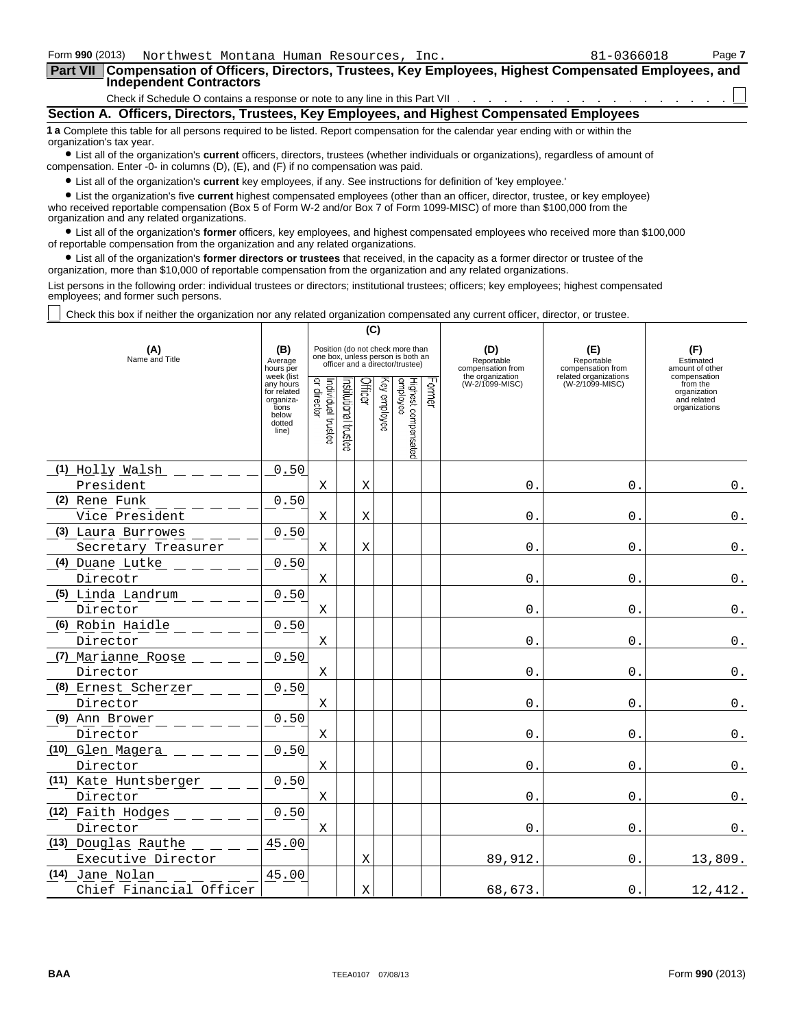| Form 990 (2013)<br>Northwest Montana Human Resources, Inc.                                                                                                                                                                                                                                               | 81-0366018 | Page 7 |  |  |  |  |
|----------------------------------------------------------------------------------------------------------------------------------------------------------------------------------------------------------------------------------------------------------------------------------------------------------|------------|--------|--|--|--|--|
| Part VII Compensation of Officers, Directors, Trustees, Key Employees, Highest Compensated Employees, and<br><b>Independent Contractors</b>                                                                                                                                                              |            |        |  |  |  |  |
|                                                                                                                                                                                                                                                                                                          |            |        |  |  |  |  |
| Section A. Officers, Directors, Trustees, Key Employees, and Highest Compensated Employees                                                                                                                                                                                                               |            |        |  |  |  |  |
| 1 a Complete this table for all persons required to be listed. Report compensation for the calendar year ending with or within the<br>organization's tax year.<br>• List all of the organization's current officers, directors, trustees (whether individuals or organizations), regardless of amount of |            |        |  |  |  |  |

compensation. Enter -0- in columns (D), (E), and (F) if no compensation was paid.

? List all of the organization's **current** key employees, if any. See instructions for definition of 'key employee.'

? List the organization's five **current** highest compensated employees (other than an officer, director, trustee, or key employee) who received reportable compensation (Box 5 of Form W-2 and/or Box 7 of Form 1099-MISC) of more than \$100,000 from the organization and any related organizations.

? List all of the organization's **former** officers, key employees, and highest compensated employees who received more than \$100,000 of reportable compensation from the organization and any related organizations.

? List all of the organization's **former directors or trustees** that received, in the capacity as a former director or trustee of the organization, more than \$10,000 of reportable compensation from the organization and any related organizations.

List persons in the following order: individual trustees or directors; institutional trustees; officers; key employees; highest compensated employees; and former such persons.

Check this box if neither the organization nor any related organization compensated any current officer, director, or trustee.

|                         | (C)                                                                                      |                                   |                      |         |              |                                                                                                          |        |                                        |                                          |                                                                          |
|-------------------------|------------------------------------------------------------------------------------------|-----------------------------------|----------------------|---------|--------------|----------------------------------------------------------------------------------------------------------|--------|----------------------------------------|------------------------------------------|--------------------------------------------------------------------------|
| (A)<br>Name and Title   | (B)<br>Average<br>hours per                                                              |                                   |                      |         |              | Position (do not check more than<br>one box, unless person is both an<br>officer and a director/trustee) |        | (D)<br>Reportable<br>compensation from | (E)<br>Reportable<br>compensation from   | (F)<br>Estimated<br>amount of other                                      |
|                         | week (list<br>any hours<br>for related<br>organiza-<br>tions<br>below<br>dotted<br>line) | Individual trustee<br>or director | nstitutional trustee | Officer | Key employee | Highest compensated<br>employee                                                                          | Former | the organization<br>(W-2/1099-MISC)    | related organizations<br>(W-2/1099-MISC) | compensation<br>from the<br>organization<br>and related<br>organizations |
| (1) Holly Walsh         | 0.50                                                                                     |                                   |                      |         |              |                                                                                                          |        |                                        |                                          |                                                                          |
| President               |                                                                                          | Χ                                 |                      | X       |              |                                                                                                          |        | $\mathbf 0$ .                          | $\mathsf{O}$ .                           | $\mathbf 0$ .                                                            |
| (2) Rene Funk           | 0.50                                                                                     |                                   |                      |         |              |                                                                                                          |        |                                        |                                          |                                                                          |
| Vice President          |                                                                                          | X                                 |                      | Χ       |              |                                                                                                          |        | $\mathbf 0$ .                          | $\mathsf{O}$ .                           | $\boldsymbol{0}$ .                                                       |
| (3) Laura Burrowes      | 0.50                                                                                     |                                   |                      |         |              |                                                                                                          |        |                                        |                                          |                                                                          |
| Secretary Treasurer     |                                                                                          | X                                 |                      | X       |              |                                                                                                          |        | $\mathbf{0}$ .                         | $\overline{0}$ .                         | $0_{.}$                                                                  |
| (4) Duane Lutke         | 0.50                                                                                     |                                   |                      |         |              |                                                                                                          |        |                                        |                                          |                                                                          |
| Direcotr                |                                                                                          | Χ                                 |                      |         |              |                                                                                                          |        | $\mathbf{0}$                           | $\mathbf{0}$                             | $\boldsymbol{0}$ .                                                       |
| (5) Linda Landrum       | 0.50                                                                                     |                                   |                      |         |              |                                                                                                          |        |                                        |                                          |                                                                          |
| Director                |                                                                                          | Χ                                 |                      |         |              |                                                                                                          |        | $\mathbf 0$ .                          | $\overline{0}$ .                         | $\mathsf 0$ .                                                            |
| (6) Robin Haidle        | 0.50                                                                                     |                                   |                      |         |              |                                                                                                          |        |                                        |                                          |                                                                          |
| Director                |                                                                                          | Χ                                 |                      |         |              |                                                                                                          |        | 0.                                     | $0$ .                                    | $\mathsf 0$ .                                                            |
| (7) Marianne Roose      | 0.50                                                                                     |                                   |                      |         |              |                                                                                                          |        |                                        |                                          |                                                                          |
| Director                |                                                                                          | Χ                                 |                      |         |              |                                                                                                          |        | 0.                                     | $\overline{0}$ .                         | $0$ .                                                                    |
| (8) Ernest Scherzer     | 0.50                                                                                     |                                   |                      |         |              |                                                                                                          |        |                                        |                                          |                                                                          |
| Director                |                                                                                          | X                                 |                      |         |              |                                                                                                          |        | $0$ .                                  | $\overline{0}$ .                         | $0$ .                                                                    |
| (9) Ann Brower          | 0.50                                                                                     |                                   |                      |         |              |                                                                                                          |        |                                        |                                          |                                                                          |
| Director                |                                                                                          | X                                 |                      |         |              |                                                                                                          |        | $\mathbf{0}$ .                         | $0$ .                                    | $0$ .                                                                    |
| (10) Glen Magera        | 0.50                                                                                     |                                   |                      |         |              |                                                                                                          |        |                                        |                                          |                                                                          |
| Director                |                                                                                          | Χ                                 |                      |         |              |                                                                                                          |        | 0.                                     | $0$ .                                    | $\boldsymbol{0}$ .                                                       |
| (11) Kate Huntsberger   | 0.50                                                                                     |                                   |                      |         |              |                                                                                                          |        |                                        |                                          |                                                                          |
| Director                |                                                                                          | Χ                                 |                      |         |              |                                                                                                          |        | $\mathbf{0}$ .                         | $\overline{0}$ .                         | $0$ .                                                                    |
| (12) Faith Hodges       | 0.50                                                                                     |                                   |                      |         |              |                                                                                                          |        |                                        |                                          |                                                                          |
| Director                |                                                                                          | X                                 |                      |         |              |                                                                                                          |        | $\mathbf 0$ .                          | $\overline{0}$ .                         | $0$ .                                                                    |
| (13) Douglas Rauthe     | 45.00                                                                                    |                                   |                      |         |              |                                                                                                          |        |                                        |                                          |                                                                          |
| Executive Director      |                                                                                          |                                   |                      | X       |              |                                                                                                          |        | 89,912.                                | $0$ .                                    | 13,809.                                                                  |
| (14) Jane Nolan         | 45.00                                                                                    |                                   |                      |         |              |                                                                                                          |        |                                        |                                          |                                                                          |
| Chief Financial Officer |                                                                                          |                                   |                      | X       |              |                                                                                                          |        | 68,673.                                | $0$ .                                    | 12,412.                                                                  |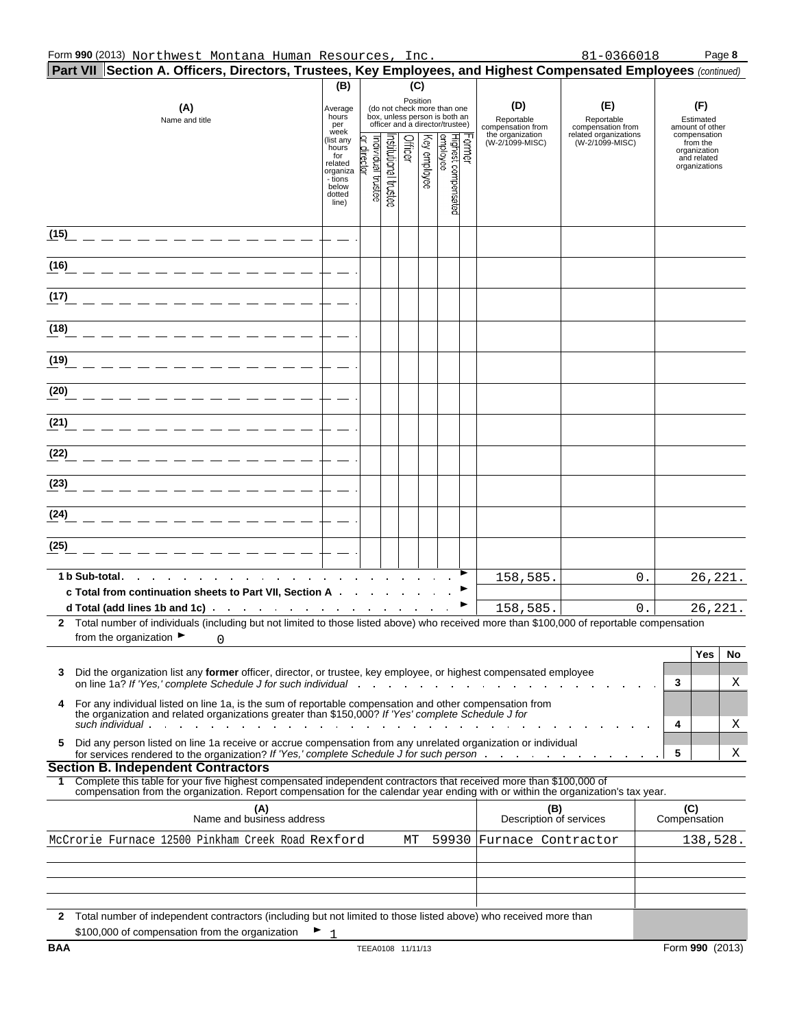| <b>Part VII Section A. Officers, Directors, Trustees, Key Employees, and Highest Compensated Employees</b> (continued)                                                                                                                                                                      |                                                                                                                                                                                                                                                                  |                                |                                                                                    |                                                                 |              |                                           |                                |    |                     |                                              |
|---------------------------------------------------------------------------------------------------------------------------------------------------------------------------------------------------------------------------------------------------------------------------------------------|------------------------------------------------------------------------------------------------------------------------------------------------------------------------------------------------------------------------------------------------------------------|--------------------------------|------------------------------------------------------------------------------------|-----------------------------------------------------------------|--------------|-------------------------------------------|--------------------------------|----|---------------------|----------------------------------------------|
|                                                                                                                                                                                                                                                                                             | (B)                                                                                                                                                                                                                                                              |                                |                                                                                    | (C)                                                             |              |                                           |                                |    |                     |                                              |
| (A)<br>Name and title                                                                                                                                                                                                                                                                       | Position<br>(D)<br>(do not check more than one<br>Average<br>box, unless person is both an<br>hours<br>Reportable<br>officer and a director/trustee)<br>per<br>compensation from<br>week<br>the organization<br>Officer<br>(list any<br>(W-2/1099-MISC)<br>hours |                                | (E)<br>Reportable<br>compensation from<br>related organizations<br>(W-2/1099-MISC) | (F)<br>Estimated<br>amount of other<br>compensation<br>from the |              |                                           |                                |    |                     |                                              |
|                                                                                                                                                                                                                                                                                             | for<br>related<br>organiza<br>- tions<br>below<br>dotted<br>line)                                                                                                                                                                                                | individual trustee<br>director | hstitutional trustee                                                               |                                                                 | Key employee | Former<br>Highest compensated<br>employee |                                |    |                     | organization<br>and related<br>organizations |
| (15)                                                                                                                                                                                                                                                                                        |                                                                                                                                                                                                                                                                  |                                |                                                                                    |                                                                 |              |                                           |                                |    |                     |                                              |
| (16)                                                                                                                                                                                                                                                                                        |                                                                                                                                                                                                                                                                  |                                |                                                                                    |                                                                 |              |                                           |                                |    |                     |                                              |
| (17)                                                                                                                                                                                                                                                                                        |                                                                                                                                                                                                                                                                  |                                |                                                                                    |                                                                 |              |                                           |                                |    |                     |                                              |
| (18)                                                                                                                                                                                                                                                                                        |                                                                                                                                                                                                                                                                  |                                |                                                                                    |                                                                 |              |                                           |                                |    |                     |                                              |
| (19)                                                                                                                                                                                                                                                                                        |                                                                                                                                                                                                                                                                  |                                |                                                                                    |                                                                 |              |                                           |                                |    |                     |                                              |
| (20)                                                                                                                                                                                                                                                                                        |                                                                                                                                                                                                                                                                  |                                |                                                                                    |                                                                 |              |                                           |                                |    |                     |                                              |
| (21)                                                                                                                                                                                                                                                                                        |                                                                                                                                                                                                                                                                  |                                |                                                                                    |                                                                 |              |                                           |                                |    |                     |                                              |
| (22)                                                                                                                                                                                                                                                                                        |                                                                                                                                                                                                                                                                  |                                |                                                                                    |                                                                 |              |                                           |                                |    |                     |                                              |
| (23)                                                                                                                                                                                                                                                                                        |                                                                                                                                                                                                                                                                  |                                |                                                                                    |                                                                 |              |                                           |                                |    |                     |                                              |
| (24)                                                                                                                                                                                                                                                                                        |                                                                                                                                                                                                                                                                  |                                |                                                                                    |                                                                 |              |                                           |                                |    |                     |                                              |
| (25)                                                                                                                                                                                                                                                                                        |                                                                                                                                                                                                                                                                  |                                |                                                                                    |                                                                 |              |                                           |                                |    |                     |                                              |
| 1 b Sub-total.                                                                                                                                                                                                                                                                              |                                                                                                                                                                                                                                                                  |                                |                                                                                    |                                                                 |              |                                           | 158,585.                       | 0. |                     | 26, 221.                                     |
| c Total from continuation sheets to Part VII, Section A .<br>d Total (add lines 1b and 1c) and the state of the state of the state of the state of the state of the state of the state of the state of the state of the state of the state of the state of the state of the state of the st |                                                                                                                                                                                                                                                                  |                                |                                                                                    |                                                                 |              |                                           | 158,585.                       | 0. |                     | 26, 221.                                     |
| 2 Total number of individuals (including but not limited to those listed above) who received more than \$100,000 of reportable compensation<br>from the organization ▶<br>0                                                                                                                 |                                                                                                                                                                                                                                                                  |                                |                                                                                    |                                                                 |              |                                           |                                |    |                     |                                              |
|                                                                                                                                                                                                                                                                                             |                                                                                                                                                                                                                                                                  |                                |                                                                                    |                                                                 |              |                                           |                                |    |                     | Yes<br>No                                    |
| Did the organization list any former officer, director, or trustee, key employee, or highest compensated employee<br>3<br>on line 1a? If 'Yes,' complete Schedule J for such individual                                                                                                     |                                                                                                                                                                                                                                                                  |                                |                                                                                    |                                                                 |              |                                           |                                |    | 3                   | Χ                                            |
| For any individual listed on line 1a, is the sum of reportable compensation and other compensation from<br>4<br>the organization and related organizations greater than \$150,000? If 'Yes' complete Schedule J for<br>such individual.                                                     |                                                                                                                                                                                                                                                                  |                                |                                                                                    |                                                                 |              |                                           |                                |    | 4                   | Χ                                            |
| Did any person listed on line 1a receive or accrue compensation from any unrelated organization or individual<br>5.                                                                                                                                                                         |                                                                                                                                                                                                                                                                  |                                |                                                                                    |                                                                 |              |                                           |                                |    | 5                   | Χ                                            |
| <b>Section B. Independent Contractors</b>                                                                                                                                                                                                                                                   |                                                                                                                                                                                                                                                                  |                                |                                                                                    |                                                                 |              |                                           |                                |    |                     |                                              |
| 1 Complete this table for your five highest compensated independent contractors that received more than \$100,000 of<br>compensation from the organization. Report compensation for the calendar year ending with or within the organization's tax year.                                    |                                                                                                                                                                                                                                                                  |                                |                                                                                    |                                                                 |              |                                           |                                |    |                     |                                              |
| (A)<br>Name and business address                                                                                                                                                                                                                                                            |                                                                                                                                                                                                                                                                  |                                |                                                                                    |                                                                 |              |                                           | (B)<br>Description of services |    | (C)<br>Compensation |                                              |
| McCrorie Furnace 12500 Pinkham Creek Road Rexford                                                                                                                                                                                                                                           |                                                                                                                                                                                                                                                                  |                                |                                                                                    | МT                                                              |              | 59930                                     | Furnace Contractor             |    |                     | 138,528.                                     |
|                                                                                                                                                                                                                                                                                             |                                                                                                                                                                                                                                                                  |                                |                                                                                    |                                                                 |              |                                           |                                |    |                     |                                              |
| 2 Total number of independent contractors (including but not limited to those listed above) who received more than                                                                                                                                                                          |                                                                                                                                                                                                                                                                  |                                |                                                                                    |                                                                 |              |                                           |                                |    |                     |                                              |
| \$100,000 of compensation from the organization<br><b>BAA</b>                                                                                                                                                                                                                               |                                                                                                                                                                                                                                                                  | TEEA0108 11/11/13              |                                                                                    |                                                                 |              |                                           |                                |    |                     | Form 990 (2013)                              |
|                                                                                                                                                                                                                                                                                             |                                                                                                                                                                                                                                                                  |                                |                                                                                    |                                                                 |              |                                           |                                |    |                     |                                              |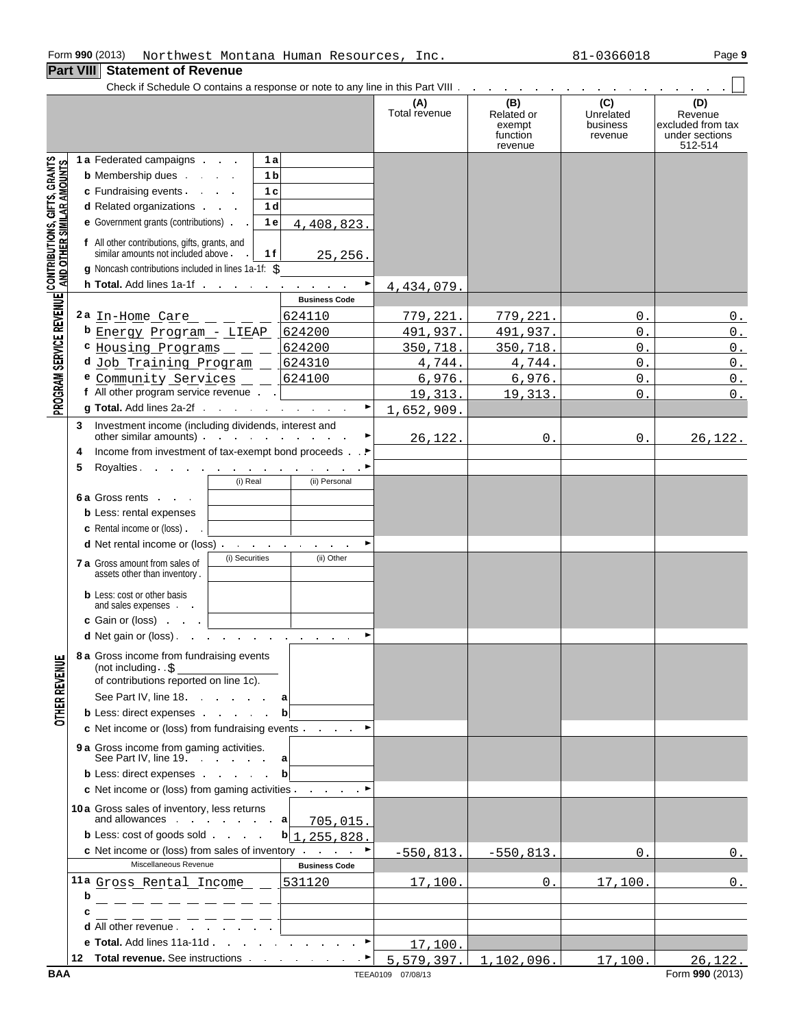#### Form **990** (2013) Page **9** Northwest Montana Human Resources, Inc. 81-0366018

## **Part VIII Statement of Revenue**

|                                                                                                               |        | Check if Schedule O contains a response or note to any line in this Part VIII and a contact of Schedule O contains a response or note to any line in this Part VIII and a contact of Schedule D contact of the U.S.                                                                     |                        |                      |                                                    |                                         |                                                                  |
|---------------------------------------------------------------------------------------------------------------|--------|-----------------------------------------------------------------------------------------------------------------------------------------------------------------------------------------------------------------------------------------------------------------------------------------|------------------------|----------------------|----------------------------------------------------|-----------------------------------------|------------------------------------------------------------------|
|                                                                                                               |        |                                                                                                                                                                                                                                                                                         |                        | (A)<br>Total revenue | (B)<br>Related or<br>exempt<br>function<br>revenue | (C)<br>Unrelated<br>business<br>revenue | (D)<br>Revenue<br>excluded from tax<br>under sections<br>512-514 |
| PROGRAM SERVICE REVENUE   CONTRIBUTIONS, GIFTS, GRANTS<br>PROGRAM SERVICE REVENUE   AND OTHER SIMILAR AMOUNTS |        | 1 a Federated campaigns<br>1 a<br>1 <sub>b</sub><br><b>b</b> Membership dues<br>1 <sub>c</sub><br>d Related organizations<br>1 <sub>d</sub><br>e Government grants (contributions)<br>1 e<br>f All other contributions, gifts, grants, and<br>similar amounts not included above.<br>1f | 4,408,823.<br>25, 256. |                      |                                                    |                                         |                                                                  |
|                                                                                                               |        | g Noncash contributions included in lines 1a-1f: \$<br><b>h Total.</b> Add lines $1a-1f$                                                                                                                                                                                                | ▶                      |                      |                                                    |                                         |                                                                  |
|                                                                                                               |        |                                                                                                                                                                                                                                                                                         | <b>Business Code</b>   | 4,434,079.           |                                                    |                                         |                                                                  |
|                                                                                                               |        | 2a $\text{In}-$ Home Care $   -$                                                                                                                                                                                                                                                        | 624110                 | <u>779,221.</u>      | <u>779,221.</u>                                    | 0.                                      | 0.                                                               |
|                                                                                                               |        | <b>b</b> Energy Program - LIEAP                                                                                                                                                                                                                                                         | 624200                 | 491,937.             | 491,937.                                           | $0$ .                                   | $0$ .                                                            |
|                                                                                                               |        | <b>C</b> Housing Programs $\_\_$                                                                                                                                                                                                                                                        | 624200                 | 350,718.             | 350,718.                                           | 0.                                      | $0$ .                                                            |
|                                                                                                               |        | d Job Training Program _                                                                                                                                                                                                                                                                | 624310                 | 4,744.               | 4,744.                                             | 0.                                      | $0$ .                                                            |
|                                                                                                               |        | e Community Services _ _ _                                                                                                                                                                                                                                                              | 624100                 | 6,976.               | 6,976.                                             | $0$ .                                   | $0$ .                                                            |
|                                                                                                               |        | f All other program service revenue                                                                                                                                                                                                                                                     |                        | 19,313.              | 19,313.                                            | 0.                                      | 0.                                                               |
|                                                                                                               |        | g Total. Add lines 2a-2f                                                                                                                                                                                                                                                                | ▶                      | 1,652,909.           |                                                    |                                         |                                                                  |
|                                                                                                               | 3<br>4 | Investment income (including dividends, interest and<br>other similar amounts) $\cdots$ $\cdots$ $\cdots$ $\cdots$<br>Income from investment of tax-exempt bond proceeds ►                                                                                                              |                        | 26,122.              | 0.                                                 | 0.                                      | 26, 122.                                                         |
|                                                                                                               | 5      | Royalties $\qquad \qquad$                                                                                                                                                                                                                                                               |                        |                      |                                                    |                                         |                                                                  |
|                                                                                                               |        | (i) Real<br>6 a Gross rents                                                                                                                                                                                                                                                             | (ii) Personal          |                      |                                                    |                                         |                                                                  |
|                                                                                                               |        | <b>b</b> Less: rental expenses                                                                                                                                                                                                                                                          |                        |                      |                                                    |                                         |                                                                  |
|                                                                                                               |        | c Rental income or (loss).                                                                                                                                                                                                                                                              | ▶                      |                      |                                                    |                                         |                                                                  |
|                                                                                                               |        | d Net rental income or (loss)<br>(i) Securities<br>7 a Gross amount from sales of<br>assets other than inventory.                                                                                                                                                                       | (ii) Other             |                      |                                                    |                                         |                                                                  |
|                                                                                                               |        | <b>b</b> Less: cost or other basis<br>and sales expenses                                                                                                                                                                                                                                |                        |                      |                                                    |                                         |                                                                  |
|                                                                                                               |        | c Gain or (loss)                                                                                                                                                                                                                                                                        |                        |                      |                                                    |                                         |                                                                  |
| ш                                                                                                             |        | <b>d</b> Net gain or (loss). $\cdot \cdot \cdot \cdot \cdot \cdot \cdot \cdot \cdot \cdot \cdot$<br>8 a Gross income from fundraising events                                                                                                                                            | $\blacktriangleright$  |                      |                                                    |                                         |                                                                  |
| OTHER REVENU                                                                                                  |        | (not including. . \$<br>of contributions reported on line 1c).                                                                                                                                                                                                                          |                        |                      |                                                    |                                         |                                                                  |
|                                                                                                               |        | See Part IV, line 18.<br>a                                                                                                                                                                                                                                                              |                        |                      |                                                    |                                         |                                                                  |
|                                                                                                               |        | <b>b</b> Less: direct expenses<br>$\mathbf{b}$                                                                                                                                                                                                                                          |                        |                      |                                                    |                                         |                                                                  |
|                                                                                                               |        | c Net income or (loss) from fundraising events ►<br>9 a Gross income from gaming activities.<br>See Part IV, line 19.<br>а                                                                                                                                                              |                        |                      |                                                    |                                         |                                                                  |
|                                                                                                               |        | <b>b</b> Less: direct expenses<br>$\mathbf b$                                                                                                                                                                                                                                           |                        |                      |                                                    |                                         |                                                                  |
|                                                                                                               |        | c Net income or (loss) from gaming activities . ■                                                                                                                                                                                                                                       |                        |                      |                                                    |                                         |                                                                  |
|                                                                                                               |        | 10a Gross sales of inventory, less returns<br>and allowances $\cdot \cdot \cdot \cdot \cdot$ and allowances $\cdot \cdot \cdot$                                                                                                                                                         | 705,015.               |                      |                                                    |                                         |                                                                  |
|                                                                                                               |        | <b>b</b> Less: cost of goods sold                                                                                                                                                                                                                                                       | $b$ 1, 255, 828.       |                      |                                                    |                                         |                                                                  |
|                                                                                                               |        | <b>c</b> Net income or (loss) from sales of inventory<br>Miscellaneous Revenue                                                                                                                                                                                                          | <b>Business Code</b>   | $-550,813.$          | $-550,813.$                                        | 0.                                      | 0.                                                               |
|                                                                                                               |        | 11a Gross_Rental_Income                                                                                                                                                                                                                                                                 | 531120                 |                      |                                                    |                                         | 0.                                                               |
|                                                                                                               | b      |                                                                                                                                                                                                                                                                                         |                        | 17,100.              | 0.                                                 | 17,100.                                 |                                                                  |
|                                                                                                               | C      |                                                                                                                                                                                                                                                                                         |                        |                      |                                                    |                                         |                                                                  |
|                                                                                                               |        | <b>d</b> All other revenue.                                                                                                                                                                                                                                                             |                        |                      |                                                    |                                         |                                                                  |
|                                                                                                               |        | e Total. Add lines 11a 11d                                                                                                                                                                                                                                                              | $\blacktriangleright$  | 17,100.              |                                                    |                                         |                                                                  |
|                                                                                                               |        | 12 Total revenue. See instructions and the state of the state of the state of the state of the state of the state of the state of the state of the state of the state of the state of the state of the state of the state of t                                                          |                        | 5,579,397.           | 1,102,096.                                         | 17,100.                                 | 26, 122.                                                         |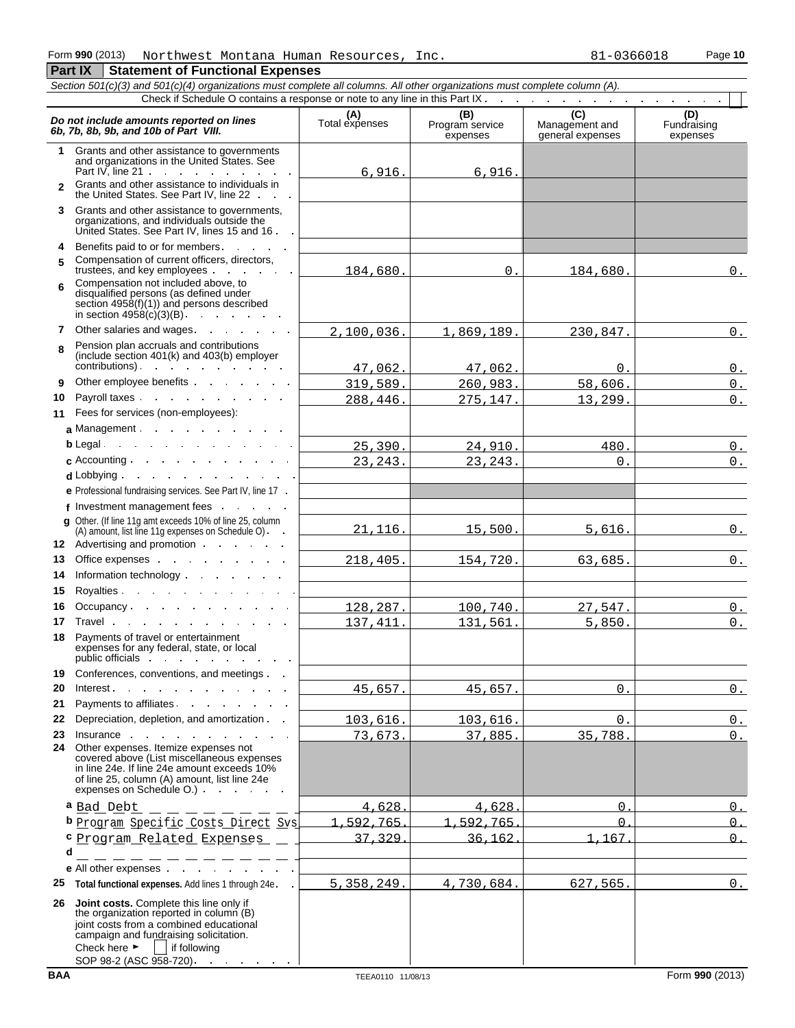### Form **990** (2013) Northwest Montana Human Resources, Inc. 81-0366018 Page 10 **Part IX | Statement of Functional Expenses**

|              | Section 501(c)(3) and 501(c)(4) organizations must complete all columns. All other organizations must complete column (A).<br>Check if Schedule O contains a response or note to any line in this Part IX.                                                                                                                                                                                                                                      |                       |                                    |                                    |                                |
|--------------|-------------------------------------------------------------------------------------------------------------------------------------------------------------------------------------------------------------------------------------------------------------------------------------------------------------------------------------------------------------------------------------------------------------------------------------------------|-----------------------|------------------------------------|------------------------------------|--------------------------------|
|              |                                                                                                                                                                                                                                                                                                                                                                                                                                                 |                       |                                    | (C)                                |                                |
|              | Do not include amounts reported on lines<br>6b, 7b, 8b, 9b, and 10b of Part VIII.                                                                                                                                                                                                                                                                                                                                                               | (A)<br>Total expenses | (B)<br>Program service<br>expenses | Management and<br>general expenses | (D)<br>Fundraising<br>expenses |
| 1            | Grants and other assistance to governments<br>and organizations in the United States. See<br>Part IV, line $21 \cdot \cdot \cdot \cdot \cdot \cdot \cdot \cdot \cdot$                                                                                                                                                                                                                                                                           | 6,916.                | 6,916.                             |                                    |                                |
| $\mathbf{2}$ | Grants and other assistance to individuals in<br>the United States. See Part IV, line 22                                                                                                                                                                                                                                                                                                                                                        |                       |                                    |                                    |                                |
| 3            | Grants and other assistance to governments,<br>organizations, and individuals outside the<br>United States. See Part IV, lines 15 and 16                                                                                                                                                                                                                                                                                                        |                       |                                    |                                    |                                |
| 4            | Benefits paid to or for members.                                                                                                                                                                                                                                                                                                                                                                                                                |                       |                                    |                                    |                                |
| 5            | Compensation of current officers, directors,<br>trustees, and key employees explored the state of the state of the state of the state of the state of the state of the state of the state of the state of the state of the state of the state of the state of the state of the                                                                                                                                                                  | 184,680.              | 0.                                 | 184,680.                           | $0$ .                          |
| 6            | Compensation not included above, to<br>disqualified persons (as defined under<br>section $4958(f)(1)$ and persons described                                                                                                                                                                                                                                                                                                                     |                       |                                    |                                    |                                |
| 7            | Other salaries and wages.                                                                                                                                                                                                                                                                                                                                                                                                                       | 2,100,036.            | 1,869,189.                         | 230,847.                           | 0.                             |
| 8            | Pension plan accruals and contributions<br>(include section 401(k) and 403(b) employer<br>contributions).                                                                                                                                                                                                                                                                                                                                       | 47,062.               | 47,062.                            | 0.                                 |                                |
| 9            | Other employee benefits                                                                                                                                                                                                                                                                                                                                                                                                                         | 319,589.              | 260,983.                           | 58,606.                            | 0.<br>$0$ .                    |
| 10           | Payroll taxes experience and the set of the set of the set of the set of the set of the set of the set of the set of the set of the set of the set of the set of the set of the set of the set of the set of the set of the se                                                                                                                                                                                                                  | 288,446.              | 275,147.                           | 13,299.                            | $0$ .                          |
| 11           | Fees for services (non-employees):                                                                                                                                                                                                                                                                                                                                                                                                              |                       |                                    |                                    |                                |
|              | a Management                                                                                                                                                                                                                                                                                                                                                                                                                                    |                       |                                    |                                    |                                |
|              | b Legal                                                                                                                                                                                                                                                                                                                                                                                                                                         | 25,390.               | 24,910.                            | 480.                               | $0$ .                          |
|              | $\mathbf c$ Accounting $\mathbf c$ .                                                                                                                                                                                                                                                                                                                                                                                                            | 23, 243.              | 23, 243.                           | 0.                                 | $0$ .                          |
|              | d Lobbying                                                                                                                                                                                                                                                                                                                                                                                                                                      |                       |                                    |                                    |                                |
|              | e Professional fundraising services. See Part IV, line 17 .                                                                                                                                                                                                                                                                                                                                                                                     |                       |                                    |                                    |                                |
|              | f Investment management fees                                                                                                                                                                                                                                                                                                                                                                                                                    |                       |                                    |                                    |                                |
|              | g Other. (If line 11g amt exceeds 10% of line 25, column<br>(A) amount, list line 11g expenses on Schedule O).<br>12 Advertising and promotion                                                                                                                                                                                                                                                                                                  | 21, 116.              | 15,500.                            | 5,616.                             | 0.                             |
| 13           | Office expenses and the set of the set of the set of the set of the set of the set of the set of the set of the set of the set of the set of the set of the set of the set of the set of the set of the set of the set of the                                                                                                                                                                                                                   | 218, 405.             | 154,720.                           | 63,685.                            | 0.                             |
| 14           | Information technology exercise the contract of the contract of the contract of the contract of the contract of the contract of the contract of the contract of the contract of the contract of the contract of the contract o                                                                                                                                                                                                                  |                       |                                    |                                    |                                |
| 15           | Royalties.                                                                                                                                                                                                                                                                                                                                                                                                                                      |                       |                                    |                                    |                                |
| 16           |                                                                                                                                                                                                                                                                                                                                                                                                                                                 | 128,287.              | 100,740.                           | 27,547.                            | 0.                             |
| 17           | Travel and the state of the state of the state of the state of the state of the state of the state of the state of the state of the state of the state of the state of the state of the state of the state of the state of the                                                                                                                                                                                                                  | 137, 411.             | 131,561.                           | 5,850.                             | 0.                             |
| 18           | Payments of travel or entertainment<br>expenses for any federal, state, or local<br>public officials in the set of the set of the set of the set of the set of the set of the set of the set of the set of the set of the set of the set of the set of the set of the set of the set of the set of the set of the                                                                                                                               |                       |                                    |                                    |                                |
| 19           | Conferences, conventions, and meetings                                                                                                                                                                                                                                                                                                                                                                                                          |                       |                                    |                                    |                                |
| 20           | Interest.<br><b>Contract Contract</b><br>the control of the control of the con-                                                                                                                                                                                                                                                                                                                                                                 | 45,657.               | 45,657.                            | $\Omega$ .                         | $0$ .                          |
| 21           | Payments to affiliates.                                                                                                                                                                                                                                                                                                                                                                                                                         |                       |                                    |                                    |                                |
| 22           | Depreciation, depletion, and amortization                                                                                                                                                                                                                                                                                                                                                                                                       | 103,616.              | 103,616.                           | $\Omega$ .                         | 0.                             |
| 23<br>24     | Insurance in the contract of the contract of the contract of the contract of the contract of the contract of the contract of the contract of the contract of the contract of the contract of the contract of the contract of t<br>Other expenses. Itemize expenses not<br>covered above (List miscellaneous expenses<br>in line 24e. If line 24e amount exceeds 10%<br>of line 25, column (A) amount, list line 24e<br>expenses on Schedule O.) | 73,673.               | 37,885.                            | 35,788.                            | $0_{.}$                        |
|              | a Bad Debt<br>$\equiv$ $\equiv$ $\equiv$                                                                                                                                                                                                                                                                                                                                                                                                        | 4.628                 | 4.628                              | <sup>n</sup>                       | $\Omega$                       |
|              | b Program Specific Costs Direct Sys                                                                                                                                                                                                                                                                                                                                                                                                             | 592<br>765            | 592.765                            | $\Omega$                           | $\Omega$                       |
|              | <sup>c</sup> Program Related Expenses                                                                                                                                                                                                                                                                                                                                                                                                           | 37<br>329             | 36.162                             | 1.167                              | $\cap$                         |
| d            |                                                                                                                                                                                                                                                                                                                                                                                                                                                 |                       |                                    |                                    |                                |
|              | e All other expenses and the set of the set of the set of the set of the set of the set of the set of the set of the set of the set of the set of the set of the set of the set of the set of the set of the set of the set of                                                                                                                                                                                                                  |                       |                                    |                                    |                                |
| 25           | Total functional expenses. Add lines 1 through 24e.                                                                                                                                                                                                                                                                                                                                                                                             | 5, 358, 249.          | 4,730,684.                         | 627,565.                           | 0.                             |
| 26           | Joint costs. Complete this line only if<br>the organization reported in column (B)<br>joint costs from a combined educational<br>campaign and fundraising solicitation.<br>Check here $\blacktriangleright$<br>if following<br>SOP 98-2 (ASC 958-720).                                                                                                                                                                                          |                       |                                    |                                    |                                |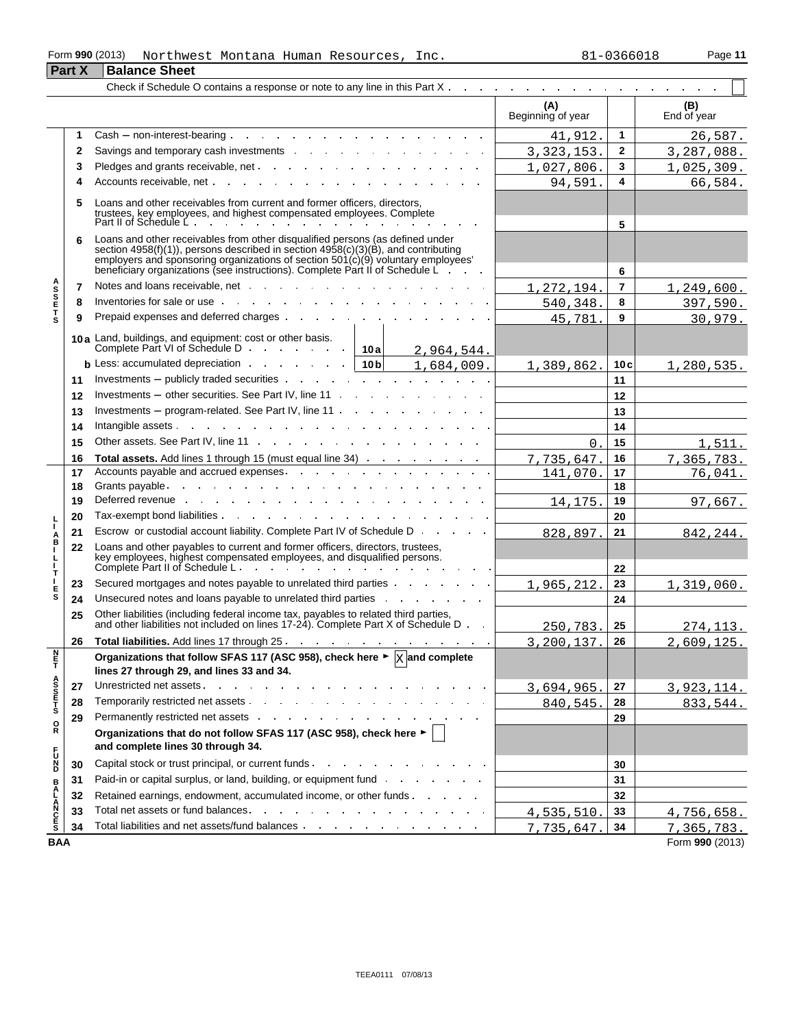#### Form **990** (2013) Page **11** Northwest Montana Human Resources, Inc. 81-0366018

| 31-0366018 |  |  |  |  |  |  |  |  |
|------------|--|--|--|--|--|--|--|--|
|------------|--|--|--|--|--|--|--|--|

|                                 | <b>Part X</b> | <b>Balance Sheet</b>                                                                                                                                                                                                                                                                                                                   |                          |                |                    |
|---------------------------------|---------------|----------------------------------------------------------------------------------------------------------------------------------------------------------------------------------------------------------------------------------------------------------------------------------------------------------------------------------------|--------------------------|----------------|--------------------|
|                                 |               | Check if Schedule O contains a response or note to any line in this Part $X_1, \ldots, X_n, \ldots, X_n, \ldots, X_n, \ldots, X_n, \ldots, X_n$                                                                                                                                                                                        |                          |                |                    |
|                                 |               |                                                                                                                                                                                                                                                                                                                                        | (A)<br>Beginning of year |                | (B)<br>End of year |
|                                 |               |                                                                                                                                                                                                                                                                                                                                        | 41,912.                  | 1              | 26,587.            |
|                                 | 2             | Savings and temporary cash investments expansion of the same state of the same state of the same state of the same state of the same state of the same state of the same state of the same state of the same state of the same                                                                                                         | 3, 323, 153.             | $\mathbf{2}$   | 3,287,088.         |
|                                 | 3             |                                                                                                                                                                                                                                                                                                                                        | 1,027,806.               | 3              | 1,025,309.         |
|                                 | 4             |                                                                                                                                                                                                                                                                                                                                        | 94,591.                  | 4              | 66,584.            |
|                                 | 5             | Loans and other receivables from current and former officers, directors,<br>trustees, key employees, and highest compensated employees. Complete<br>Part II of Schedule L                                                                                                                                                              |                          |                |                    |
|                                 | 6             | Loans and other receivables from other disqualified persons (as defined under<br>section 4958(f)(1)), persons described in section 4958(c)(3)(B), and contributing<br>employers and sponsoring organizations of section 501(c)(9) voluntary employees'<br>beneficiary organizations (see instructions). Complete Part II of Schedule L |                          | 5<br>6         |                    |
|                                 | 7             | Notes and loans receivable, net end and some and some process of the state of the state of the state of the state of the state of the state of the state of the state of the state of the state of the state of the state of t                                                                                                         | 1,272,194                | $\overline{7}$ | 1,249,600.         |
| A<br>S<br>S<br>E<br>T           | 8             | Inventories for sale or use experience of the contract of the sale or use of the contract of the contract of the contract of the contract of the contract of the contract of the contract of the contract of the contract of t                                                                                                         | 540,348                  | 8              | 397,590.           |
|                                 | 9             | Prepaid expenses and deferred charges                                                                                                                                                                                                                                                                                                  | 45,781                   | 9              | 30,979.            |
|                                 |               | 10a Land, buildings, and equipment: cost or other basis.<br>Complete Part VI of Schedule D.<br>10a<br>2,964,544.                                                                                                                                                                                                                       |                          |                |                    |
|                                 |               | <b>b</b> Less: accumulated depreciation and a set of the set of the set of the set of the set of the set of the set of the set of the set of the set of the set of the set of the set of the set of the set of the set of the set o<br>10 <sub>b</sub><br>1,684,009.                                                                   | 1,389,862                | 10c            | 1,280,535.         |
|                                 | 11            | Investments – publicly traded securities $\cdot \cdot \cdot \cdot \cdot \cdot \cdot \cdot \cdot \cdot \cdot \cdot \cdot \cdot \cdot \cdot \cdot \cdot \cdot$                                                                                                                                                                           |                          | 11             |                    |
|                                 | 12            | Investments $-$ other securities. See Part IV, line 11 $\cdots$ $\cdots$ $\cdots$ $\cdots$                                                                                                                                                                                                                                             |                          | 12             |                    |
|                                 | 13            | Investments – program-related. See Part IV, line $11 \cdot \cdot \cdot \cdot \cdot \cdot \cdot \cdot \cdot \cdot \cdot \cdot \cdot \cdot \cdot \cdot$                                                                                                                                                                                  |                          | 13             |                    |
|                                 | 14            |                                                                                                                                                                                                                                                                                                                                        |                          | 14             |                    |
|                                 | 15            |                                                                                                                                                                                                                                                                                                                                        | $\Omega$                 | 15             | 1,511.             |
|                                 | 16            | Total assets. Add lines 1 through 15 (must equal line 34)                                                                                                                                                                                                                                                                              | 7,735,647                | 16             | 7,365,783.         |
|                                 | 17            | Accounts payable and accrued expenses.                                                                                                                                                                                                                                                                                                 | 141,070                  | 17             | 76,041.            |
|                                 | 18            |                                                                                                                                                                                                                                                                                                                                        |                          | 18             |                    |
|                                 | 19            | Deferred revenue with a state of the state of the state of the state of the state of the state of the state of                                                                                                                                                                                                                         | 14,175                   | 19             | 97,667.            |
|                                 | 20            |                                                                                                                                                                                                                                                                                                                                        |                          | 20             |                    |
| Å                               | 21            | Escrow or custodial account liability. Complete Part IV of Schedule D                                                                                                                                                                                                                                                                  | 828,897                  | 21             | 842,244.           |
| т.                              | 22            | Loans and other payables to current and former officers, directors, trustees,<br>key employees, highest compensated employees, and disqualified persons.<br>Complete Part II of Schedule L.                                                                                                                                            |                          | 22             |                    |
| т                               | 23            | Secured mortgages and notes payable to unrelated third parties                                                                                                                                                                                                                                                                         | 1,965,212                | 23             | 1,319,060.         |
| Е<br>s                          | 24            | Unsecured notes and loans payable to unrelated third parties and all the control of the same of the United States of the United States of the United States of the United States of the United States of the United States of                                                                                                          |                          | 24             |                    |
|                                 | 25            | Other liabilities (including federal income tax, payables to related third parties,<br>and other liabilities not included on lines 17-24). Complete Part X of Schedule D.                                                                                                                                                              | 250,783                  | 25             | 274.113.           |
|                                 | 26            |                                                                                                                                                                                                                                                                                                                                        | 3,200,137.               | 26             | 2,609,125.         |
| H <sub>mz</sub>                 |               | Organizations that follow SFAS 117 (ASC 958), check here $\blacktriangleright \boxed{\text{X}}$ and complete<br>lines 27 through 29, and lines 33 and 34.                                                                                                                                                                              |                          |                |                    |
| A<br>S<br>S<br>T<br>S<br>T<br>S | 27            |                                                                                                                                                                                                                                                                                                                                        | 3,694,965.               | 27             | 3,923,114.         |
|                                 | 28            |                                                                                                                                                                                                                                                                                                                                        | 840,545.                 | 28             | 833,544.           |
| $_{\rm R}^{\rm O}$              | 29            |                                                                                                                                                                                                                                                                                                                                        |                          | 29             |                    |
|                                 |               | Organizations that do not follow SFAS 117 (ASC 958), check here $\blacktriangleright$<br>and complete lines 30 through 34.                                                                                                                                                                                                             |                          |                |                    |
| D <sub>N</sub> D                | 30            | Capital stock or trust principal, or current funds                                                                                                                                                                                                                                                                                     |                          | 30             |                    |
|                                 | 31            | Paid-in or capital surplus, or land, building, or equipment fund and and an analyzed or capital surplus, or land                                                                                                                                                                                                                       |                          | 31             |                    |
|                                 | 32            | Retained earnings, endowment, accumulated income, or other funds                                                                                                                                                                                                                                                                       |                          | 32             |                    |
| <b>BALANCES</b>                 | 33            | Total net assets or fund balances. The state of the state of the state of the state of the state of the state of the state of the state of the state of the state of the state of the state of the state of the state of the s                                                                                                         | 4,535,510                | 33             | 4,756,658.         |
|                                 | 34            |                                                                                                                                                                                                                                                                                                                                        | 7,735,647                | 34             | 7,365,783.         |
| <b>BAA</b>                      |               |                                                                                                                                                                                                                                                                                                                                        |                          |                | Form 990 (2013)    |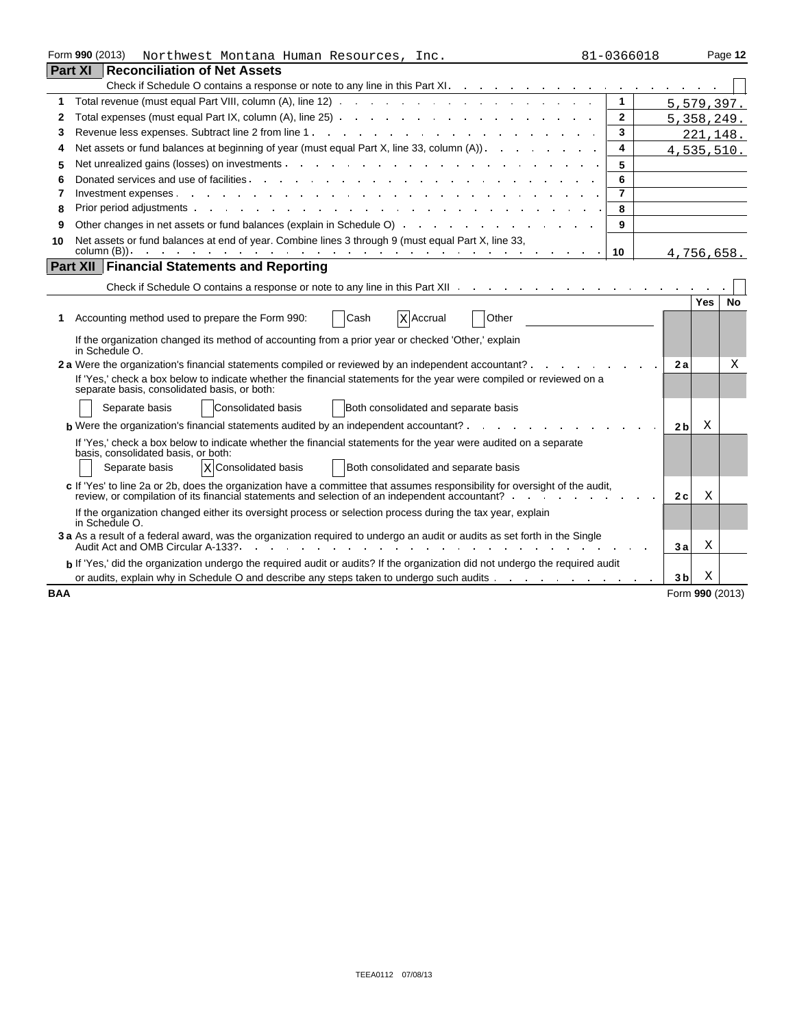| Form 990 (2013)<br>Northwest Montana Human Resources, Inc.<br>81-0366018 |                                                                                                                                                                                                                                     |  |                 |            |           |  |
|--------------------------------------------------------------------------|-------------------------------------------------------------------------------------------------------------------------------------------------------------------------------------------------------------------------------------|--|-----------------|------------|-----------|--|
|                                                                          | Part XI<br><b>Reconciliation of Net Assets</b>                                                                                                                                                                                      |  |                 |            |           |  |
|                                                                          | Check if Schedule O contains a response or note to any line in this Part XI.                                                                                                                                                        |  |                 |            |           |  |
| 1                                                                        | 1                                                                                                                                                                                                                                   |  | 5,579,397.      |            |           |  |
| 2                                                                        | $\mathbf{2}$                                                                                                                                                                                                                        |  | 5,358,249.      |            |           |  |
| 3                                                                        | 3                                                                                                                                                                                                                                   |  |                 | 221,148.   |           |  |
| 4                                                                        | Net assets or fund balances at beginning of year (must equal Part X, line 33, column (A)).<br>4                                                                                                                                     |  | 4,535,510.      |            |           |  |
| 5                                                                        | Net unrealized gains (losses) on investments<br>5                                                                                                                                                                                   |  |                 |            |           |  |
| 6                                                                        | 6<br>Donated services and use of facilities                                                                                                                                                                                         |  |                 |            |           |  |
| 7                                                                        | $\overline{\mathbf{7}}$<br>Investment expenses.                                                                                                                                                                                     |  |                 |            |           |  |
| 8                                                                        | Prior period adjustments and the contract of the contract of the contract of the contract of the contract of the contract of the contract of the contract of the contract of the contract of the contract of the contract of t<br>8 |  |                 |            |           |  |
| 9                                                                        | 9                                                                                                                                                                                                                                   |  |                 |            |           |  |
| 10                                                                       | Net assets or fund balances at end of year. Combine lines 3 through 9 (must equal Part X, line 33,                                                                                                                                  |  |                 |            |           |  |
|                                                                          | column (B)). $\cdots$ $\cdots$ $\cdots$ $\cdots$ $\cdots$ $\cdots$ $\cdots$ $\cdots$ $\cdots$ $\cdots$ $\cdots$ $\cdots$<br>10                                                                                                      |  | 4,756,658.      |            |           |  |
|                                                                          | <b>Part XII Financial Statements and Reporting</b>                                                                                                                                                                                  |  |                 |            |           |  |
|                                                                          | Check if Schedule O contains a response or note to any line in this Part XII                                                                                                                                                        |  |                 |            |           |  |
|                                                                          |                                                                                                                                                                                                                                     |  |                 | <b>Yes</b> | <b>No</b> |  |
| 1                                                                        | Other<br>Accounting method used to prepare the Form 990:<br>Cash<br><b>X</b> Accrual                                                                                                                                                |  |                 |            |           |  |
|                                                                          | If the organization changed its method of accounting from a prior year or checked 'Other,' explain<br>in Schedule O.                                                                                                                |  |                 |            |           |  |
|                                                                          | 2 a Were the organization's financial statements compiled or reviewed by an independent accountant? .                                                                                                                               |  | 2a              |            | Χ         |  |
|                                                                          | If 'Yes,' check a box below to indicate whether the financial statements for the year were compiled or reviewed on a<br>separate basis, consolidated basis, or both:                                                                |  |                 |            |           |  |
|                                                                          | Consolidated basis<br>Both consolidated and separate basis<br>Separate basis                                                                                                                                                        |  |                 |            |           |  |
|                                                                          | <b>b</b> Were the organization's financial statements audited by an independent accountant?                                                                                                                                         |  | 2 <sub>b</sub>  | Χ          |           |  |
|                                                                          | If 'Yes,' check a box below to indicate whether the financial statements for the year were audited on a separate                                                                                                                    |  |                 |            |           |  |
|                                                                          | basis, consolidated basis, or both:                                                                                                                                                                                                 |  |                 |            |           |  |
|                                                                          | Separate basis<br>x Consolidated basis<br>Both consolidated and separate basis                                                                                                                                                      |  |                 |            |           |  |
|                                                                          | c If 'Yes' to line 2a or 2b, does the organization have a committee that assumes responsibility for oversight of the audit,<br>review, or compilation of its financial statements and selection of an independent accountant? .     |  | 2c              | X          |           |  |
|                                                                          | If the organization changed either its oversight process or selection process during the tax year, explain<br>in Schedule O.                                                                                                        |  |                 |            |           |  |
|                                                                          | 3 a As a result of a federal award, was the organization required to undergo an audit or audits as set forth in the Single<br>Audit Act and OMB Circular A-133?                                                                     |  | 3a              | Χ          |           |  |
|                                                                          | b If 'Yes,' did the organization undergo the required audit or audits? If the organization did not undergo the required audit                                                                                                       |  |                 |            |           |  |
|                                                                          | or audits, explain why in Schedule O and describe any steps taken to undergo such audits and the contact of the state of audits and the state of audits of the state of audits of the state of audits and the state of audits       |  | 3 <sub>b</sub>  | Χ          |           |  |
| <b>BAA</b>                                                               |                                                                                                                                                                                                                                     |  | Form 990 (2013) |            |           |  |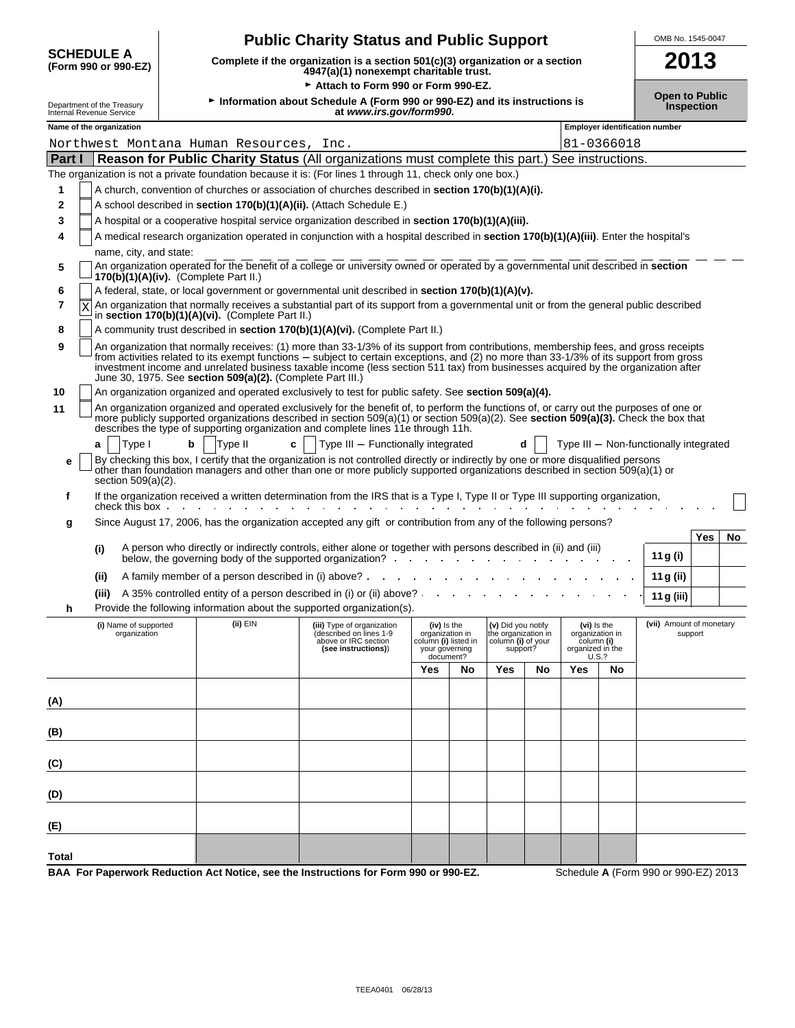| <b>SCHEDULE A</b><br>2013<br>Complete if the organization is a section 501(c)(3) organization or a section<br>(Form 990 or 990-EZ)<br>4947(a)(1) nonexempt charitable trust.<br>Attach to Form 990 or Form 990-EZ.<br><b>Open to Public</b><br>Information about Schedule A (Form 990 or 990-EZ) and its instructions is<br>Department of the Treasury<br><b>Inspection</b><br>at www.irs.gov/form990.<br>Internal Revenue Service<br>Name of the organization<br><b>Employer identification number</b><br>81-0366018<br>Northwest Montana Human Resources,<br>Inc.<br>Reason for Public Charity Status (All organizations must complete this part.) See instructions.<br>Part I<br>The organization is not a private foundation because it is: (For lines 1 through 11, check only one box.)<br>A church, convention of churches or association of churches described in section 170(b)(1)(A)(i).<br>1<br>A school described in section 170(b)(1)(A)(ii). (Attach Schedule E.)<br>2<br>A hospital or a cooperative hospital service organization described in section 170(b)(1)(A)(iii).<br>3<br>A medical research organization operated in conjunction with a hospital described in section 170(b)(1)(A)(iii). Enter the hospital's<br>4<br>name, city, and state:<br>An organization operated for the benefit of a college or university owned or operated by a governmental unit described in section<br>5<br>$170(b)(1)(A)(iv)$ . (Complete Part II.)<br>A federal, state, or local government or governmental unit described in section 170(b)(1)(A)(v).<br>6<br>An organization that normally receives a substantial part of its support from a governmental unit or from the general public described<br>7<br>X<br>in section 170(b)(1)(A)(vi). (Complete Part II.)<br>A community trust described in section 170(b)(1)(A)(vi). (Complete Part II.)<br>8<br>An organization that normally receives: (1) more than 33-1/3% of its support from contributions, membership fees, and gross receipts<br>9<br>from activities related to its exempt functions – subject to certain exceptions, and (2) no more than 33-1/3% of its support from gross<br>investment income and unrelated business taxable income (less section 511 tax) from businesses acquired by the organization after<br>June 30, 1975. See section 509(a)(2). (Complete Part III.)<br>An organization organized and operated exclusively to test for public safety. See section 509(a)(4).<br>10<br>An organization organized and operated exclusively for the benefit of, to perform the functions of, or carry out the purposes of one or<br>11<br>more publicly supported organizations described in section 509(a)(1) or section 509(a)(2). See section 509(a)(3). Check the box that<br>describes the type of supporting organization and complete lines 11e through 11h.<br>Type I<br>Type II<br>Type III - Functionally integrated<br>b<br>c<br>Type III - Non-functionally integrated<br>a<br>By checking this box, I certify that the organization is not controlled directly or indirectly by one or more disqualified persons<br>е<br>other than foundation managers and other than one or more publicly supported organizations described in section 509(a)(1) or<br>section 509(a)(2).<br>If the organization received a written determination from the IRS that is a Type I, Type II or Type III supporting organization,<br>f<br>check this box.<br>Since August 17, 2006, has the organization accepted any gift or contribution from any of the following persons?<br>g<br>Yes<br>No<br>A person who directly or indirectly controls, either alone or together with persons described in (ii) and (iii)<br>(i)<br>11 g (i)<br>below, the governing body of the supported organization? .<br>A family member of a person described in (i) above? .<br>(ii)<br>11 g (ii)<br>A 35% controlled entity of a person described in (i) or (ii) above? .<br>(iii)<br>11 g (iii)<br>Provide the following information about the supported organization(s).<br>(ii) EIN<br>(vii) Amount of monetary<br>(i) Name of supported<br>(iii) Type of organization<br>(iv) is the<br>(v) Did you notify<br>(vi) Is the<br>organization<br>(described on lines 1-9<br>organization in<br>the organization in<br>organization in<br>support<br>above or IRC section<br>column (i) listed in<br>column (i) of your<br>column (i)<br>(see instructions))<br>organized in the<br>your governing<br>support?<br>document?<br>U.S.?<br>Yes<br>No<br>Yes<br>No<br>Yes<br>No<br>(A) |  |  | OMB No. 1545-0047 |  |  |  |  |  |  |  |  |  |
|----------------------------------------------------------------------------------------------------------------------------------------------------------------------------------------------------------------------------------------------------------------------------------------------------------------------------------------------------------------------------------------------------------------------------------------------------------------------------------------------------------------------------------------------------------------------------------------------------------------------------------------------------------------------------------------------------------------------------------------------------------------------------------------------------------------------------------------------------------------------------------------------------------------------------------------------------------------------------------------------------------------------------------------------------------------------------------------------------------------------------------------------------------------------------------------------------------------------------------------------------------------------------------------------------------------------------------------------------------------------------------------------------------------------------------------------------------------------------------------------------------------------------------------------------------------------------------------------------------------------------------------------------------------------------------------------------------------------------------------------------------------------------------------------------------------------------------------------------------------------------------------------------------------------------------------------------------------------------------------------------------------------------------------------------------------------------------------------------------------------------------------------------------------------------------------------------------------------------------------------------------------------------------------------------------------------------------------------------------------------------------------------------------------------------------------------------------------------------------------------------------------------------------------------------------------------------------------------------------------------------------------------------------------------------------------------------------------------------------------------------------------------------------------------------------------------------------------------------------------------------------------------------------------------------------------------------------------------------------------------------------------------------------------------------------------------------------------------------------------------------------------------------------------------------------------------------------------------------------------------------------------------------------------------------------------------------------------------------------------------------------------------------------------------------------------------------------------------------------------------------------------------------------------------------------------------------------------------------------------------------------------------------------------------------------------------------------------------------------------------------------------------------------------------------------------------------------------------------------------------------------------------------------------------------------------------------------------------------------------------------------------------------------------------------------------------------------------------------------------------------------------------------------------------------------------------------------------------------------------------------------------------------------------------------------------------------------------------------------------------------------------------------------------------------------------------------------------------------------------------------------------------------------------------------|--|--|-------------------|--|--|--|--|--|--|--|--|--|
|                                                                                                                                                                                                                                                                                                                                                                                                                                                                                                                                                                                                                                                                                                                                                                                                                                                                                                                                                                                                                                                                                                                                                                                                                                                                                                                                                                                                                                                                                                                                                                                                                                                                                                                                                                                                                                                                                                                                                                                                                                                                                                                                                                                                                                                                                                                                                                                                                                                                                                                                                                                                                                                                                                                                                                                                                                                                                                                                                                                                                                                                                                                                                                                                                                                                                                                                                                                                                                                                                                                                                                                                                                                                                                                                                                                                                                                                                                                                                                                                                                                                                                                                                                                                                                                                                                                                                                                                                                                                                                                                                    |  |  |                   |  |  |  |  |  |  |  |  |  |
|                                                                                                                                                                                                                                                                                                                                                                                                                                                                                                                                                                                                                                                                                                                                                                                                                                                                                                                                                                                                                                                                                                                                                                                                                                                                                                                                                                                                                                                                                                                                                                                                                                                                                                                                                                                                                                                                                                                                                                                                                                                                                                                                                                                                                                                                                                                                                                                                                                                                                                                                                                                                                                                                                                                                                                                                                                                                                                                                                                                                                                                                                                                                                                                                                                                                                                                                                                                                                                                                                                                                                                                                                                                                                                                                                                                                                                                                                                                                                                                                                                                                                                                                                                                                                                                                                                                                                                                                                                                                                                                                                    |  |  |                   |  |  |  |  |  |  |  |  |  |
|                                                                                                                                                                                                                                                                                                                                                                                                                                                                                                                                                                                                                                                                                                                                                                                                                                                                                                                                                                                                                                                                                                                                                                                                                                                                                                                                                                                                                                                                                                                                                                                                                                                                                                                                                                                                                                                                                                                                                                                                                                                                                                                                                                                                                                                                                                                                                                                                                                                                                                                                                                                                                                                                                                                                                                                                                                                                                                                                                                                                                                                                                                                                                                                                                                                                                                                                                                                                                                                                                                                                                                                                                                                                                                                                                                                                                                                                                                                                                                                                                                                                                                                                                                                                                                                                                                                                                                                                                                                                                                                                                    |  |  |                   |  |  |  |  |  |  |  |  |  |
|                                                                                                                                                                                                                                                                                                                                                                                                                                                                                                                                                                                                                                                                                                                                                                                                                                                                                                                                                                                                                                                                                                                                                                                                                                                                                                                                                                                                                                                                                                                                                                                                                                                                                                                                                                                                                                                                                                                                                                                                                                                                                                                                                                                                                                                                                                                                                                                                                                                                                                                                                                                                                                                                                                                                                                                                                                                                                                                                                                                                                                                                                                                                                                                                                                                                                                                                                                                                                                                                                                                                                                                                                                                                                                                                                                                                                                                                                                                                                                                                                                                                                                                                                                                                                                                                                                                                                                                                                                                                                                                                                    |  |  |                   |  |  |  |  |  |  |  |  |  |
|                                                                                                                                                                                                                                                                                                                                                                                                                                                                                                                                                                                                                                                                                                                                                                                                                                                                                                                                                                                                                                                                                                                                                                                                                                                                                                                                                                                                                                                                                                                                                                                                                                                                                                                                                                                                                                                                                                                                                                                                                                                                                                                                                                                                                                                                                                                                                                                                                                                                                                                                                                                                                                                                                                                                                                                                                                                                                                                                                                                                                                                                                                                                                                                                                                                                                                                                                                                                                                                                                                                                                                                                                                                                                                                                                                                                                                                                                                                                                                                                                                                                                                                                                                                                                                                                                                                                                                                                                                                                                                                                                    |  |  |                   |  |  |  |  |  |  |  |  |  |
|                                                                                                                                                                                                                                                                                                                                                                                                                                                                                                                                                                                                                                                                                                                                                                                                                                                                                                                                                                                                                                                                                                                                                                                                                                                                                                                                                                                                                                                                                                                                                                                                                                                                                                                                                                                                                                                                                                                                                                                                                                                                                                                                                                                                                                                                                                                                                                                                                                                                                                                                                                                                                                                                                                                                                                                                                                                                                                                                                                                                                                                                                                                                                                                                                                                                                                                                                                                                                                                                                                                                                                                                                                                                                                                                                                                                                                                                                                                                                                                                                                                                                                                                                                                                                                                                                                                                                                                                                                                                                                                                                    |  |  |                   |  |  |  |  |  |  |  |  |  |
|                                                                                                                                                                                                                                                                                                                                                                                                                                                                                                                                                                                                                                                                                                                                                                                                                                                                                                                                                                                                                                                                                                                                                                                                                                                                                                                                                                                                                                                                                                                                                                                                                                                                                                                                                                                                                                                                                                                                                                                                                                                                                                                                                                                                                                                                                                                                                                                                                                                                                                                                                                                                                                                                                                                                                                                                                                                                                                                                                                                                                                                                                                                                                                                                                                                                                                                                                                                                                                                                                                                                                                                                                                                                                                                                                                                                                                                                                                                                                                                                                                                                                                                                                                                                                                                                                                                                                                                                                                                                                                                                                    |  |  |                   |  |  |  |  |  |  |  |  |  |
|                                                                                                                                                                                                                                                                                                                                                                                                                                                                                                                                                                                                                                                                                                                                                                                                                                                                                                                                                                                                                                                                                                                                                                                                                                                                                                                                                                                                                                                                                                                                                                                                                                                                                                                                                                                                                                                                                                                                                                                                                                                                                                                                                                                                                                                                                                                                                                                                                                                                                                                                                                                                                                                                                                                                                                                                                                                                                                                                                                                                                                                                                                                                                                                                                                                                                                                                                                                                                                                                                                                                                                                                                                                                                                                                                                                                                                                                                                                                                                                                                                                                                                                                                                                                                                                                                                                                                                                                                                                                                                                                                    |  |  |                   |  |  |  |  |  |  |  |  |  |
|                                                                                                                                                                                                                                                                                                                                                                                                                                                                                                                                                                                                                                                                                                                                                                                                                                                                                                                                                                                                                                                                                                                                                                                                                                                                                                                                                                                                                                                                                                                                                                                                                                                                                                                                                                                                                                                                                                                                                                                                                                                                                                                                                                                                                                                                                                                                                                                                                                                                                                                                                                                                                                                                                                                                                                                                                                                                                                                                                                                                                                                                                                                                                                                                                                                                                                                                                                                                                                                                                                                                                                                                                                                                                                                                                                                                                                                                                                                                                                                                                                                                                                                                                                                                                                                                                                                                                                                                                                                                                                                                                    |  |  |                   |  |  |  |  |  |  |  |  |  |
|                                                                                                                                                                                                                                                                                                                                                                                                                                                                                                                                                                                                                                                                                                                                                                                                                                                                                                                                                                                                                                                                                                                                                                                                                                                                                                                                                                                                                                                                                                                                                                                                                                                                                                                                                                                                                                                                                                                                                                                                                                                                                                                                                                                                                                                                                                                                                                                                                                                                                                                                                                                                                                                                                                                                                                                                                                                                                                                                                                                                                                                                                                                                                                                                                                                                                                                                                                                                                                                                                                                                                                                                                                                                                                                                                                                                                                                                                                                                                                                                                                                                                                                                                                                                                                                                                                                                                                                                                                                                                                                                                    |  |  |                   |  |  |  |  |  |  |  |  |  |
|                                                                                                                                                                                                                                                                                                                                                                                                                                                                                                                                                                                                                                                                                                                                                                                                                                                                                                                                                                                                                                                                                                                                                                                                                                                                                                                                                                                                                                                                                                                                                                                                                                                                                                                                                                                                                                                                                                                                                                                                                                                                                                                                                                                                                                                                                                                                                                                                                                                                                                                                                                                                                                                                                                                                                                                                                                                                                                                                                                                                                                                                                                                                                                                                                                                                                                                                                                                                                                                                                                                                                                                                                                                                                                                                                                                                                                                                                                                                                                                                                                                                                                                                                                                                                                                                                                                                                                                                                                                                                                                                                    |  |  |                   |  |  |  |  |  |  |  |  |  |
|                                                                                                                                                                                                                                                                                                                                                                                                                                                                                                                                                                                                                                                                                                                                                                                                                                                                                                                                                                                                                                                                                                                                                                                                                                                                                                                                                                                                                                                                                                                                                                                                                                                                                                                                                                                                                                                                                                                                                                                                                                                                                                                                                                                                                                                                                                                                                                                                                                                                                                                                                                                                                                                                                                                                                                                                                                                                                                                                                                                                                                                                                                                                                                                                                                                                                                                                                                                                                                                                                                                                                                                                                                                                                                                                                                                                                                                                                                                                                                                                                                                                                                                                                                                                                                                                                                                                                                                                                                                                                                                                                    |  |  |                   |  |  |  |  |  |  |  |  |  |
|                                                                                                                                                                                                                                                                                                                                                                                                                                                                                                                                                                                                                                                                                                                                                                                                                                                                                                                                                                                                                                                                                                                                                                                                                                                                                                                                                                                                                                                                                                                                                                                                                                                                                                                                                                                                                                                                                                                                                                                                                                                                                                                                                                                                                                                                                                                                                                                                                                                                                                                                                                                                                                                                                                                                                                                                                                                                                                                                                                                                                                                                                                                                                                                                                                                                                                                                                                                                                                                                                                                                                                                                                                                                                                                                                                                                                                                                                                                                                                                                                                                                                                                                                                                                                                                                                                                                                                                                                                                                                                                                                    |  |  |                   |  |  |  |  |  |  |  |  |  |
|                                                                                                                                                                                                                                                                                                                                                                                                                                                                                                                                                                                                                                                                                                                                                                                                                                                                                                                                                                                                                                                                                                                                                                                                                                                                                                                                                                                                                                                                                                                                                                                                                                                                                                                                                                                                                                                                                                                                                                                                                                                                                                                                                                                                                                                                                                                                                                                                                                                                                                                                                                                                                                                                                                                                                                                                                                                                                                                                                                                                                                                                                                                                                                                                                                                                                                                                                                                                                                                                                                                                                                                                                                                                                                                                                                                                                                                                                                                                                                                                                                                                                                                                                                                                                                                                                                                                                                                                                                                                                                                                                    |  |  |                   |  |  |  |  |  |  |  |  |  |
|                                                                                                                                                                                                                                                                                                                                                                                                                                                                                                                                                                                                                                                                                                                                                                                                                                                                                                                                                                                                                                                                                                                                                                                                                                                                                                                                                                                                                                                                                                                                                                                                                                                                                                                                                                                                                                                                                                                                                                                                                                                                                                                                                                                                                                                                                                                                                                                                                                                                                                                                                                                                                                                                                                                                                                                                                                                                                                                                                                                                                                                                                                                                                                                                                                                                                                                                                                                                                                                                                                                                                                                                                                                                                                                                                                                                                                                                                                                                                                                                                                                                                                                                                                                                                                                                                                                                                                                                                                                                                                                                                    |  |  |                   |  |  |  |  |  |  |  |  |  |
|                                                                                                                                                                                                                                                                                                                                                                                                                                                                                                                                                                                                                                                                                                                                                                                                                                                                                                                                                                                                                                                                                                                                                                                                                                                                                                                                                                                                                                                                                                                                                                                                                                                                                                                                                                                                                                                                                                                                                                                                                                                                                                                                                                                                                                                                                                                                                                                                                                                                                                                                                                                                                                                                                                                                                                                                                                                                                                                                                                                                                                                                                                                                                                                                                                                                                                                                                                                                                                                                                                                                                                                                                                                                                                                                                                                                                                                                                                                                                                                                                                                                                                                                                                                                                                                                                                                                                                                                                                                                                                                                                    |  |  |                   |  |  |  |  |  |  |  |  |  |
|                                                                                                                                                                                                                                                                                                                                                                                                                                                                                                                                                                                                                                                                                                                                                                                                                                                                                                                                                                                                                                                                                                                                                                                                                                                                                                                                                                                                                                                                                                                                                                                                                                                                                                                                                                                                                                                                                                                                                                                                                                                                                                                                                                                                                                                                                                                                                                                                                                                                                                                                                                                                                                                                                                                                                                                                                                                                                                                                                                                                                                                                                                                                                                                                                                                                                                                                                                                                                                                                                                                                                                                                                                                                                                                                                                                                                                                                                                                                                                                                                                                                                                                                                                                                                                                                                                                                                                                                                                                                                                                                                    |  |  |                   |  |  |  |  |  |  |  |  |  |
|                                                                                                                                                                                                                                                                                                                                                                                                                                                                                                                                                                                                                                                                                                                                                                                                                                                                                                                                                                                                                                                                                                                                                                                                                                                                                                                                                                                                                                                                                                                                                                                                                                                                                                                                                                                                                                                                                                                                                                                                                                                                                                                                                                                                                                                                                                                                                                                                                                                                                                                                                                                                                                                                                                                                                                                                                                                                                                                                                                                                                                                                                                                                                                                                                                                                                                                                                                                                                                                                                                                                                                                                                                                                                                                                                                                                                                                                                                                                                                                                                                                                                                                                                                                                                                                                                                                                                                                                                                                                                                                                                    |  |  |                   |  |  |  |  |  |  |  |  |  |
|                                                                                                                                                                                                                                                                                                                                                                                                                                                                                                                                                                                                                                                                                                                                                                                                                                                                                                                                                                                                                                                                                                                                                                                                                                                                                                                                                                                                                                                                                                                                                                                                                                                                                                                                                                                                                                                                                                                                                                                                                                                                                                                                                                                                                                                                                                                                                                                                                                                                                                                                                                                                                                                                                                                                                                                                                                                                                                                                                                                                                                                                                                                                                                                                                                                                                                                                                                                                                                                                                                                                                                                                                                                                                                                                                                                                                                                                                                                                                                                                                                                                                                                                                                                                                                                                                                                                                                                                                                                                                                                                                    |  |  |                   |  |  |  |  |  |  |  |  |  |
|                                                                                                                                                                                                                                                                                                                                                                                                                                                                                                                                                                                                                                                                                                                                                                                                                                                                                                                                                                                                                                                                                                                                                                                                                                                                                                                                                                                                                                                                                                                                                                                                                                                                                                                                                                                                                                                                                                                                                                                                                                                                                                                                                                                                                                                                                                                                                                                                                                                                                                                                                                                                                                                                                                                                                                                                                                                                                                                                                                                                                                                                                                                                                                                                                                                                                                                                                                                                                                                                                                                                                                                                                                                                                                                                                                                                                                                                                                                                                                                                                                                                                                                                                                                                                                                                                                                                                                                                                                                                                                                                                    |  |  |                   |  |  |  |  |  |  |  |  |  |
|                                                                                                                                                                                                                                                                                                                                                                                                                                                                                                                                                                                                                                                                                                                                                                                                                                                                                                                                                                                                                                                                                                                                                                                                                                                                                                                                                                                                                                                                                                                                                                                                                                                                                                                                                                                                                                                                                                                                                                                                                                                                                                                                                                                                                                                                                                                                                                                                                                                                                                                                                                                                                                                                                                                                                                                                                                                                                                                                                                                                                                                                                                                                                                                                                                                                                                                                                                                                                                                                                                                                                                                                                                                                                                                                                                                                                                                                                                                                                                                                                                                                                                                                                                                                                                                                                                                                                                                                                                                                                                                                                    |  |  |                   |  |  |  |  |  |  |  |  |  |
|                                                                                                                                                                                                                                                                                                                                                                                                                                                                                                                                                                                                                                                                                                                                                                                                                                                                                                                                                                                                                                                                                                                                                                                                                                                                                                                                                                                                                                                                                                                                                                                                                                                                                                                                                                                                                                                                                                                                                                                                                                                                                                                                                                                                                                                                                                                                                                                                                                                                                                                                                                                                                                                                                                                                                                                                                                                                                                                                                                                                                                                                                                                                                                                                                                                                                                                                                                                                                                                                                                                                                                                                                                                                                                                                                                                                                                                                                                                                                                                                                                                                                                                                                                                                                                                                                                                                                                                                                                                                                                                                                    |  |  |                   |  |  |  |  |  |  |  |  |  |
|                                                                                                                                                                                                                                                                                                                                                                                                                                                                                                                                                                                                                                                                                                                                                                                                                                                                                                                                                                                                                                                                                                                                                                                                                                                                                                                                                                                                                                                                                                                                                                                                                                                                                                                                                                                                                                                                                                                                                                                                                                                                                                                                                                                                                                                                                                                                                                                                                                                                                                                                                                                                                                                                                                                                                                                                                                                                                                                                                                                                                                                                                                                                                                                                                                                                                                                                                                                                                                                                                                                                                                                                                                                                                                                                                                                                                                                                                                                                                                                                                                                                                                                                                                                                                                                                                                                                                                                                                                                                                                                                                    |  |  |                   |  |  |  |  |  |  |  |  |  |
|                                                                                                                                                                                                                                                                                                                                                                                                                                                                                                                                                                                                                                                                                                                                                                                                                                                                                                                                                                                                                                                                                                                                                                                                                                                                                                                                                                                                                                                                                                                                                                                                                                                                                                                                                                                                                                                                                                                                                                                                                                                                                                                                                                                                                                                                                                                                                                                                                                                                                                                                                                                                                                                                                                                                                                                                                                                                                                                                                                                                                                                                                                                                                                                                                                                                                                                                                                                                                                                                                                                                                                                                                                                                                                                                                                                                                                                                                                                                                                                                                                                                                                                                                                                                                                                                                                                                                                                                                                                                                                                                                    |  |  |                   |  |  |  |  |  |  |  |  |  |
|                                                                                                                                                                                                                                                                                                                                                                                                                                                                                                                                                                                                                                                                                                                                                                                                                                                                                                                                                                                                                                                                                                                                                                                                                                                                                                                                                                                                                                                                                                                                                                                                                                                                                                                                                                                                                                                                                                                                                                                                                                                                                                                                                                                                                                                                                                                                                                                                                                                                                                                                                                                                                                                                                                                                                                                                                                                                                                                                                                                                                                                                                                                                                                                                                                                                                                                                                                                                                                                                                                                                                                                                                                                                                                                                                                                                                                                                                                                                                                                                                                                                                                                                                                                                                                                                                                                                                                                                                                                                                                                                                    |  |  |                   |  |  |  |  |  |  |  |  |  |
|                                                                                                                                                                                                                                                                                                                                                                                                                                                                                                                                                                                                                                                                                                                                                                                                                                                                                                                                                                                                                                                                                                                                                                                                                                                                                                                                                                                                                                                                                                                                                                                                                                                                                                                                                                                                                                                                                                                                                                                                                                                                                                                                                                                                                                                                                                                                                                                                                                                                                                                                                                                                                                                                                                                                                                                                                                                                                                                                                                                                                                                                                                                                                                                                                                                                                                                                                                                                                                                                                                                                                                                                                                                                                                                                                                                                                                                                                                                                                                                                                                                                                                                                                                                                                                                                                                                                                                                                                                                                                                                                                    |  |  |                   |  |  |  |  |  |  |  |  |  |
|                                                                                                                                                                                                                                                                                                                                                                                                                                                                                                                                                                                                                                                                                                                                                                                                                                                                                                                                                                                                                                                                                                                                                                                                                                                                                                                                                                                                                                                                                                                                                                                                                                                                                                                                                                                                                                                                                                                                                                                                                                                                                                                                                                                                                                                                                                                                                                                                                                                                                                                                                                                                                                                                                                                                                                                                                                                                                                                                                                                                                                                                                                                                                                                                                                                                                                                                                                                                                                                                                                                                                                                                                                                                                                                                                                                                                                                                                                                                                                                                                                                                                                                                                                                                                                                                                                                                                                                                                                                                                                                                                    |  |  |                   |  |  |  |  |  |  |  |  |  |
|                                                                                                                                                                                                                                                                                                                                                                                                                                                                                                                                                                                                                                                                                                                                                                                                                                                                                                                                                                                                                                                                                                                                                                                                                                                                                                                                                                                                                                                                                                                                                                                                                                                                                                                                                                                                                                                                                                                                                                                                                                                                                                                                                                                                                                                                                                                                                                                                                                                                                                                                                                                                                                                                                                                                                                                                                                                                                                                                                                                                                                                                                                                                                                                                                                                                                                                                                                                                                                                                                                                                                                                                                                                                                                                                                                                                                                                                                                                                                                                                                                                                                                                                                                                                                                                                                                                                                                                                                                                                                                                                                    |  |  |                   |  |  |  |  |  |  |  |  |  |
|                                                                                                                                                                                                                                                                                                                                                                                                                                                                                                                                                                                                                                                                                                                                                                                                                                                                                                                                                                                                                                                                                                                                                                                                                                                                                                                                                                                                                                                                                                                                                                                                                                                                                                                                                                                                                                                                                                                                                                                                                                                                                                                                                                                                                                                                                                                                                                                                                                                                                                                                                                                                                                                                                                                                                                                                                                                                                                                                                                                                                                                                                                                                                                                                                                                                                                                                                                                                                                                                                                                                                                                                                                                                                                                                                                                                                                                                                                                                                                                                                                                                                                                                                                                                                                                                                                                                                                                                                                                                                                                                                    |  |  |                   |  |  |  |  |  |  |  |  |  |
|                                                                                                                                                                                                                                                                                                                                                                                                                                                                                                                                                                                                                                                                                                                                                                                                                                                                                                                                                                                                                                                                                                                                                                                                                                                                                                                                                                                                                                                                                                                                                                                                                                                                                                                                                                                                                                                                                                                                                                                                                                                                                                                                                                                                                                                                                                                                                                                                                                                                                                                                                                                                                                                                                                                                                                                                                                                                                                                                                                                                                                                                                                                                                                                                                                                                                                                                                                                                                                                                                                                                                                                                                                                                                                                                                                                                                                                                                                                                                                                                                                                                                                                                                                                                                                                                                                                                                                                                                                                                                                                                                    |  |  |                   |  |  |  |  |  |  |  |  |  |
|                                                                                                                                                                                                                                                                                                                                                                                                                                                                                                                                                                                                                                                                                                                                                                                                                                                                                                                                                                                                                                                                                                                                                                                                                                                                                                                                                                                                                                                                                                                                                                                                                                                                                                                                                                                                                                                                                                                                                                                                                                                                                                                                                                                                                                                                                                                                                                                                                                                                                                                                                                                                                                                                                                                                                                                                                                                                                                                                                                                                                                                                                                                                                                                                                                                                                                                                                                                                                                                                                                                                                                                                                                                                                                                                                                                                                                                                                                                                                                                                                                                                                                                                                                                                                                                                                                                                                                                                                                                                                                                                                    |  |  |                   |  |  |  |  |  |  |  |  |  |
| (B)                                                                                                                                                                                                                                                                                                                                                                                                                                                                                                                                                                                                                                                                                                                                                                                                                                                                                                                                                                                                                                                                                                                                                                                                                                                                                                                                                                                                                                                                                                                                                                                                                                                                                                                                                                                                                                                                                                                                                                                                                                                                                                                                                                                                                                                                                                                                                                                                                                                                                                                                                                                                                                                                                                                                                                                                                                                                                                                                                                                                                                                                                                                                                                                                                                                                                                                                                                                                                                                                                                                                                                                                                                                                                                                                                                                                                                                                                                                                                                                                                                                                                                                                                                                                                                                                                                                                                                                                                                                                                                                                                |  |  |                   |  |  |  |  |  |  |  |  |  |
| (C)                                                                                                                                                                                                                                                                                                                                                                                                                                                                                                                                                                                                                                                                                                                                                                                                                                                                                                                                                                                                                                                                                                                                                                                                                                                                                                                                                                                                                                                                                                                                                                                                                                                                                                                                                                                                                                                                                                                                                                                                                                                                                                                                                                                                                                                                                                                                                                                                                                                                                                                                                                                                                                                                                                                                                                                                                                                                                                                                                                                                                                                                                                                                                                                                                                                                                                                                                                                                                                                                                                                                                                                                                                                                                                                                                                                                                                                                                                                                                                                                                                                                                                                                                                                                                                                                                                                                                                                                                                                                                                                                                |  |  |                   |  |  |  |  |  |  |  |  |  |
| (D)                                                                                                                                                                                                                                                                                                                                                                                                                                                                                                                                                                                                                                                                                                                                                                                                                                                                                                                                                                                                                                                                                                                                                                                                                                                                                                                                                                                                                                                                                                                                                                                                                                                                                                                                                                                                                                                                                                                                                                                                                                                                                                                                                                                                                                                                                                                                                                                                                                                                                                                                                                                                                                                                                                                                                                                                                                                                                                                                                                                                                                                                                                                                                                                                                                                                                                                                                                                                                                                                                                                                                                                                                                                                                                                                                                                                                                                                                                                                                                                                                                                                                                                                                                                                                                                                                                                                                                                                                                                                                                                                                |  |  |                   |  |  |  |  |  |  |  |  |  |
| (E)                                                                                                                                                                                                                                                                                                                                                                                                                                                                                                                                                                                                                                                                                                                                                                                                                                                                                                                                                                                                                                                                                                                                                                                                                                                                                                                                                                                                                                                                                                                                                                                                                                                                                                                                                                                                                                                                                                                                                                                                                                                                                                                                                                                                                                                                                                                                                                                                                                                                                                                                                                                                                                                                                                                                                                                                                                                                                                                                                                                                                                                                                                                                                                                                                                                                                                                                                                                                                                                                                                                                                                                                                                                                                                                                                                                                                                                                                                                                                                                                                                                                                                                                                                                                                                                                                                                                                                                                                                                                                                                                                |  |  |                   |  |  |  |  |  |  |  |  |  |
| Total                                                                                                                                                                                                                                                                                                                                                                                                                                                                                                                                                                                                                                                                                                                                                                                                                                                                                                                                                                                                                                                                                                                                                                                                                                                                                                                                                                                                                                                                                                                                                                                                                                                                                                                                                                                                                                                                                                                                                                                                                                                                                                                                                                                                                                                                                                                                                                                                                                                                                                                                                                                                                                                                                                                                                                                                                                                                                                                                                                                                                                                                                                                                                                                                                                                                                                                                                                                                                                                                                                                                                                                                                                                                                                                                                                                                                                                                                                                                                                                                                                                                                                                                                                                                                                                                                                                                                                                                                                                                                                                                              |  |  |                   |  |  |  |  |  |  |  |  |  |

**BAA For Paperwork Reduction Act Notice, see the Instructions for Form 990 or 990-EZ.** Schedule **A** (Form 990 or 990-EZ) 2013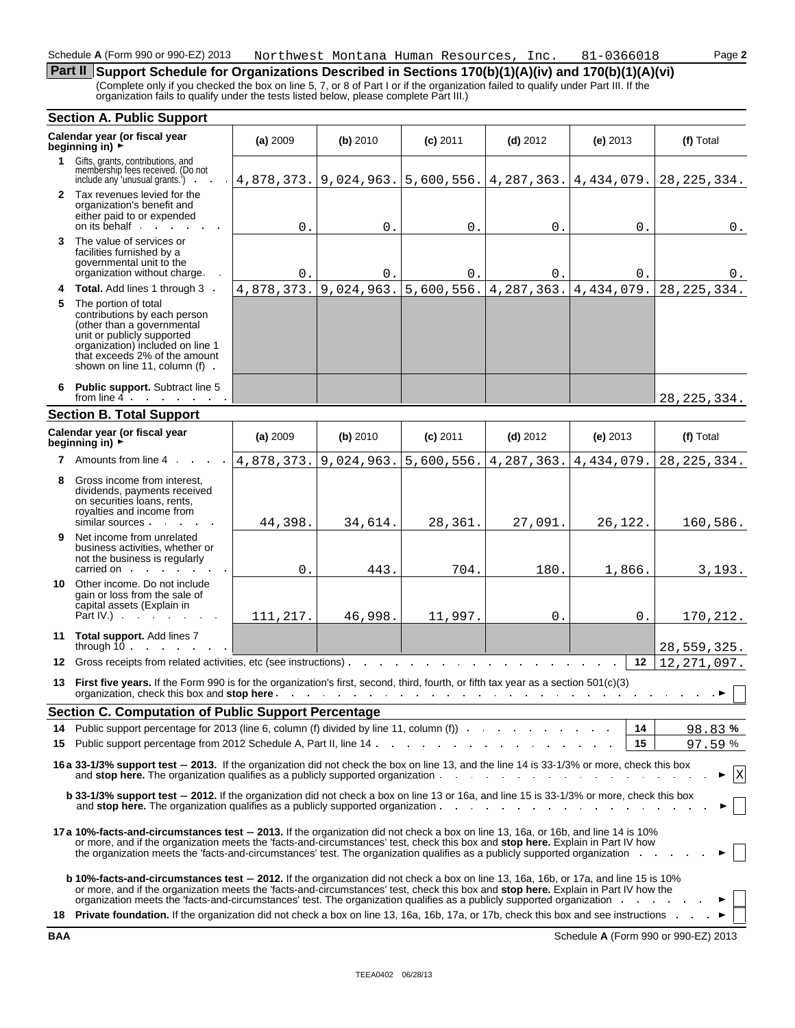## **Part II** Support Schedule for Organizations Described in Sections 170(b)(1)(A)(iv) and 170(b)(1)(A)(vi)

(Complete only if you checked the box on line 5, 7, or 8 of Part I or if the organization failed to qualify under Part III. If the organization fails to qualify under the tests listed below, please complete Part III.)

#### **Section A. Public Support Calendar year (or fiscal year (a) 2009 (b) 2010 <b>(c)** 2011 **(d)** 2012 **(e)** 2013 **(f)** Total **beginning in)** ► (f) Total **1** Gifts, grants, contributions, and membership fees received. (Do not include any 'unusual grants.') 4,878,373. 9,024,963. 5,600,556. 4,287,363. 4,434,079. 28,225,334. **2** Tax revenues levied for the organization's benefit and either paid to or expended  $\boldsymbol{0}$  . on its behalf  $\mathcal{L}^{\text{max}}$  and  $0.$  0. 0. 0. 0. 0. **3** The value of services or facilities furnished by a governmental unit to the organization without charge  $0.$  0. 0. 0. 0. 0. 0. 4,878,373. 9,024,963. 5,600,556. 4,287,363. 4,434,079. **4 Total.** Add lines 1 through 3 28,225,334. **5** The portion of total contributions by each person (other than a governmental unit or publicly supported organization) included on line 1 that exceeds 2% of the amount shown on line 11, column (f) . **6 Public support.** Subtract line 5 from line 4. 28,225,334. **Section B. Total Support Calendar year (or fiscal year (a)** <sup>2009</sup> **(b)** <sup>2010</sup> **(c)**<sup>2011</sup> **(d)**<sup>2012</sup> **(e)**<sup>2013</sup> **(f)** Total **beginning in)** <sup>G</sup> **7** Amounts from line 4 4,878,373. 9,024,963. 5,600,556. 4,287,363. 4,434,079. 28,225,334. **8** Gross income from interest, dividends, payments received on securities loans, rents, royalties and income from 44,398. 34,614. 28,361. 27,091. 26,122. similar sources. 160,586. **9** Net income from unrelated business activities, whether or not the business is regularly carried on 3,193.  $0.$  443. 704. 180. 1,866.  $\sim 10^{-1}$  $\sim 10^{-1}$  $\sim$ **10** Other income. Do not include gain or loss from the sale of capital assets (Explain in Part IV.) . 111,217. | 46,998. | 11,997. | 0. | 0 170,212. **11 Total support.** Add lines 7 through 10 28,559,325. **12** Gross receipts from related activities, etc (see instructions) **12** 12,271,097. **13 First five years.** If the Form 990 is for the organization's first, second, third, fourth, or fifth tax year as a section 501(c)(3) organization, check this box and **stop here**  $\sim$  $\sim$  $\sim$  $\sim$  $\mathcal{A}^{\mathcal{A}}$  and  $\mathcal{A}^{\mathcal{A}}$  and  $\mathcal{A}^{\mathcal{A}}$  $\sim$  $\sim$  $\sim$  $\alpha$  $\ddot{\phantom{a}}$ . ► **Section C. Computation of Public Support Percentage 14** Public support percentage for 2013 (line 6, column (f) divided by line 11, column (f)) **14 %** 83% 97 **15** Public support percentage from 2012 Schedule A, Part II, line 14 and the substitution of the state of the state of  $\frac{1}{5}$  and  $\frac{1}{5}$  and  $\frac{1}{5}$  and  $\frac{1}{5}$  and  $\frac{1}{5}$  and  $\frac{1}{5}$  and  $\frac{1}{5}$  and  $\frac{$ **16a 33-1/3% support test** ' **2013.** If the organization did not check the box on line 13, and the line 14 is 33-1/3% or more, check this box and **stop here.** The organization qualifies as a publicly supported organization X  $\sim$  $\sim$ and the company of  $\sim$  $\alpha$  $\mathcal{L}$ **b** 33-1/3% support test  $-$  2012. If the organization did not check a box on line 13 or 16a, and line 15 is 33-1/3% or more, check this box and **stop here.** The organization qualifies as a publicly supported organization **17a 10%-facts-and-circumstances test** ' **2013.** If the organization did not check a box on line 13, 16a, or 16b, and line 14 is 10% or more, and if the organization meets the 'facts-and-circumstances' test, check this box and **stop here.** Explain in Part IV how the organization meets the 'facts-and-circumstances' test. The organization qualifies as a publicly supported organization. **b 10%-facts-and-circumstances test** ' **2012.** If the organization did not check a box on line 13, 16a, 16b, or 17a, and line 15 is 10% or more, and if the organization meets the 'facts-and-circumstances' test, check this box and **stop here.** Explain in Part IV how the organization meets the 'facts-and-circumstances' test. The organization qualifies as a publicly supported organization 18 Private foundation. If the organization did not check a box on line 13, 16a, 16b, 17a, or 17b, check this box and see instructions .

**BAA** Schedule **A** (Form 990 or 990-EZ) 2013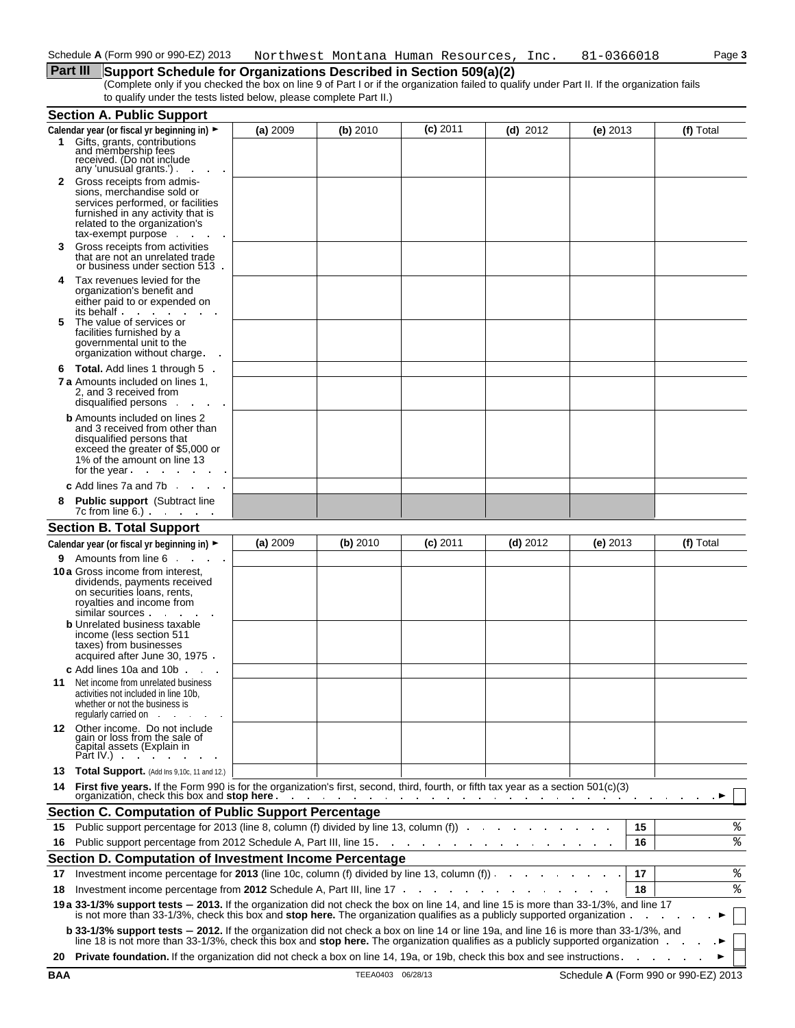# **Part III** Support Schedule for Organizations Described in Section 509(a)(2)

(Complete only if you checked the box on line 9 of Part I or if the organization failed to qualify under Part II. If the organization fails to qualify under the tests listed below, please complete Part II.)

|        | <b>Section A. Public Support</b>                                                                                                                                                                                                                                  |          |            |            |                                                                                                                 |            |    |           |
|--------|-------------------------------------------------------------------------------------------------------------------------------------------------------------------------------------------------------------------------------------------------------------------|----------|------------|------------|-----------------------------------------------------------------------------------------------------------------|------------|----|-----------|
|        | Calendar year (or fiscal yr beginning in) ►                                                                                                                                                                                                                       | (a) 2009 | $(b)$ 2010 | $(c)$ 2011 | (d) $2012$                                                                                                      | (e) $2013$ |    | (f) Total |
|        | 1 Gifts, grants, contributions<br>and membership fees<br>received. (Do not include<br>any 'unusual grants.').                                                                                                                                                     |          |            |            |                                                                                                                 |            |    |           |
|        | <b>2</b> Gross receipts from admis-<br>sions, merchandise sold or<br>services performed, or facilities<br>furnished in any activity that is<br>related to the organization's<br>tax-exempt purpose                                                                |          |            |            |                                                                                                                 |            |    |           |
| 3      | Gross receipts from activities<br>that are not an unrelated trade<br>or business under section 513.                                                                                                                                                               |          |            |            |                                                                                                                 |            |    |           |
| 4<br>5 | Tax revenues levied for the<br>organization's benefit and<br>either paid to or expended on<br>its behalf<br>The value of services or                                                                                                                              |          |            |            |                                                                                                                 |            |    |           |
|        | facilities furnished by a<br>governmental unit to the<br>organization without charge.                                                                                                                                                                             |          |            |            |                                                                                                                 |            |    |           |
| 6      | <b>Total.</b> Add lines 1 through 5.                                                                                                                                                                                                                              |          |            |            |                                                                                                                 |            |    |           |
|        | <b>7 a</b> Amounts included on lines 1,<br>2. and 3 received from<br>disqualified persons.                                                                                                                                                                        |          |            |            |                                                                                                                 |            |    |           |
|        | <b>b</b> Amounts included on lines 2<br>and 3 received from other than<br>disqualified persons that<br>exceed the greater of \$5,000 or<br>1% of the amount on line 13<br>for the year.                                                                           |          |            |            |                                                                                                                 |            |    |           |
|        | c Add lines $7a$ and $7b$ $\ldots$ $\ldots$                                                                                                                                                                                                                       |          |            |            |                                                                                                                 |            |    |           |
|        | <b>Public support</b> (Subtract line<br>$7c$ from line 6.) $\cdot \cdot \cdot$ $\cdot \cdot \cdot$                                                                                                                                                                |          |            |            |                                                                                                                 |            |    |           |
|        | <b>Section B. Total Support</b>                                                                                                                                                                                                                                   |          |            |            |                                                                                                                 |            |    |           |
|        | Calendar year (or fiscal yr beginning in) ►                                                                                                                                                                                                                       | (a) 2009 | (b) 2010   | $(c)$ 2011 | $(d)$ 2012                                                                                                      | (e) $2013$ |    | (f) Total |
| 9.     | Amounts from line 6                                                                                                                                                                                                                                               |          |            |            |                                                                                                                 |            |    |           |
|        | <b>10 a</b> Gross income from interest,<br>dividends, payments received<br>on securities loans, rents,<br>royalties and income from<br>similar sources                                                                                                            |          |            |            |                                                                                                                 |            |    |           |
|        | <b>b</b> Unrelated business taxable<br>income (less section 511<br>taxes) from businesses<br>acquired after June 30, 1975.                                                                                                                                        |          |            |            |                                                                                                                 |            |    |           |
|        | c Add lines 10a and 10b<br><b>11</b> Net income from unrelated business<br>activities not included in line 10b,<br>whether or not the business is<br>regularly carried on.                                                                                        |          |            |            |                                                                                                                 |            |    |           |
|        | 12 Other income. Do not include<br>gain or loss from the sale of<br>čapital assets (Explain in<br>Part IV. $\blacksquare$                                                                                                                                         |          |            |            |                                                                                                                 |            |    |           |
| 13     | Total Support. (Add Ins 9,10c, 11 and 12.)                                                                                                                                                                                                                        |          |            |            |                                                                                                                 |            |    |           |
| 14     | First five years. If the Form 990 is for the organization's first, second, third, fourth, or fifth tax year as a section 501(c)(3)<br>organization, check this box and stop here.                                                                                 |          |            |            | the contract of the contract of the contract of the contract of the contract of the contract of the contract of |            |    |           |
|        | <b>Section C. Computation of Public Support Percentage</b>                                                                                                                                                                                                        |          |            |            |                                                                                                                 |            |    |           |
| 15     | Public support percentage for 2013 (line 8, column (f) divided by line 13, column (f) example in the column of                                                                                                                                                    |          |            |            |                                                                                                                 |            | 15 | %         |
| 16     | Public support percentage from 2012 Schedule A, Part III, line 15.                                                                                                                                                                                                |          |            |            | the contract of the contract of the contract of the contract of                                                 |            | 16 | %         |
|        | Section D. Computation of Investment Income Percentage                                                                                                                                                                                                            |          |            |            |                                                                                                                 |            |    |           |
| 17     | Investment income percentage for 2013 (line 10c, column (f) divided by line 13, column (f))                                                                                                                                                                       |          |            |            |                                                                                                                 |            | 17 | ್ಠಿ       |
| 18     | Investment income percentage from 2012 Schedule A, Part III, line 17 [11]. The state of the state of the state of the state of the state of the state of the state of the state of the state of the state of the state of the                                     |          |            |            |                                                                                                                 |            | 18 | ి         |
|        | 19 a 33-1/3% support tests - 2013. If the organization did not check the box on line 14, and line 15 is more than 33-1/3%, and line 17<br>is not more than 33-1/3%, check this box and stop here. The organization qualifies as a publicly supported organization |          |            |            |                                                                                                                 |            |    |           |
|        | <b>b 33-1/3% support tests - 2012.</b> If the organization did not check a box on line 14 or line 19a, and line 16 is more than 33-1/3%, and line 18 is not more than 33-1/3%, check this box and <b>stop here.</b> The organization qua                          |          |            |            |                                                                                                                 |            |    |           |
| 20     | <b>Private foundation.</b> If the organization did not check a box on line 14, 19a, or 19b, check this box and see instructions.                                                                                                                                  |          |            |            |                                                                                                                 |            |    |           |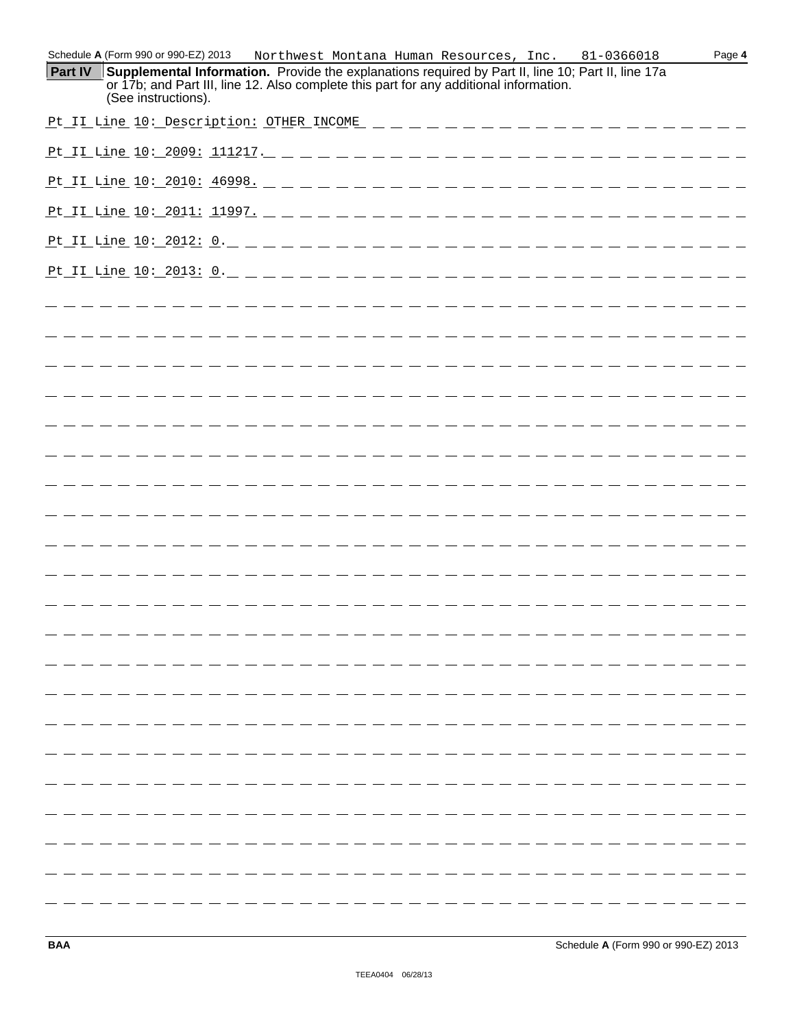|                | Schedule A (Form 990 or 990-EZ) 2013                                                                          |  |  | Northwest Montana Human Resources, Inc. |  |  | 81-0366018                                                                                         |  | Page 4 |
|----------------|---------------------------------------------------------------------------------------------------------------|--|--|-----------------------------------------|--|--|----------------------------------------------------------------------------------------------------|--|--------|
| <b>Part IV</b> | or 17b; and Part III, line 12. Also complete this part for any additional information.<br>(See instructions). |  |  |                                         |  |  | Supplemental Information. Provide the explanations required by Part II, line 10; Part II, line 17a |  |        |
|                |                                                                                                               |  |  |                                         |  |  |                                                                                                    |  |        |
|                |                                                                                                               |  |  |                                         |  |  |                                                                                                    |  |        |
|                |                                                                                                               |  |  |                                         |  |  |                                                                                                    |  |        |
|                |                                                                                                               |  |  |                                         |  |  |                                                                                                    |  |        |
|                |                                                                                                               |  |  |                                         |  |  |                                                                                                    |  |        |
|                |                                                                                                               |  |  |                                         |  |  |                                                                                                    |  |        |
|                |                                                                                                               |  |  |                                         |  |  |                                                                                                    |  |        |
|                |                                                                                                               |  |  |                                         |  |  | _____________________________                                                                      |  |        |
|                |                                                                                                               |  |  |                                         |  |  |                                                                                                    |  |        |
|                |                                                                                                               |  |  |                                         |  |  |                                                                                                    |  |        |
|                |                                                                                                               |  |  |                                         |  |  |                                                                                                    |  |        |
|                |                                                                                                               |  |  |                                         |  |  |                                                                                                    |  |        |
|                |                                                                                                               |  |  |                                         |  |  |                                                                                                    |  |        |
|                |                                                                                                               |  |  |                                         |  |  |                                                                                                    |  |        |
|                |                                                                                                               |  |  |                                         |  |  |                                                                                                    |  |        |
|                |                                                                                                               |  |  |                                         |  |  |                                                                                                    |  |        |
|                |                                                                                                               |  |  |                                         |  |  |                                                                                                    |  |        |
|                |                                                                                                               |  |  |                                         |  |  |                                                                                                    |  |        |
|                |                                                                                                               |  |  |                                         |  |  |                                                                                                    |  |        |
|                |                                                                                                               |  |  |                                         |  |  |                                                                                                    |  |        |
|                |                                                                                                               |  |  |                                         |  |  |                                                                                                    |  |        |
|                |                                                                                                               |  |  |                                         |  |  |                                                                                                    |  |        |
|                |                                                                                                               |  |  |                                         |  |  |                                                                                                    |  |        |
|                |                                                                                                               |  |  |                                         |  |  |                                                                                                    |  |        |
|                |                                                                                                               |  |  |                                         |  |  |                                                                                                    |  |        |
|                |                                                                                                               |  |  |                                         |  |  |                                                                                                    |  |        |
|                |                                                                                                               |  |  |                                         |  |  |                                                                                                    |  |        |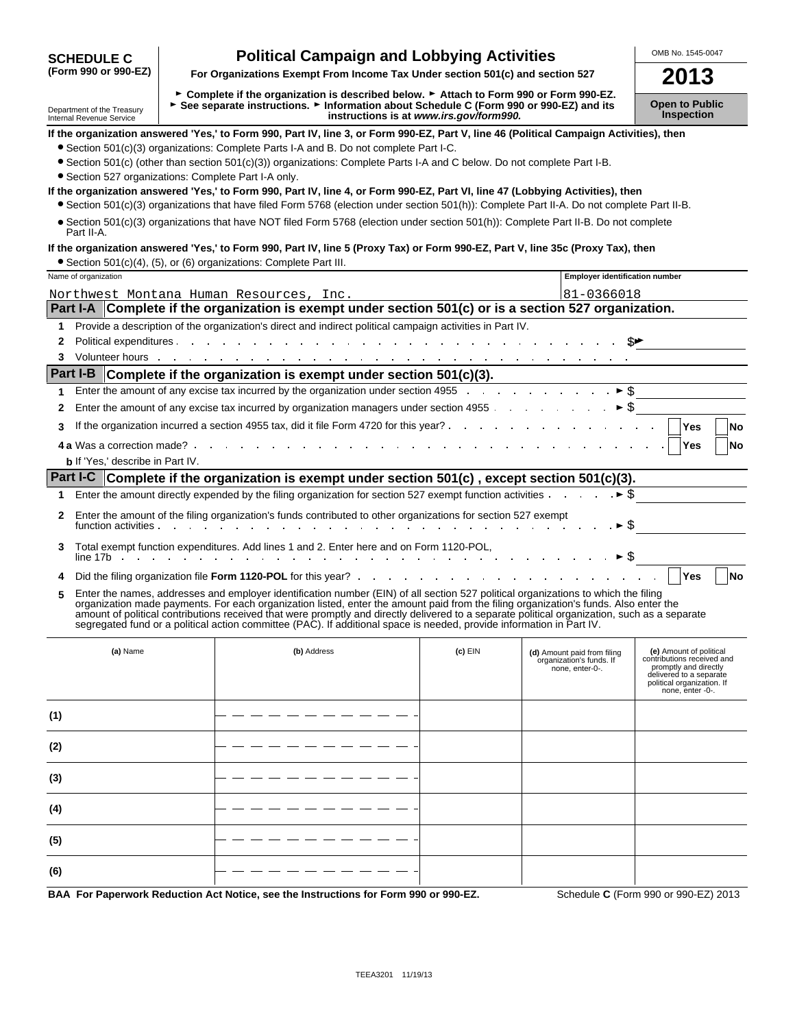| <b>SCHEDULE C</b>                                      | <b>Political Campaign and Lobbying Activities</b>                                                                                                                                                                                                                                                                                                                                                                                                                                                                                                    |                                         |                                                                            | OMB No. 1545-0047                                                                                                                                           |  |  |
|--------------------------------------------------------|------------------------------------------------------------------------------------------------------------------------------------------------------------------------------------------------------------------------------------------------------------------------------------------------------------------------------------------------------------------------------------------------------------------------------------------------------------------------------------------------------------------------------------------------------|-----------------------------------------|----------------------------------------------------------------------------|-------------------------------------------------------------------------------------------------------------------------------------------------------------|--|--|
| (Form 990 or 990-EZ)                                   | For Organizations Exempt From Income Tax Under section 501(c) and section 527                                                                                                                                                                                                                                                                                                                                                                                                                                                                        |                                         |                                                                            | 2013                                                                                                                                                        |  |  |
| Department of the Treasury<br>Internal Revenue Service | ► Complete if the organization is described below. ► Attach to Form 990 or Form 990-EZ.<br>► See separate instructions. ► Information about Schedule C (Form 990 or 990-EZ) and its                                                                                                                                                                                                                                                                                                                                                                  | instructions is at www.irs.gov/form990. |                                                                            | <b>Open to Public</b><br><b>Inspection</b>                                                                                                                  |  |  |
|                                                        | If the organization answered 'Yes,' to Form 990, Part IV, line 3, or Form 990-EZ, Part V, line 46 (Political Campaign Activities), then                                                                                                                                                                                                                                                                                                                                                                                                              |                                         |                                                                            |                                                                                                                                                             |  |  |
|                                                        | • Section 501(c)(3) organizations: Complete Parts I-A and B. Do not complete Part I-C.                                                                                                                                                                                                                                                                                                                                                                                                                                                               |                                         |                                                                            |                                                                                                                                                             |  |  |
|                                                        | • Section 501(c) (other than section 501(c)(3)) organizations: Complete Parts I-A and C below. Do not complete Part I-B.                                                                                                                                                                                                                                                                                                                                                                                                                             |                                         |                                                                            |                                                                                                                                                             |  |  |
| • Section 527 organizations: Complete Part I-A only.   | If the organization answered 'Yes,' to Form 990, Part IV, line 4, or Form 990-EZ, Part VI, line 47 (Lobbying Activities), then                                                                                                                                                                                                                                                                                                                                                                                                                       |                                         |                                                                            |                                                                                                                                                             |  |  |
|                                                        | • Section 501(c)(3) organizations that have filed Form 5768 (election under section 501(h)): Complete Part II-A. Do not complete Part II-B.                                                                                                                                                                                                                                                                                                                                                                                                          |                                         |                                                                            |                                                                                                                                                             |  |  |
| Part II-A.                                             | • Section 501(c)(3) organizations that have NOT filed Form 5768 (election under section 501(h)): Complete Part II-B. Do not complete                                                                                                                                                                                                                                                                                                                                                                                                                 |                                         |                                                                            |                                                                                                                                                             |  |  |
|                                                        | If the organization answered 'Yes,' to Form 990, Part IV, line 5 (Proxy Tax) or Form 990-EZ, Part V, line 35c (Proxy Tax), then                                                                                                                                                                                                                                                                                                                                                                                                                      |                                         |                                                                            |                                                                                                                                                             |  |  |
|                                                        | • Section 501(c)(4), (5), or (6) organizations: Complete Part III.                                                                                                                                                                                                                                                                                                                                                                                                                                                                                   |                                         |                                                                            |                                                                                                                                                             |  |  |
| Name of organization                                   |                                                                                                                                                                                                                                                                                                                                                                                                                                                                                                                                                      |                                         | <b>Employer identification number</b>                                      |                                                                                                                                                             |  |  |
|                                                        | Northwest Montana Human Resources, Inc.<br>Part I-A Complete if the organization is exempt under section 501(c) or is a section 527 organization.                                                                                                                                                                                                                                                                                                                                                                                                    |                                         | 81-0366018                                                                 |                                                                                                                                                             |  |  |
|                                                        |                                                                                                                                                                                                                                                                                                                                                                                                                                                                                                                                                      |                                         |                                                                            |                                                                                                                                                             |  |  |
| 1<br>2                                                 | Provide a description of the organization's direct and indirect political campaign activities in Part IV.                                                                                                                                                                                                                                                                                                                                                                                                                                            |                                         |                                                                            |                                                                                                                                                             |  |  |
| 3                                                      |                                                                                                                                                                                                                                                                                                                                                                                                                                                                                                                                                      |                                         |                                                                            |                                                                                                                                                             |  |  |
|                                                        | Part I-B Complete if the organization is exempt under section 501(c)(3).                                                                                                                                                                                                                                                                                                                                                                                                                                                                             |                                         |                                                                            |                                                                                                                                                             |  |  |
|                                                        | Enter the amount of any excise tax incurred by the organization under section 4955 $\cdots$ $\cdots$ $\cdots$ $\blacktriangleright$ \$                                                                                                                                                                                                                                                                                                                                                                                                               |                                         |                                                                            |                                                                                                                                                             |  |  |
| 1                                                      |                                                                                                                                                                                                                                                                                                                                                                                                                                                                                                                                                      |                                         |                                                                            |                                                                                                                                                             |  |  |
| 2                                                      |                                                                                                                                                                                                                                                                                                                                                                                                                                                                                                                                                      |                                         |                                                                            |                                                                                                                                                             |  |  |
| 3                                                      |                                                                                                                                                                                                                                                                                                                                                                                                                                                                                                                                                      |                                         |                                                                            | <b>Yes</b><br><b>No</b>                                                                                                                                     |  |  |
| <b>b</b> If 'Yes,' describe in Part IV.                |                                                                                                                                                                                                                                                                                                                                                                                                                                                                                                                                                      |                                         |                                                                            | No                                                                                                                                                          |  |  |
|                                                        | Part I-C Complete if the organization is exempt under section 501(c), except section 501(c)(3).                                                                                                                                                                                                                                                                                                                                                                                                                                                      |                                         |                                                                            |                                                                                                                                                             |  |  |
| 1.                                                     | Enter the amount directly expended by the filing organization for section 527 exempt function activities                                                                                                                                                                                                                                                                                                                                                                                                                                             |                                         | $\rightarrow$ \$                                                           |                                                                                                                                                             |  |  |
| 2                                                      | Enter the amount of the filing organization's funds contributed to other organizations for section 527 exempt<br><u>Example and the contract of the contract of the contract of the contract of the contract of the contract of the contract of the contract of the contract of the contract of the contract of the contract of the contract of t</u>                                                                                                                                                                                                |                                         | $\triangleright$ \$                                                        |                                                                                                                                                             |  |  |
| 3                                                      | Total exempt function expenditures. Add lines 1 and 2. Enter here and on Form 1120-POL,                                                                                                                                                                                                                                                                                                                                                                                                                                                              |                                         |                                                                            |                                                                                                                                                             |  |  |
| 4                                                      |                                                                                                                                                                                                                                                                                                                                                                                                                                                                                                                                                      |                                         |                                                                            | Yes<br><b>No</b>                                                                                                                                            |  |  |
| 5                                                      | Enter the names, addresses and employer identification number (EIN) of all section 527 political organizations to which the filing<br>organization made payments. For each organization listed, enter the amount paid from the filing organization's funds. Also enter the<br>amount of political contributions received that were promptly and directly delivered to a separate political organization, such as a separate<br>segregated fund or a political action committee (PAC). If additional space is needed, provide information in Part IV. |                                         |                                                                            |                                                                                                                                                             |  |  |
| (a) Name                                               | (b) Address                                                                                                                                                                                                                                                                                                                                                                                                                                                                                                                                          | (c) EIN                                 | (d) Amount paid from filing<br>organization's funds. If<br>none, enter-0-. | (e) Amount of political<br>contributions received and<br>promptly and directly<br>delivered to a separate<br>political organization. If<br>none, enter -0-. |  |  |
| (1)                                                    |                                                                                                                                                                                                                                                                                                                                                                                                                                                                                                                                                      |                                         |                                                                            |                                                                                                                                                             |  |  |
| (2)                                                    |                                                                                                                                                                                                                                                                                                                                                                                                                                                                                                                                                      |                                         |                                                                            |                                                                                                                                                             |  |  |
| (3)                                                    |                                                                                                                                                                                                                                                                                                                                                                                                                                                                                                                                                      |                                         |                                                                            |                                                                                                                                                             |  |  |
| (4)                                                    |                                                                                                                                                                                                                                                                                                                                                                                                                                                                                                                                                      |                                         |                                                                            |                                                                                                                                                             |  |  |
| (5)                                                    |                                                                                                                                                                                                                                                                                                                                                                                                                                                                                                                                                      |                                         |                                                                            |                                                                                                                                                             |  |  |
| (6)                                                    |                                                                                                                                                                                                                                                                                                                                                                                                                                                                                                                                                      |                                         |                                                                            |                                                                                                                                                             |  |  |
|                                                        | BAA For Paperwork Reduction Act Notice, see the Instructions for Form 990 or 990-EZ.                                                                                                                                                                                                                                                                                                                                                                                                                                                                 |                                         |                                                                            | Schedule C (Form 990 or 990-EZ) 2013                                                                                                                        |  |  |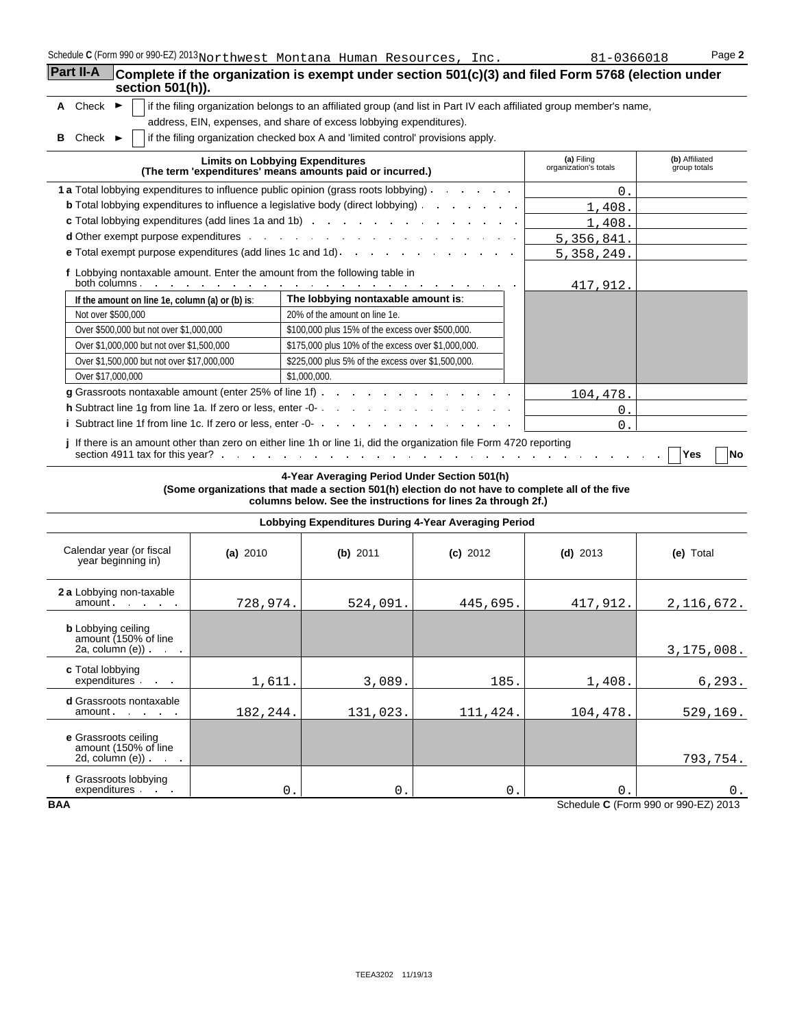| Schedule C (Form 990 or 990-EZ) 2013 Northwest Montana Human Resources, Inc. |  |  |  |  |
|------------------------------------------------------------------------------|--|--|--|--|
|------------------------------------------------------------------------------|--|--|--|--|

|                                                                                             | Schedule C (Form 990 or 990-EZ) 2013 Northwest Montana Human Resources, Inc.                                                                                                                                                        | 81-0366018                          | Page 2                         |
|---------------------------------------------------------------------------------------------|-------------------------------------------------------------------------------------------------------------------------------------------------------------------------------------------------------------------------------------|-------------------------------------|--------------------------------|
| Part II-A<br>section $501(h)$ ).                                                            | Complete if the organization is exempt under section 501(c)(3) and filed Form 5768 (election under                                                                                                                                  |                                     |                                |
| A Check $\blacktriangleright$                                                               | if the filing organization belongs to an affiliated group (and list in Part IV each affiliated group member's name,                                                                                                                 |                                     |                                |
|                                                                                             | address, EIN, expenses, and share of excess lobbying expenditures).                                                                                                                                                                 |                                     |                                |
| Check $\blacktriangleright$<br>в                                                            | if the filing organization checked box A and 'limited control' provisions apply.                                                                                                                                                    |                                     |                                |
|                                                                                             | <b>Limits on Lobbying Expenditures</b><br>(The term 'expenditures' means amounts paid or incurred.)                                                                                                                                 | (a) Filing<br>organization's totals | (b) Affiliated<br>group totals |
|                                                                                             | 1 a Total lobbying expenditures to influence public opinion (grass roots lobbying).                                                                                                                                                 | 0                                   |                                |
|                                                                                             | <b>b</b> Total lobbying expenditures to influence a legislative body (direct lobbying).                                                                                                                                             | 1,408.                              |                                |
|                                                                                             |                                                                                                                                                                                                                                     | 1.408.                              |                                |
|                                                                                             | <b>d</b> Other exempt purpose expenditures example and a series of the series of the series of the series of the series of the series of the series of the series of the series of the series of the series of the series of the se | 5,356,841.                          |                                |
|                                                                                             | <b>e</b> Total exempt purpose expenditures (add lines 1c and 1d). $\ldots$ . $\ldots$ . $\ldots$                                                                                                                                    | 5,358,249.                          |                                |
| f Lobbying nontaxable amount. Enter the amount from the following table in<br>both columns. |                                                                                                                                                                                                                                     | 417,912.                            |                                |
| If the amount on line 1e, column (a) or (b) is:                                             | The lobbying nontaxable amount is:                                                                                                                                                                                                  |                                     |                                |
| Not over \$500,000                                                                          | 20% of the amount on line 1e.                                                                                                                                                                                                       |                                     |                                |
| Over \$500,000 but not over \$1,000,000                                                     | \$100,000 plus 15% of the excess over \$500,000.                                                                                                                                                                                    |                                     |                                |
| Over \$1,000,000 but not over \$1,500,000                                                   | \$175,000 plus 10% of the excess over \$1,000,000.                                                                                                                                                                                  |                                     |                                |
| Over \$1,500,000 but not over \$17,000,000                                                  | \$225,000 plus 5% of the excess over \$1,500,000.                                                                                                                                                                                   |                                     |                                |
| Over \$17,000,000                                                                           | \$1,000,000.                                                                                                                                                                                                                        |                                     |                                |
|                                                                                             | <b>q</b> Grassroots nontaxable amount (enter $25\%$ of line 1f)                                                                                                                                                                     | 104,478.                            |                                |
|                                                                                             | <b>h</b> Subtract line 1g from line 1a. If zero or less, enter -0-                                                                                                                                                                  | 0                                   |                                |
|                                                                                             | i Subtract line 1f from line 1c. If zero or less, enter -0-<br>example results and contract the state of the state of the state of the state of the state of the state of the                                                       | 0                                   |                                |
|                                                                                             | If there is an amount other than zero on either line 1h or line 1i, did the organization file Form 4720 reporting                                                                                                                   |                                     |                                |

section 4911 tax for this year? **Yes No**

### **4-Year Averaging Period Under Section 501(h) (Some organizations that made a section 501(h) election do not have to complete all of the five columns below. See the instructions for lines 2a through 2f.)**

| Lobbying Expenditures During 4-Year Averaging Period                                                                                                                                                                                                       |          |            |            |              |            |  |  |  |  |  |
|------------------------------------------------------------------------------------------------------------------------------------------------------------------------------------------------------------------------------------------------------------|----------|------------|------------|--------------|------------|--|--|--|--|--|
| Calendar year (or fiscal<br>year beginning in)                                                                                                                                                                                                             | (a) 2010 | (b) $2011$ | $(c)$ 2012 | (d) $2013$   | (e) Total  |  |  |  |  |  |
| 2 a Lobbying non-taxable<br>amount and the set of the set of the set of the set of the set of the set of the set of the set of the set of the set of the set of the set of the set of the set of the set of the set of the set of the set of the set of th | 728,974. | 524,091.   | 445,695.   | 417,912.     | 2,116,672. |  |  |  |  |  |
| <b>b</b> Lobbying ceiling<br>amount (150% of line<br>$2a, column (e)$ .                                                                                                                                                                                    |          |            |            |              | 3,175,008. |  |  |  |  |  |
| c Total lobbying<br>expenditures                                                                                                                                                                                                                           | 1,611.   | 3,089.     | 185.       | 1,408.       | 6, 293.    |  |  |  |  |  |
| d Grassroots nontaxable<br>amount and the set of the set of the set of the set of the set of the set of the set of the set of the set of the set of the set of the set of the set of the set of the set of the set of the set of the set of the set of th  | 182,244. | 131,023.   | 111,424.   | 104,478.     | 529, 169.  |  |  |  |  |  |
| e Grassroots ceiling<br>amount (150% of line<br>2d, column $(e)$ ) $\ldots$                                                                                                                                                                                |          |            |            |              | 793,754.   |  |  |  |  |  |
| f Grassroots lobbying<br>expenditures and the set of the set of the set of the set of the set of the set of the set of the set of the set of the set of the set of the set of the set of the set of the set of the set of the set of the set of the set    | $\Omega$ | 0.         | 0.         | $\mathbf{0}$ | 0.         |  |  |  |  |  |

**BAA** Schedule **C** (Form 990 or 990-EZ) 2013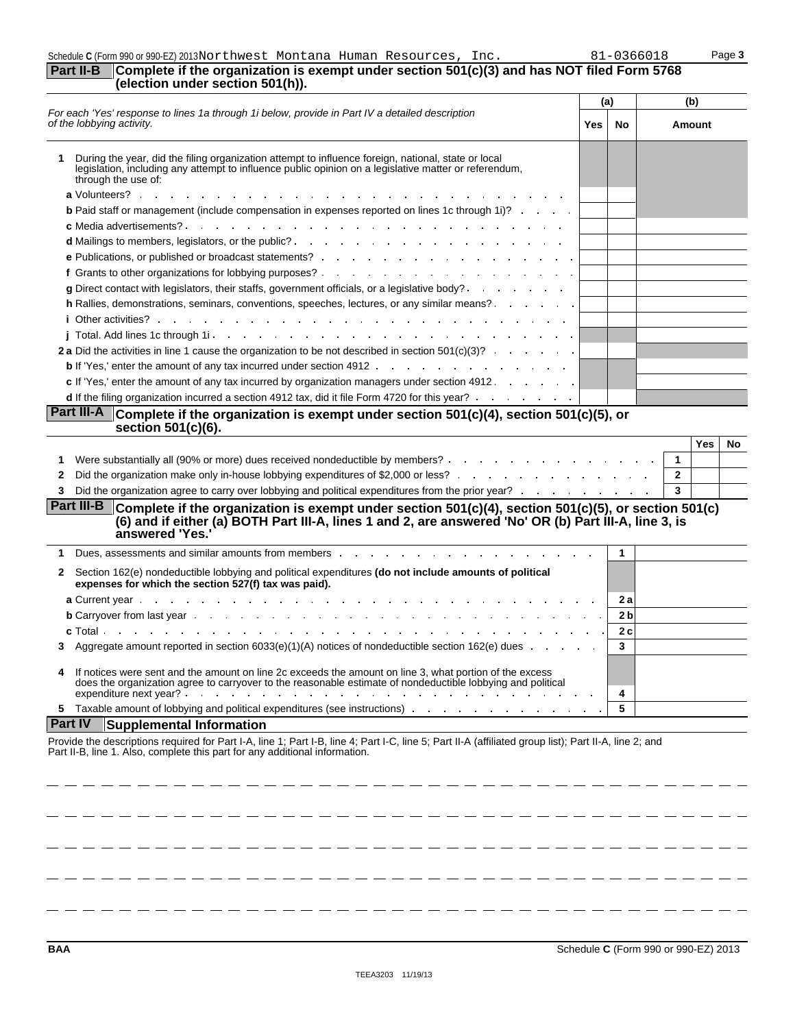## Schedule **C** (Form 990 or 990-EZ) 2013 Page **3**

### **Part II-B Complete if the organization is exempt under section 501(c)(3) and has NOT filed Form 5768 (election under section 501(h)).**

| For each 'Yes' response to lines 1a through 1i below, provide in Part IV a detailed description<br>of the lobbying activity.<br>During the year, did the filing organization attempt to influence foreign, national, state or local<br>legislation, including any attempt to influence public opinion on a legislative matter or referendum,<br>through the use of:<br><b>b</b> Paid staff or management (include compensation in expenses reported on lines 1c through 1i)?<br>the contract of the contract of the contract of the contract of the contract of the contract of the contract of<br>c Media advertisements? .<br><b>d</b> Mailings to members, legislators, or the public? <b>All and Structure in the set of the set of the public?</b><br><b>e</b> Publications, or published or broadcast statements? The contract of the contract of the contract of the contract of the contract of the contract of the contract of the contract of the contract of the contract of the co<br>f Grants to other organizations for lobbying purposes?<br>g Direct contact with legislators, their staffs, government officials, or a legislative body?<br>h Rallies, demonstrations, seminars, conventions, speeches, lectures, or any similar means?<br>2 a Did the activities in line 1 cause the organization to be not described in section 501(c)(3)? | Yes | No             | Amount              |
|---------------------------------------------------------------------------------------------------------------------------------------------------------------------------------------------------------------------------------------------------------------------------------------------------------------------------------------------------------------------------------------------------------------------------------------------------------------------------------------------------------------------------------------------------------------------------------------------------------------------------------------------------------------------------------------------------------------------------------------------------------------------------------------------------------------------------------------------------------------------------------------------------------------------------------------------------------------------------------------------------------------------------------------------------------------------------------------------------------------------------------------------------------------------------------------------------------------------------------------------------------------------------------------------------------------------------------------------------------------|-----|----------------|---------------------|
|                                                                                                                                                                                                                                                                                                                                                                                                                                                                                                                                                                                                                                                                                                                                                                                                                                                                                                                                                                                                                                                                                                                                                                                                                                                                                                                                                               |     |                |                     |
|                                                                                                                                                                                                                                                                                                                                                                                                                                                                                                                                                                                                                                                                                                                                                                                                                                                                                                                                                                                                                                                                                                                                                                                                                                                                                                                                                               |     |                |                     |
|                                                                                                                                                                                                                                                                                                                                                                                                                                                                                                                                                                                                                                                                                                                                                                                                                                                                                                                                                                                                                                                                                                                                                                                                                                                                                                                                                               |     |                |                     |
|                                                                                                                                                                                                                                                                                                                                                                                                                                                                                                                                                                                                                                                                                                                                                                                                                                                                                                                                                                                                                                                                                                                                                                                                                                                                                                                                                               |     |                |                     |
|                                                                                                                                                                                                                                                                                                                                                                                                                                                                                                                                                                                                                                                                                                                                                                                                                                                                                                                                                                                                                                                                                                                                                                                                                                                                                                                                                               |     |                |                     |
|                                                                                                                                                                                                                                                                                                                                                                                                                                                                                                                                                                                                                                                                                                                                                                                                                                                                                                                                                                                                                                                                                                                                                                                                                                                                                                                                                               |     |                |                     |
|                                                                                                                                                                                                                                                                                                                                                                                                                                                                                                                                                                                                                                                                                                                                                                                                                                                                                                                                                                                                                                                                                                                                                                                                                                                                                                                                                               |     |                |                     |
|                                                                                                                                                                                                                                                                                                                                                                                                                                                                                                                                                                                                                                                                                                                                                                                                                                                                                                                                                                                                                                                                                                                                                                                                                                                                                                                                                               |     |                |                     |
|                                                                                                                                                                                                                                                                                                                                                                                                                                                                                                                                                                                                                                                                                                                                                                                                                                                                                                                                                                                                                                                                                                                                                                                                                                                                                                                                                               |     |                |                     |
|                                                                                                                                                                                                                                                                                                                                                                                                                                                                                                                                                                                                                                                                                                                                                                                                                                                                                                                                                                                                                                                                                                                                                                                                                                                                                                                                                               |     |                |                     |
|                                                                                                                                                                                                                                                                                                                                                                                                                                                                                                                                                                                                                                                                                                                                                                                                                                                                                                                                                                                                                                                                                                                                                                                                                                                                                                                                                               |     |                |                     |
|                                                                                                                                                                                                                                                                                                                                                                                                                                                                                                                                                                                                                                                                                                                                                                                                                                                                                                                                                                                                                                                                                                                                                                                                                                                                                                                                                               |     |                |                     |
|                                                                                                                                                                                                                                                                                                                                                                                                                                                                                                                                                                                                                                                                                                                                                                                                                                                                                                                                                                                                                                                                                                                                                                                                                                                                                                                                                               |     |                |                     |
|                                                                                                                                                                                                                                                                                                                                                                                                                                                                                                                                                                                                                                                                                                                                                                                                                                                                                                                                                                                                                                                                                                                                                                                                                                                                                                                                                               |     |                |                     |
| c If 'Yes,' enter the amount of any tax incurred by organization managers under section 4912.                                                                                                                                                                                                                                                                                                                                                                                                                                                                                                                                                                                                                                                                                                                                                                                                                                                                                                                                                                                                                                                                                                                                                                                                                                                                 |     |                |                     |
| d If the filing organization incurred a section 4912 tax, did it file Form 4720 for this year?                                                                                                                                                                                                                                                                                                                                                                                                                                                                                                                                                                                                                                                                                                                                                                                                                                                                                                                                                                                                                                                                                                                                                                                                                                                                |     |                |                     |
| section 501(c)(6).<br>Were substantially all (90% or more) dues received nondeductible by members?<br>1                                                                                                                                                                                                                                                                                                                                                                                                                                                                                                                                                                                                                                                                                                                                                                                                                                                                                                                                                                                                                                                                                                                                                                                                                                                       |     |                | Yes<br>$\mathbf{1}$ |
| Did the organization make only in-house lobbying expenditures of \$2,000 or less?<br>2                                                                                                                                                                                                                                                                                                                                                                                                                                                                                                                                                                                                                                                                                                                                                                                                                                                                                                                                                                                                                                                                                                                                                                                                                                                                        |     |                | $\mathbf{2}$        |
| Did the organization agree to carry over lobbying and political expenditures from the prior year?<br>3.                                                                                                                                                                                                                                                                                                                                                                                                                                                                                                                                                                                                                                                                                                                                                                                                                                                                                                                                                                                                                                                                                                                                                                                                                                                       |     |                | 3                   |
| Part III-B<br>Complete if the organization is exempt under section $501(c)(4)$ , section $501(c)(5)$ , or section $501(c)$<br>(6) and if either (a) BOTH Part III-A, lines 1 and 2, are answered 'No' OR (b) Part III-A, line 3, is<br>answered 'Yes.'                                                                                                                                                                                                                                                                                                                                                                                                                                                                                                                                                                                                                                                                                                                                                                                                                                                                                                                                                                                                                                                                                                        |     |                |                     |
| 1                                                                                                                                                                                                                                                                                                                                                                                                                                                                                                                                                                                                                                                                                                                                                                                                                                                                                                                                                                                                                                                                                                                                                                                                                                                                                                                                                             |     | $\mathbf{1}$   |                     |
| Section 162(e) nondeductible lobbying and political expenditures (do not include amounts of political<br>2<br>expenses for which the section 527(f) tax was paid).                                                                                                                                                                                                                                                                                                                                                                                                                                                                                                                                                                                                                                                                                                                                                                                                                                                                                                                                                                                                                                                                                                                                                                                            |     |                |                     |
|                                                                                                                                                                                                                                                                                                                                                                                                                                                                                                                                                                                                                                                                                                                                                                                                                                                                                                                                                                                                                                                                                                                                                                                                                                                                                                                                                               |     | 2 a            |                     |
| <b>b</b> Carryover from last year end on the context of the context of the context of the context of the context of the context of the context of the context of the context of the context of the context of the context of the co                                                                                                                                                                                                                                                                                                                                                                                                                                                                                                                                                                                                                                                                                                                                                                                                                                                                                                                                                                                                                                                                                                                           |     | 2 <sub>b</sub> |                     |
| <b>c</b> Total.<br>the contract of the contract of the contract of the contract of the contract of the contract of                                                                                                                                                                                                                                                                                                                                                                                                                                                                                                                                                                                                                                                                                                                                                                                                                                                                                                                                                                                                                                                                                                                                                                                                                                            |     | 2c             |                     |
| Aggregate amount reported in section $6033(e)(1)(A)$ notices of nondeductible section $162(e)$ dues $\ldots$<br>3.                                                                                                                                                                                                                                                                                                                                                                                                                                                                                                                                                                                                                                                                                                                                                                                                                                                                                                                                                                                                                                                                                                                                                                                                                                            |     | 3              |                     |
| If notices were sent and the amount on line 2c exceeds the amount on line 3, what portion of the excess<br>does the organization agree to carryover to the reasonable estimate of nondeductible lobbying and political<br>expenditure next year? The contract that is a state of the contract of the contract of the contract of the contract of the contract of the contract of the contract of the contract of the contract of the contract of the con                                                                                                                                                                                                                                                                                                                                                                                                                                                                                                                                                                                                                                                                                                                                                                                                                                                                                                      |     | 4              |                     |
| 5 Taxable amount of lobbying and political expenditures (see instructions)                                                                                                                                                                                                                                                                                                                                                                                                                                                                                                                                                                                                                                                                                                                                                                                                                                                                                                                                                                                                                                                                                                                                                                                                                                                                                    |     | 5              |                     |
| <b>Part IV</b><br><b>Supplemental Information</b>                                                                                                                                                                                                                                                                                                                                                                                                                                                                                                                                                                                                                                                                                                                                                                                                                                                                                                                                                                                                                                                                                                                                                                                                                                                                                                             |     |                |                     |
| Provide the descriptions required for Part I-A, line 1; Part I-B, line 4; Part I-C, line 5; Part II-A (affiliated group list); Part II-A, line 2; and<br>Part II-B, line 1. Also, complete this part for any additional information.                                                                                                                                                                                                                                                                                                                                                                                                                                                                                                                                                                                                                                                                                                                                                                                                                                                                                                                                                                                                                                                                                                                          |     |                |                     |

 $-$ 

 $-$ 

...

- -

 $=$   $-$ 

------------

- - - - - - -

- - - - - -

- - - - - - - - - -

- -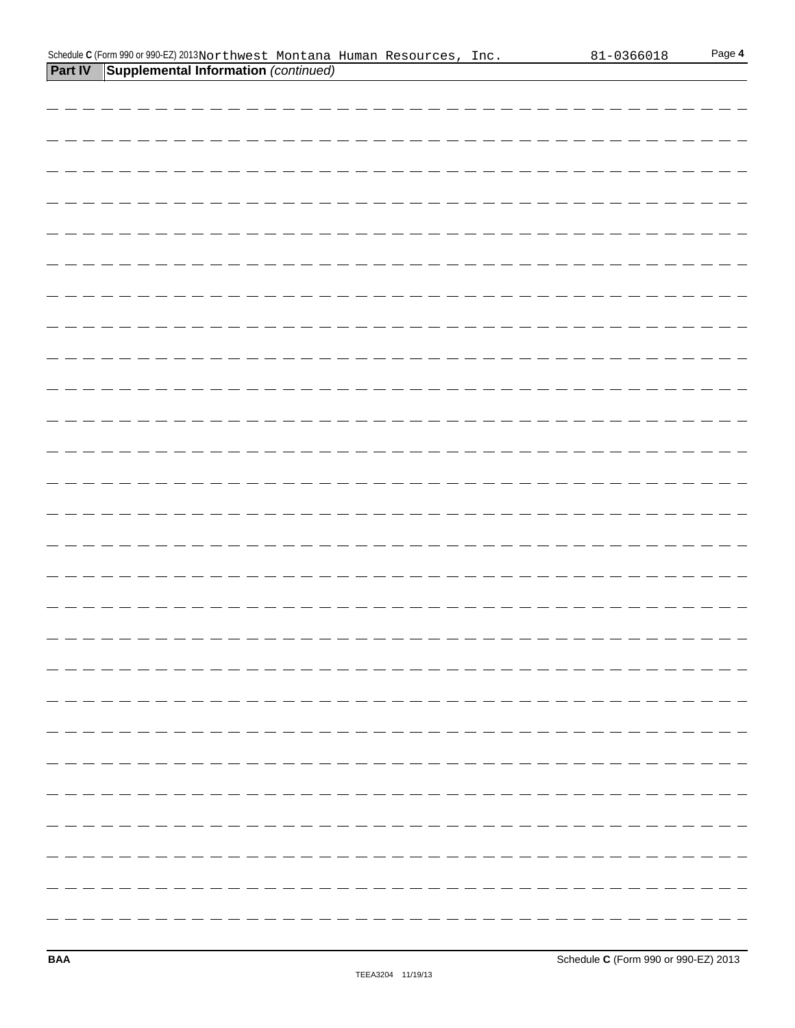|  |  |                                      |  |                                                                              | Page 4     |
|--|--|--------------------------------------|--|------------------------------------------------------------------------------|------------|
|  |  |                                      |  |                                                                              |            |
|  |  |                                      |  |                                                                              |            |
|  |  |                                      |  |                                                                              |            |
|  |  |                                      |  |                                                                              |            |
|  |  |                                      |  |                                                                              |            |
|  |  |                                      |  |                                                                              |            |
|  |  |                                      |  |                                                                              |            |
|  |  |                                      |  |                                                                              |            |
|  |  |                                      |  |                                                                              |            |
|  |  |                                      |  |                                                                              |            |
|  |  |                                      |  |                                                                              |            |
|  |  |                                      |  |                                                                              |            |
|  |  |                                      |  |                                                                              |            |
|  |  | Supplemental Information (continued) |  | Schedule C (Form 990 or 990-EZ) 2013 Northwest Montana Human Resources, Inc. | 81-0366018 |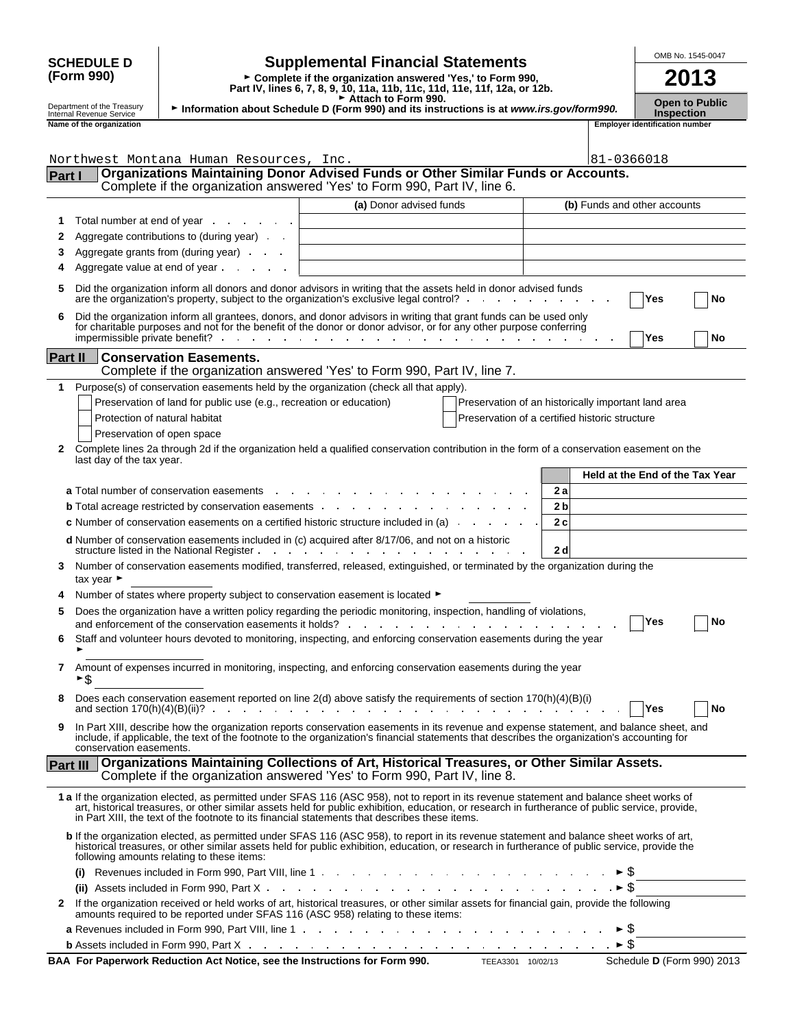|               |                                                             |                                                                     |                                                                                                                                                                                                                                                                                                                                                                                                 |                |                     | OMB No. 1545-0047                                          |    |
|---------------|-------------------------------------------------------------|---------------------------------------------------------------------|-------------------------------------------------------------------------------------------------------------------------------------------------------------------------------------------------------------------------------------------------------------------------------------------------------------------------------------------------------------------------------------------------|----------------|---------------------|------------------------------------------------------------|----|
|               | <b>SCHEDULE D</b><br>(Form 990)                             |                                                                     | <b>Supplemental Financial Statements</b><br>► Complete if the organization answered 'Yes,' to Form 990,<br>Part IV, lines 6, 7, 8, 9, 10, 11a, 11b, 11c, 11d, 11e, 11f, 12a, or 12b.                                                                                                                                                                                                            |                |                     | 2013                                                       |    |
|               | Department of the Treasury                                  |                                                                     | Attach to Form 990.<br>Information about Schedule D (Form 990) and its instructions is at www.irs.gov/form990.                                                                                                                                                                                                                                                                                  |                |                     | <b>Open to Public</b>                                      |    |
|               | Internal Revenue Service<br>Name of the organization        |                                                                     |                                                                                                                                                                                                                                                                                                                                                                                                 |                |                     | <b>Inspection</b><br><b>Employer identification number</b> |    |
|               |                                                             |                                                                     |                                                                                                                                                                                                                                                                                                                                                                                                 |                |                     |                                                            |    |
|               |                                                             | Northwest Montana Human Resources, Inc.                             |                                                                                                                                                                                                                                                                                                                                                                                                 |                | 81-0366018          |                                                            |    |
| <b>Part I</b> |                                                             |                                                                     | Organizations Maintaining Donor Advised Funds or Other Similar Funds or Accounts.<br>Complete if the organization answered 'Yes' to Form 990, Part IV, line 6.                                                                                                                                                                                                                                  |                |                     |                                                            |    |
|               |                                                             |                                                                     | (a) Donor advised funds                                                                                                                                                                                                                                                                                                                                                                         |                |                     | (b) Funds and other accounts                               |    |
| 1             |                                                             | Total number at end of year example.                                |                                                                                                                                                                                                                                                                                                                                                                                                 |                |                     |                                                            |    |
| 2             |                                                             | Aggregate contributions to (during year)                            |                                                                                                                                                                                                                                                                                                                                                                                                 |                |                     |                                                            |    |
| З             |                                                             | Aggregate grants from (during year)                                 |                                                                                                                                                                                                                                                                                                                                                                                                 |                |                     |                                                            |    |
|               |                                                             | Aggregate value at end of year example.                             |                                                                                                                                                                                                                                                                                                                                                                                                 |                |                     |                                                            |    |
| 5             |                                                             |                                                                     | Did the organization inform all donors and donor advisors in writing that the assets held in donor advised funds<br>are the organization's property, subject to the organization's exclusive legal control?                                                                                                                                                                                     |                |                     | Yes                                                        | No |
| 6             |                                                             |                                                                     | Did the organization inform all grantees, donors, and donor advisors in writing that grant funds can be used only<br>for charitable purposes and not for the benefit of the donor or donor advisor, or for any other purpose conferring                                                                                                                                                         |                |                     | Yes                                                        | No |
| Part II       |                                                             | <b>Conservation Easements.</b>                                      |                                                                                                                                                                                                                                                                                                                                                                                                 |                |                     |                                                            |    |
|               |                                                             |                                                                     | Complete if the organization answered 'Yes' to Form 990, Part IV, line 7.                                                                                                                                                                                                                                                                                                                       |                |                     |                                                            |    |
| 1             |                                                             |                                                                     | Purpose(s) of conservation easements held by the organization (check all that apply).                                                                                                                                                                                                                                                                                                           |                |                     |                                                            |    |
|               |                                                             | Preservation of land for public use (e.g., recreation or education) | Preservation of an historically important land area                                                                                                                                                                                                                                                                                                                                             |                |                     |                                                            |    |
|               | Protection of natural habitat<br>Preservation of open space |                                                                     | Preservation of a certified historic structure                                                                                                                                                                                                                                                                                                                                                  |                |                     |                                                            |    |
| 2             |                                                             |                                                                     | Complete lines 2a through 2d if the organization held a qualified conservation contribution in the form of a conservation easement on the                                                                                                                                                                                                                                                       |                |                     |                                                            |    |
|               | last day of the tax year.                                   |                                                                     |                                                                                                                                                                                                                                                                                                                                                                                                 |                |                     |                                                            |    |
|               |                                                             |                                                                     |                                                                                                                                                                                                                                                                                                                                                                                                 |                |                     | Held at the End of the Tax Year                            |    |
|               |                                                             | a Total number of conservation easements<br>$\sim 10$               |                                                                                                                                                                                                                                                                                                                                                                                                 | 2 a            |                     |                                                            |    |
|               |                                                             |                                                                     | <b>b</b> Total acreage restricted by conservation easements <b>and the set of the set of the set of the set of the set of the set of the set of the set of the set of the set of the set of the set of the set of the set of the set </b>                                                                                                                                                       | 2 <sub>b</sub> |                     |                                                            |    |
|               |                                                             |                                                                     | c Number of conservation easements on a certified historic structure included in (a)                                                                                                                                                                                                                                                                                                            | 2c             |                     |                                                            |    |
|               |                                                             |                                                                     | d Number of conservation easements included in (c) acquired after 8/17/06, and not on a historic<br>structure listed in the National Register.                                                                                                                                                                                                                                                  | 2 d            |                     |                                                            |    |
| 3             | tax year ►                                                  |                                                                     | Number of conservation easements modified, transferred, released, extinguished, or terminated by the organization during the                                                                                                                                                                                                                                                                    |                |                     |                                                            |    |
|               |                                                             |                                                                     | Number of states where property subject to conservation easement is located ►                                                                                                                                                                                                                                                                                                                   |                |                     |                                                            |    |
|               |                                                             |                                                                     | Does the organization have a written policy regarding the periodic monitoring, inspection, handling of violations,                                                                                                                                                                                                                                                                              |                |                     | <b>TYes</b>                                                | Nο |
| 6             |                                                             |                                                                     | and enforcement of the conservation easements it holds?<br>The conservation of the conservation easements it holds?<br>Staff and volunteer hours devoted to monitoring, inspecting, and enforcing conservation easements during the year                                                                                                                                                        |                |                     |                                                            |    |
| 7             | ►\$                                                         |                                                                     | Amount of expenses incurred in monitoring, inspecting, and enforcing conservation easements during the year                                                                                                                                                                                                                                                                                     |                |                     |                                                            |    |
| 8             |                                                             |                                                                     | Does each conservation easement reported on line 2(d) above satisfy the requirements of section 170(h)(4)(B)(i)<br>and section 170(h)(4)(B)(ii)?                                                                                                                                                                                                                                                |                |                     | Yes                                                        | No |
| 9             |                                                             |                                                                     | In Part XIII, describe how the organization reports conservation easements in its revenue and expense statement, and balance sheet, and<br>include, if applicable, the text of the footnote to the organization's financial statements that describes the organization's accounting for                                                                                                         |                |                     |                                                            |    |
|               | conservation easements.                                     |                                                                     | Organizations Maintaining Collections of Art, Historical Treasures, or Other Similar Assets.                                                                                                                                                                                                                                                                                                    |                |                     |                                                            |    |
| Part III      |                                                             |                                                                     | Complete if the organization answered 'Yes' to Form 990, Part IV, line 8.                                                                                                                                                                                                                                                                                                                       |                |                     |                                                            |    |
|               |                                                             |                                                                     | 1 a If the organization elected, as permitted under SFAS 116 (ASC 958), not to report in its revenue statement and balance sheet works of<br>art, historical treasures, or other similar assets held for public exhibition, education, or research in furtherance of public service, provide,<br>in Part XIII, the text of the footnote to its financial statements that describes these items. |                |                     |                                                            |    |
|               |                                                             | following amounts relating to these items:                          | b If the organization elected, as permitted under SFAS 116 (ASC 958), to report in its revenue statement and balance sheet works of art,<br>historical treasures, or other similar assets held for public exhibition, education, or research in furtherance of public service, provide the                                                                                                      |                |                     |                                                            |    |
|               |                                                             |                                                                     |                                                                                                                                                                                                                                                                                                                                                                                                 |                |                     |                                                            |    |
|               |                                                             |                                                                     |                                                                                                                                                                                                                                                                                                                                                                                                 |                | $\triangleright$ \$ |                                                            |    |
|               |                                                             |                                                                     | 2 If the organization received or held works of art, historical treasures, or other similar assets for financial gain, provide the following<br>amounts required to be reported under SFAS 116 (ASC 958) relating to these items:                                                                                                                                                               |                |                     |                                                            |    |
|               |                                                             |                                                                     |                                                                                                                                                                                                                                                                                                                                                                                                 |                |                     |                                                            |    |
|               |                                                             |                                                                     | <b>b</b> Assets included in Form 990, Part X and a set of the contract of the contract of the contract of the contract of the contract of the contract of the contract of the contract of the contract of the contract of the contr                                                                                                                                                             |                |                     |                                                            |    |

| Schedule |
|----------|
|          |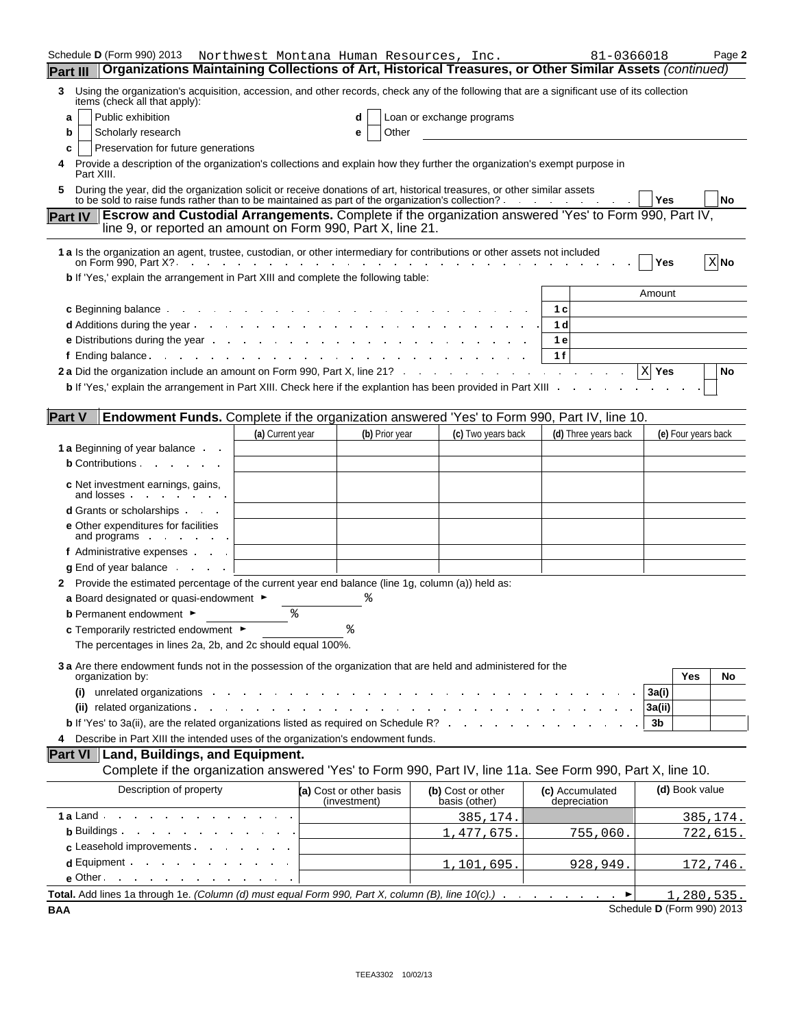| Schedule <b>D</b> (Form 990) 2013                                                                                                                                                                                                                                                                                                                               | Northwest Montana Human Resources, Inc.                         |                                         |                                    | 81-0366018                      |        |                     | Page 2          |
|-----------------------------------------------------------------------------------------------------------------------------------------------------------------------------------------------------------------------------------------------------------------------------------------------------------------------------------------------------------------|-----------------------------------------------------------------|-----------------------------------------|------------------------------------|---------------------------------|--------|---------------------|-----------------|
| Organizations Maintaining Collections of Art, Historical Treasures, or Other Similar Assets (continued)<br><b>Part III</b>                                                                                                                                                                                                                                      |                                                                 |                                         |                                    |                                 |        |                     |                 |
| Using the organization's acquisition, accession, and other records, check any of the following that are a significant use of its collection<br>3<br>items (check all that apply):                                                                                                                                                                               |                                                                 |                                         |                                    |                                 |        |                     |                 |
| Public exhibition<br>a                                                                                                                                                                                                                                                                                                                                          |                                                                 | d                                       | Loan or exchange programs          |                                 |        |                     |                 |
| Scholarly research<br>b                                                                                                                                                                                                                                                                                                                                         |                                                                 | Other<br>е                              |                                    |                                 |        |                     |                 |
| Preservation for future generations<br>c                                                                                                                                                                                                                                                                                                                        |                                                                 |                                         |                                    |                                 |        |                     |                 |
| Provide a description of the organization's collections and explain how they further the organization's exempt purpose in<br>4<br>Part XIII.                                                                                                                                                                                                                    |                                                                 |                                         |                                    |                                 |        |                     |                 |
| During the year, did the organization solicit or receive donations of art, historical treasures, or other similar assets<br>5.<br>to be sold to raise funds rather than to be maintained as part of the organization's collection? .                                                                                                                            |                                                                 |                                         |                                    | the contract of the contract    | Yes    |                     | <b>No</b>       |
| Escrow and Custodial Arrangements. Complete if the organization answered 'Yes' to Form 990, Part IV,<br><b>Part IV</b><br>line 9, or reported an amount on Form 990, Part X, line 21.                                                                                                                                                                           |                                                                 |                                         |                                    |                                 |        |                     |                 |
| 1 a Is the organization an agent, trustee, custodian, or other intermediary for contributions or other assets not included<br>on Form 990, Part X?.                                                                                                                                                                                                             |                                                                 |                                         |                                    |                                 | Yes    |                     | $X$ No          |
| b If 'Yes,' explain the arrangement in Part XIII and complete the following table:                                                                                                                                                                                                                                                                              |                                                                 |                                         |                                    |                                 |        |                     |                 |
|                                                                                                                                                                                                                                                                                                                                                                 |                                                                 |                                         |                                    |                                 | Amount |                     |                 |
| <b>c</b> Beginning balance exercise the set of the set of the set of the set of the set of the set of the set of the set of the set of the set of the set of the set of the set of the set of the set of the set of the set of the                                                                                                                              |                                                                 |                                         |                                    | 1 с                             |        |                     |                 |
| <b>d</b> Additions during the year entitled as a set of the set of the set of the set of the set of the set of the set of the set of the set of the set of the set of the set of the set of the set of the set of the set of the se                                                                                                                             |                                                                 |                                         |                                    | 1 <sub>d</sub>                  |        |                     |                 |
| <b>e</b> Distributions during the year example and the set of the set of the set of the set of the set of the set of the set of the set of the set of the set of the set of the set of the set of the set of the set of the set of                                                                                                                              |                                                                 |                                         |                                    | 1 e                             |        |                     |                 |
| $f$ Ending balance.                                                                                                                                                                                                                                                                                                                                             | the contract of the contract of the contract of the contract of |                                         |                                    | 1f                              |        |                     |                 |
| 2 a Did the organization include an amount on Form 990, Part X, line 21?                                                                                                                                                                                                                                                                                        |                                                                 |                                         |                                    |                                 | X Yes  |                     | No              |
| b If 'Yes,' explain the arrangement in Part XIII. Check here if the explantion has been provided in Part XIII .                                                                                                                                                                                                                                                 |                                                                 |                                         |                                    |                                 |        |                     |                 |
|                                                                                                                                                                                                                                                                                                                                                                 |                                                                 |                                         |                                    |                                 |        |                     |                 |
| <b>Part V</b><br>Endowment Funds. Complete if the organization answered 'Yes' to Form 990, Part IV, line 10.                                                                                                                                                                                                                                                    |                                                                 |                                         |                                    |                                 |        |                     |                 |
|                                                                                                                                                                                                                                                                                                                                                                 | (a) Current year                                                | (b) Prior year                          | (c) Two years back                 | (d) Three years back            |        | (e) Four years back |                 |
| 1 a Beginning of year balance.                                                                                                                                                                                                                                                                                                                                  |                                                                 |                                         |                                    |                                 |        |                     |                 |
| <b>b</b> Contributions <b>b</b>                                                                                                                                                                                                                                                                                                                                 |                                                                 |                                         |                                    |                                 |        |                     |                 |
|                                                                                                                                                                                                                                                                                                                                                                 |                                                                 |                                         |                                    |                                 |        |                     |                 |
| <b>c</b> Net investment earnings, gains,<br>and losses.<br><b>Contract Contract</b>                                                                                                                                                                                                                                                                             |                                                                 |                                         |                                    |                                 |        |                     |                 |
| <b>d</b> Grants or scholarships                                                                                                                                                                                                                                                                                                                                 |                                                                 |                                         |                                    |                                 |        |                     |                 |
| <b>e</b> Other expenditures for facilities<br>and programs $\cdot \cdot \cdot$ .                                                                                                                                                                                                                                                                                |                                                                 |                                         |                                    |                                 |        |                     |                 |
| f Administrative expenses                                                                                                                                                                                                                                                                                                                                       |                                                                 |                                         |                                    |                                 |        |                     |                 |
| $\boldsymbol{q}$ End of year balance $\ldots$ .                                                                                                                                                                                                                                                                                                                 |                                                                 |                                         |                                    |                                 |        |                     |                 |
| 2 Provide the estimated percentage of the current year end balance (line 1g, column (a)) held as:                                                                                                                                                                                                                                                               |                                                                 |                                         |                                    |                                 |        |                     |                 |
| a Board designated or quasi-endowment $\blacktriangleright$                                                                                                                                                                                                                                                                                                     |                                                                 |                                         |                                    |                                 |        |                     |                 |
| <b>b</b> Permanent endowment $\blacktriangleright$                                                                                                                                                                                                                                                                                                              | ిం                                                              |                                         |                                    |                                 |        |                     |                 |
| c Temporarily restricted endowment ►                                                                                                                                                                                                                                                                                                                            |                                                                 | ٥                                       |                                    |                                 |        |                     |                 |
| The percentages in lines 2a, 2b, and 2c should equal 100%.                                                                                                                                                                                                                                                                                                      |                                                                 |                                         |                                    |                                 |        |                     |                 |
| 3 a Are there endowment funds not in the possession of the organization that are held and administered for the                                                                                                                                                                                                                                                  |                                                                 |                                         |                                    |                                 |        |                     |                 |
| organization by:                                                                                                                                                                                                                                                                                                                                                |                                                                 |                                         |                                    |                                 |        | Yes                 | No              |
| unrelated organizations and the contract of the contract of the contract of the contract of the contract of the contract of the contract of the contract of the contract of the contract of the contract of the contract of th<br>(i)                                                                                                                           |                                                                 |                                         |                                    |                                 | 3a(i)  |                     |                 |
|                                                                                                                                                                                                                                                                                                                                                                 |                                                                 |                                         |                                    |                                 | 3a(ii) |                     |                 |
| <b>b</b> If 'Yes' to 3a(ii), are the related organizations listed as required on Schedule R? $\ldots$                                                                                                                                                                                                                                                           |                                                                 |                                         |                                    |                                 | 3b     |                     |                 |
| Describe in Part XIII the intended uses of the organization's endowment funds.<br>4                                                                                                                                                                                                                                                                             |                                                                 |                                         |                                    |                                 |        |                     |                 |
| Land, Buildings, and Equipment.<br><b>Part VI</b>                                                                                                                                                                                                                                                                                                               |                                                                 |                                         |                                    |                                 |        |                     |                 |
| Complete if the organization answered 'Yes' to Form 990, Part IV, line 11a. See Form 990, Part X, line 10.                                                                                                                                                                                                                                                      |                                                                 |                                         |                                    |                                 |        |                     |                 |
| Description of property                                                                                                                                                                                                                                                                                                                                         |                                                                 | (a) Cost or other basis<br>(investment) | (b) Cost or other<br>basis (other) | (c) Accumulated<br>depreciation |        | (d) Book value      |                 |
| <b>1a</b> Land the contract of the contract of the contract of the contract of the contract of the contract of the contract of the contract of the contract of the contract of the contract of the contract of the contract of the                                                                                                                              |                                                                 |                                         | 385, 174.                          |                                 |        |                     | 385,174.        |
|                                                                                                                                                                                                                                                                                                                                                                 |                                                                 |                                         | 1,477,675                          | 755,060.                        |        |                     | <u>722,615.</u> |
| c Leasehold improvements and the control of the control of the control of the control of the control of the control of the control of the control of the control of the control of the control of the control of the control o                                                                                                                                  |                                                                 |                                         |                                    |                                 |        |                     |                 |
| d Equipment and the state of the state of the state of the state of the state of the state of the state of the                                                                                                                                                                                                                                                  |                                                                 |                                         | 1,101,695                          | 928,949.                        |        |                     | 172,746.        |
| $e$ Other $\qquad \qquad$ $\qquad \qquad$ $\qquad \qquad$ $\qquad \qquad$ $\qquad \qquad$ $\qquad \qquad$ $\qquad \qquad$ $\qquad \qquad$ $\qquad$ $\qquad \qquad$ $\qquad$ $\qquad$ $\qquad$ $\qquad$ $\qquad$ $\qquad$ $\qquad$ $\qquad$ $\qquad$ $\qquad$ $\qquad$ $\qquad$ $\qquad$ $\qquad$ $\qquad$ $\qquad$ $\qquad$ $\qquad$ $\qquad$ $\qquad$ $\qquad$ |                                                                 |                                         |                                    |                                 |        |                     |                 |
| Total. Add lines 1a through 1e. (Column (d) must equal Form 990, Part X, column (B), line 10(c).)                                                                                                                                                                                                                                                               |                                                                 |                                         |                                    | ▸                               |        |                     | 1,280,535.      |

| I |  |  |
|---|--|--|

**BAA** Schedule **D** (Form 990) 2013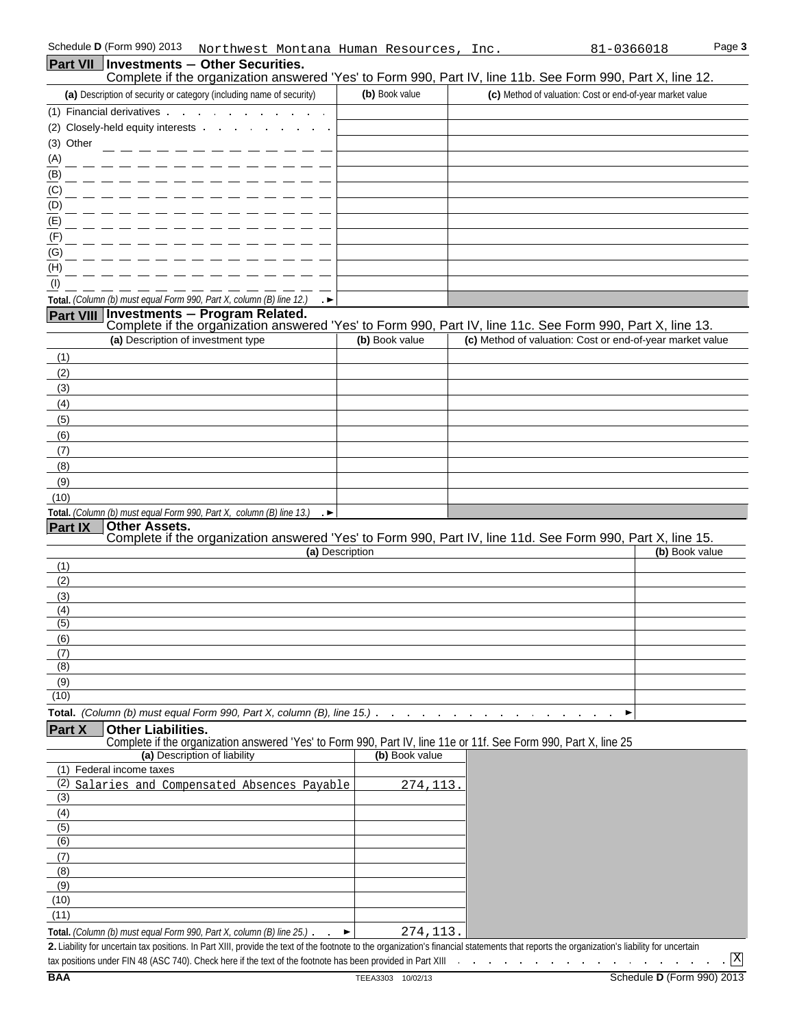| Part VII   Investments - Other Securities.                                                                                                                                                                                                                          |                 | Complete if the organization answered 'Yes' to Form 990, Part IV, line 11b. See Form 990, Part X, line 12.                                                              |  |
|---------------------------------------------------------------------------------------------------------------------------------------------------------------------------------------------------------------------------------------------------------------------|-----------------|-------------------------------------------------------------------------------------------------------------------------------------------------------------------------|--|
| (a) Description of security or category (including name of security)                                                                                                                                                                                                | (b) Book value  | (c) Method of valuation: Cost or end-of-year market value                                                                                                               |  |
| (1) Financial derivatives .<br><b>Contract Contract</b><br>$\sim$                                                                                                                                                                                                   |                 |                                                                                                                                                                         |  |
| (2) Closely-held equity interests                                                                                                                                                                                                                                   |                 |                                                                                                                                                                         |  |
| (3) Other                                                                                                                                                                                                                                                           |                 |                                                                                                                                                                         |  |
| $\overline{A}$                                                                                                                                                                                                                                                      |                 |                                                                                                                                                                         |  |
| $\overline{(\mathsf{B})}$                                                                                                                                                                                                                                           |                 |                                                                                                                                                                         |  |
| $\overline{C}$                                                                                                                                                                                                                                                      |                 |                                                                                                                                                                         |  |
| $\overline{(\mathsf{D})}$                                                                                                                                                                                                                                           |                 |                                                                                                                                                                         |  |
| (E)                                                                                                                                                                                                                                                                 |                 |                                                                                                                                                                         |  |
| (F)                                                                                                                                                                                                                                                                 |                 |                                                                                                                                                                         |  |
| (G)                                                                                                                                                                                                                                                                 |                 |                                                                                                                                                                         |  |
| (H)                                                                                                                                                                                                                                                                 |                 |                                                                                                                                                                         |  |
| (1)                                                                                                                                                                                                                                                                 |                 |                                                                                                                                                                         |  |
| Total. (Column (b) must equal Form 990, Part X, column (B) line 12.)                                                                                                                                                                                                |                 |                                                                                                                                                                         |  |
| <b>Investments - Program Related.</b><br><b>Part VIII</b>                                                                                                                                                                                                           |                 |                                                                                                                                                                         |  |
| (a) Description of investment type                                                                                                                                                                                                                                  | (b) Book value  | Complete if the organization answered 'Yes' to Form 990, Part IV, line 11c. See Form 990, Part X, line 13.<br>(c) Method of valuation: Cost or end-of-year market value |  |
|                                                                                                                                                                                                                                                                     |                 |                                                                                                                                                                         |  |
| (1)<br>(2)                                                                                                                                                                                                                                                          |                 |                                                                                                                                                                         |  |
| (3)                                                                                                                                                                                                                                                                 |                 |                                                                                                                                                                         |  |
| (4)                                                                                                                                                                                                                                                                 |                 |                                                                                                                                                                         |  |
| (5)                                                                                                                                                                                                                                                                 |                 |                                                                                                                                                                         |  |
| (6)                                                                                                                                                                                                                                                                 |                 |                                                                                                                                                                         |  |
| (7)                                                                                                                                                                                                                                                                 |                 |                                                                                                                                                                         |  |
| (8)                                                                                                                                                                                                                                                                 |                 |                                                                                                                                                                         |  |
| (9)                                                                                                                                                                                                                                                                 |                 |                                                                                                                                                                         |  |
| (10)                                                                                                                                                                                                                                                                |                 |                                                                                                                                                                         |  |
| Total. (Column (b) must equal Form 990, Part X, column (B) line 13.)<br>۰. ►                                                                                                                                                                                        |                 |                                                                                                                                                                         |  |
| <b>Other Assets.</b><br><b>Part IX</b>                                                                                                                                                                                                                              |                 |                                                                                                                                                                         |  |
|                                                                                                                                                                                                                                                                     | (a) Description | Complete if the organization answered 'Yes' to Form 990, Part IV, line 11d. See Form 990, Part X, line 15.<br>(b) Book value                                            |  |
| (1)                                                                                                                                                                                                                                                                 |                 |                                                                                                                                                                         |  |
| (2)                                                                                                                                                                                                                                                                 |                 |                                                                                                                                                                         |  |
| (3)                                                                                                                                                                                                                                                                 |                 |                                                                                                                                                                         |  |
| (4)                                                                                                                                                                                                                                                                 |                 |                                                                                                                                                                         |  |
| (5)                                                                                                                                                                                                                                                                 |                 |                                                                                                                                                                         |  |
| (6)                                                                                                                                                                                                                                                                 |                 |                                                                                                                                                                         |  |
| (7)<br>(8)                                                                                                                                                                                                                                                          |                 |                                                                                                                                                                         |  |
| (9)                                                                                                                                                                                                                                                                 |                 |                                                                                                                                                                         |  |
| (10)                                                                                                                                                                                                                                                                |                 |                                                                                                                                                                         |  |
|                                                                                                                                                                                                                                                                     |                 |                                                                                                                                                                         |  |
| <b>Part X</b><br><b>Other Liabilities.</b>                                                                                                                                                                                                                          |                 |                                                                                                                                                                         |  |
| Complete if the organization answered 'Yes' to Form 990, Part IV, line 11e or 11f. See Form 990, Part X, line 25                                                                                                                                                    |                 |                                                                                                                                                                         |  |
| (a) Description of liability                                                                                                                                                                                                                                        | (b) Book value  |                                                                                                                                                                         |  |
| (1) Federal income taxes                                                                                                                                                                                                                                            |                 |                                                                                                                                                                         |  |
| Salaries and Compensated Absences Payable<br>(2)                                                                                                                                                                                                                    | 274, 113.       |                                                                                                                                                                         |  |
| (3)                                                                                                                                                                                                                                                                 |                 |                                                                                                                                                                         |  |
| (4)<br>(5)                                                                                                                                                                                                                                                          |                 |                                                                                                                                                                         |  |
| (6)                                                                                                                                                                                                                                                                 |                 |                                                                                                                                                                         |  |
| (7)                                                                                                                                                                                                                                                                 |                 |                                                                                                                                                                         |  |
| (8)                                                                                                                                                                                                                                                                 |                 |                                                                                                                                                                         |  |
| (9)                                                                                                                                                                                                                                                                 |                 |                                                                                                                                                                         |  |
| (10)                                                                                                                                                                                                                                                                |                 |                                                                                                                                                                         |  |
| (11)                                                                                                                                                                                                                                                                |                 |                                                                                                                                                                         |  |
|                                                                                                                                                                                                                                                                     |                 |                                                                                                                                                                         |  |
| Total. (Column (b) must equal Form 990, Part X, column (B) line 25.)<br>2. Liability for uncertain tax positions. In Part XIII, provide the text of the footnote to the organization's financial statements that reports the organization's liability for uncertain | 274,113<br>▶    |                                                                                                                                                                         |  |

lity for uncertain tax positions. In Part XIII, provide the text of the footnote to the organization's financial statements that reports the organi tax positions under FIN 48 (ASC 740). Check here if the text of the footnote has been provided in Part XIII  $\,\,\ldots\,\,\,\ldots\,\,\,\ldots\,\,\,\ldots\,\,\,\ldots\,\,\,\ldots\,\,\,\ldots\,\,\,\overline{\mathrm{X}}$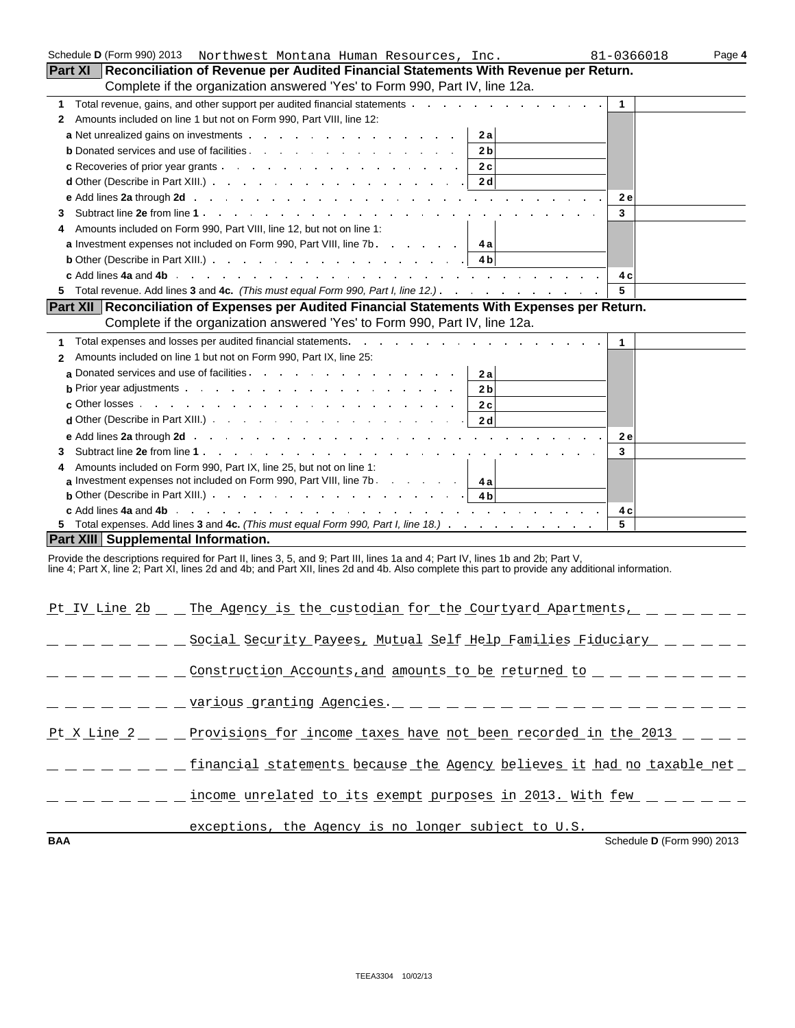| Schedule <b>D</b> (Form 990) 2013   | Northwest Montana Human Resources, Inc.                                                                                                                                                                                                              | 81-0366018   | Page 4 |
|-------------------------------------|------------------------------------------------------------------------------------------------------------------------------------------------------------------------------------------------------------------------------------------------------|--------------|--------|
|                                     | Part XI   Reconciliation of Revenue per Audited Financial Statements With Revenue per Return.                                                                                                                                                        |              |        |
|                                     | Complete if the organization answered 'Yes' to Form 990, Part IV, line 12a.                                                                                                                                                                          |              |        |
| 1.                                  | Total revenue, gains, and other support per audited financial statements                                                                                                                                                                             | $\mathbf{1}$ |        |
| 2                                   | Amounts included on line 1 but not on Form 990, Part VIII, line 12:                                                                                                                                                                                  |              |        |
|                                     | <b>a</b> Net unrealized gains on investments and a series of the series of the series of the series of the series of the series of the series of the series of the series of the series of the series of the series of the series o<br>2 a           |              |        |
|                                     | 2 <sub>b</sub><br><b>b</b> Donated services and use of facilities <b>b</b> Donated Services and use of facilities <b>b</b>                                                                                                                           |              |        |
|                                     | 2c<br>c Recoveries of prior year grants experience of the state of prior year grants                                                                                                                                                                 |              |        |
|                                     | 2d<br><b>d</b> Other (Describe in Part XIII.) <b>and Structure in the contract of Other (Describe in Part XIII.)</b>                                                                                                                                 |              |        |
|                                     |                                                                                                                                                                                                                                                      | <b>2e</b>    |        |
| 3                                   |                                                                                                                                                                                                                                                      | 3            |        |
| 4                                   | Amounts included on Form 990, Part VIII, line 12, but not on line 1:                                                                                                                                                                                 |              |        |
|                                     | <b>a</b> Investment expenses not included on Form 990, Part VIII, line 7b.<br>4 a                                                                                                                                                                    |              |        |
|                                     |                                                                                                                                                                                                                                                      |              |        |
|                                     |                                                                                                                                                                                                                                                      | 4 c          |        |
| 5                                   |                                                                                                                                                                                                                                                      | 5            |        |
|                                     | Part XII Reconciliation of Expenses per Audited Financial Statements With Expenses per Return.                                                                                                                                                       |              |        |
|                                     | Complete if the organization answered 'Yes' to Form 990, Part IV, line 12a.                                                                                                                                                                          |              |        |
| 1                                   | Total expenses and losses per audited financial statements. The manuscript of the system of the statements of the system of the system of the system of the system of the system of the system of the system of the system of                        | $\mathbf{1}$ |        |
| $\mathbf{2}$                        | Amounts included on line 1 but not on Form 990, Part IX, line 25:                                                                                                                                                                                    |              |        |
|                                     | a Donated services and use of facilities.<br>2 a                                                                                                                                                                                                     |              |        |
|                                     | <b>b</b> Prior year adjustments and the set of the set of the set of the set of the set of the set of the set of the set of the set of the set of the set of the set of the set of the set of the set of the set of the set of the<br>2 <sub>b</sub> |              |        |
|                                     | $\mathbf c$ Other losses $\mathbf c$<br>2c                                                                                                                                                                                                           |              |        |
|                                     | d Other (Describe in Part XIII.) $\cdots$ $\cdots$ $\cdots$ $\cdots$ $\cdots$ $\cdots$ $\cdots$ $\cdots$<br>2 d                                                                                                                                      |              |        |
|                                     | e Add lines 2a through 2d in the contract of the contract of the contract of the contract of the contract of the contract of the contract of the contract of the contract of the contract of the contract of the contract of t                       | 2e           |        |
| 3                                   |                                                                                                                                                                                                                                                      | 3            |        |
| 4                                   | Amounts included on Form 990, Part IX, line 25, but not on line 1:                                                                                                                                                                                   |              |        |
|                                     | a Investment expenses not included on Form 990, Part VIII, line 7b.<br>4a                                                                                                                                                                            |              |        |
|                                     | <b>b</b> Other (Describe in Part XIII.) <b>Example 2</b> of the set of the set of the set of the set of the set of the set of the set of the set of the set of the set of the set of the set of the set of the set of the set of the set<br>4 b      |              |        |
|                                     |                                                                                                                                                                                                                                                      | 4 c          |        |
|                                     | 5 Total expenses. Add lines 3 and 4c. (This must equal Form 990, Part I, line 18.)                                                                                                                                                                   | 5            |        |
| Part XIII Supplemental Information. |                                                                                                                                                                                                                                                      |              |        |
|                                     | Provide the descriptions required for Part II, lines 3, 5, and 9; Part III, lines 1a and 4; Part IV, lines 1b and 2b; Part V,                                                                                                                        |              |        |
|                                     | line 4; Part X, line 2; Part XI, lines 2d and 4b; and Part XII, lines 2d and 4b. Also complete this part to provide any additional information.                                                                                                      |              |        |
|                                     |                                                                                                                                                                                                                                                      |              |        |
|                                     | Pt IV Line 2b _ _ The Agency is the custodian for the Courtyard Apartments,                                                                                                                                                                          |              |        |
|                                     |                                                                                                                                                                                                                                                      |              |        |
|                                     | _ _ _ _ _ _ _ Social Security Payees, <u>Mutual Self Help Families Fiduciary _</u> _ _ _ _                                                                                                                                                           |              |        |
|                                     |                                                                                                                                                                                                                                                      |              |        |
|                                     |                                                                                                                                                                                                                                                      |              |        |
|                                     |                                                                                                                                                                                                                                                      |              |        |
|                                     | _ _ _ _ _ _ _ <u>_ various granting Agencies.</u> _ _ _ _ _ _ _ _ _ _ _ _ _ _ _ _ _ _                                                                                                                                                                |              |        |
|                                     |                                                                                                                                                                                                                                                      |              |        |
|                                     | Pt X Line 2 _ _ Provisions for income taxes have not been recorded in the 2013 _ _ _ _                                                                                                                                                               |              |        |
|                                     |                                                                                                                                                                                                                                                      |              |        |
|                                     |                                                                                                                                                                                                                                                      |              |        |
|                                     |                                                                                                                                                                                                                                                      |              |        |

 $\frac{1}{2}$  income unrelated to its exempt purposes in 2013. With few  $\frac{1}{2}$   $\frac{1}{2}$ 

## exceptions, the Agency is no longer subject to U.S.

**BAA** Schedule **D** (Form 990) 2013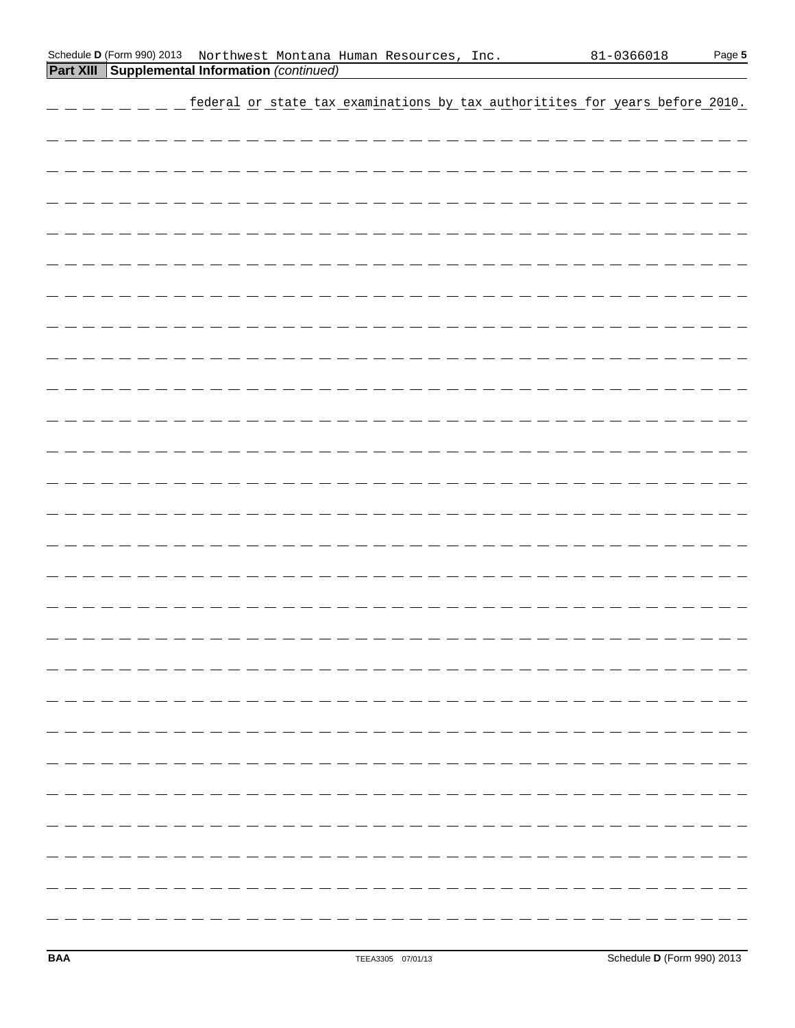|  |  |  |  |  |  |  |  |  |  |  |  |  |                                 |  |  |                                |  | federal or state tax examinations by tax authoritites for years before 2010. |
|--|--|--|--|--|--|--|--|--|--|--|--|--|---------------------------------|--|--|--------------------------------|--|------------------------------------------------------------------------------|
|  |  |  |  |  |  |  |  |  |  |  |  |  |                                 |  |  |                                |  |                                                                              |
|  |  |  |  |  |  |  |  |  |  |  |  |  |                                 |  |  | ____________________________   |  |                                                                              |
|  |  |  |  |  |  |  |  |  |  |  |  |  |                                 |  |  | ______________________________ |  |                                                                              |
|  |  |  |  |  |  |  |  |  |  |  |  |  | ________________________        |  |  |                                |  |                                                                              |
|  |  |  |  |  |  |  |  |  |  |  |  |  | _________________________       |  |  |                                |  |                                                                              |
|  |  |  |  |  |  |  |  |  |  |  |  |  | _______________________________ |  |  |                                |  |                                                                              |
|  |  |  |  |  |  |  |  |  |  |  |  |  |                                 |  |  |                                |  |                                                                              |
|  |  |  |  |  |  |  |  |  |  |  |  |  |                                 |  |  | _____________________________  |  |                                                                              |
|  |  |  |  |  |  |  |  |  |  |  |  |  |                                 |  |  |                                |  |                                                                              |
|  |  |  |  |  |  |  |  |  |  |  |  |  | ________________________        |  |  |                                |  |                                                                              |
|  |  |  |  |  |  |  |  |  |  |  |  |  |                                 |  |  |                                |  |                                                                              |
|  |  |  |  |  |  |  |  |  |  |  |  |  |                                 |  |  |                                |  |                                                                              |
|  |  |  |  |  |  |  |  |  |  |  |  |  |                                 |  |  | ______________________________ |  |                                                                              |
|  |  |  |  |  |  |  |  |  |  |  |  |  | ____________________            |  |  |                                |  |                                                                              |
|  |  |  |  |  |  |  |  |  |  |  |  |  | <u> - - - - - - - - - - - -</u> |  |  |                                |  |                                                                              |
|  |  |  |  |  |  |  |  |  |  |  |  |  |                                 |  |  |                                |  |                                                                              |
|  |  |  |  |  |  |  |  |  |  |  |  |  |                                 |  |  |                                |  |                                                                              |
|  |  |  |  |  |  |  |  |  |  |  |  |  |                                 |  |  |                                |  |                                                                              |
|  |  |  |  |  |  |  |  |  |  |  |  |  |                                 |  |  |                                |  |                                                                              |
|  |  |  |  |  |  |  |  |  |  |  |  |  |                                 |  |  |                                |  |                                                                              |
|  |  |  |  |  |  |  |  |  |  |  |  |  |                                 |  |  |                                |  |                                                                              |
|  |  |  |  |  |  |  |  |  |  |  |  |  |                                 |  |  |                                |  |                                                                              |
|  |  |  |  |  |  |  |  |  |  |  |  |  |                                 |  |  |                                |  |                                                                              |
|  |  |  |  |  |  |  |  |  |  |  |  |  |                                 |  |  |                                |  |                                                                              |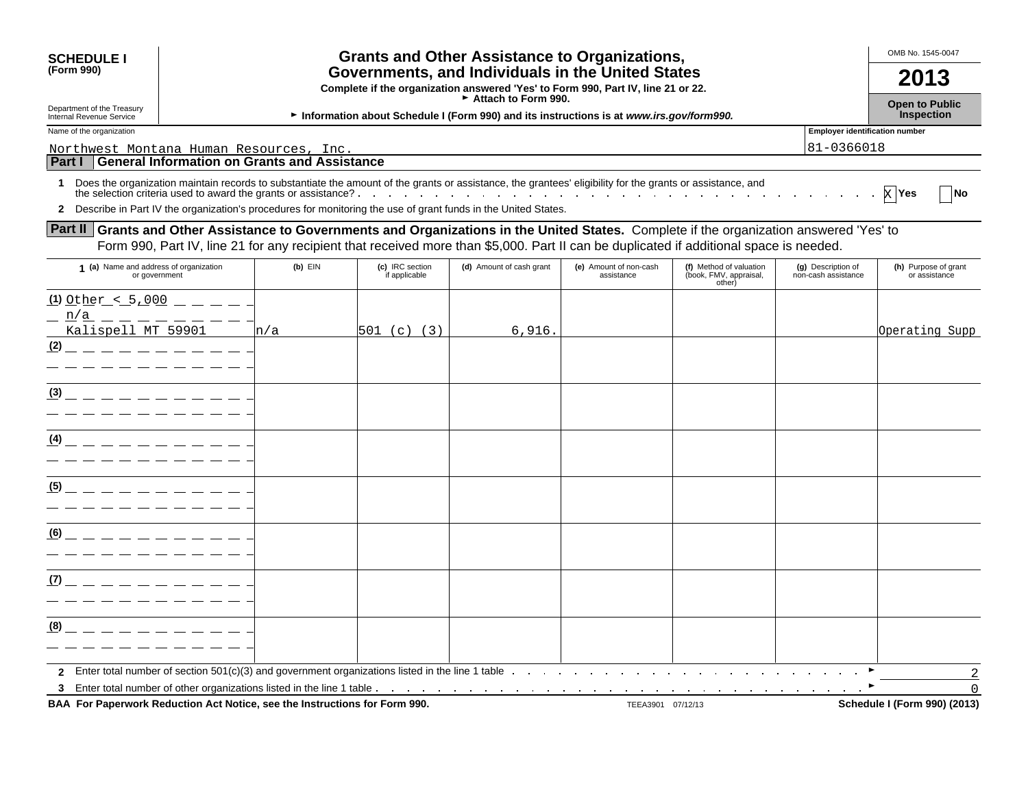| <b>SCHEDULE I</b><br>(Form 990)                                     |           |                                  | <b>Grants and Other Assistance to Organizations,</b><br>Governments, and Individuals in the United States<br>Complete if the organization answered 'Yes' to Form 990, Part IV, line 21 or 22.<br>Attach to Form 990.                                                                                                                            |                                      |                                                             |                                                     | OMB No. 1545-0047<br>2013                  |
|---------------------------------------------------------------------|-----------|----------------------------------|-------------------------------------------------------------------------------------------------------------------------------------------------------------------------------------------------------------------------------------------------------------------------------------------------------------------------------------------------|--------------------------------------|-------------------------------------------------------------|-----------------------------------------------------|--------------------------------------------|
| Department of the Treasury<br>Internal Revenue Service              |           |                                  | Information about Schedule I (Form 990) and its instructions is at www.irs.gov/form990.                                                                                                                                                                                                                                                         |                                      |                                                             |                                                     | <b>Open to Public</b><br><b>Inspection</b> |
| Name of the organization<br>Northwest Montana Human Resources, Inc. |           |                                  |                                                                                                                                                                                                                                                                                                                                                 |                                      |                                                             | <b>Employer identification number</b><br>81-0366018 |                                            |
| Part I General Information on Grants and Assistance                 |           |                                  |                                                                                                                                                                                                                                                                                                                                                 |                                      |                                                             |                                                     |                                            |
| 1.                                                                  |           |                                  | Does the organization maintain records to substantiate the amount of the grants or assistance, the grantees' eligibility for the grants or assistance, and<br>the selection criteria used to award the grants or assistance?<br>2 Describe in Part IV the organization's procedures for monitoring the use of grant funds in the United States. |                                      |                                                             |                                                     | $X$ Yes<br><b>INo</b>                      |
|                                                                     |           |                                  | <b>Part II</b> Grants and Other Assistance to Governments and Organizations in the United States. Complete if the organization answered 'Yes' to<br>Form 990, Part IV, line 21 for any recipient that received more than \$5,000. Part II can be duplicated if additional space is needed.                                                      |                                      |                                                             |                                                     |                                            |
| 1 (a) Name and address of organization<br>or government             | $(b)$ EIN | (c) IRC section<br>if applicable | (d) Amount of cash grant                                                                                                                                                                                                                                                                                                                        | (e) Amount of non-cash<br>assistance | (f) Method of valuation<br>(book, FMV, appraisal,<br>other) | (g) Description of<br>non-cash assistance           | (h) Purpose of grant<br>or assistance      |
| $(1)$ Other < 5,000 $   -$<br>n/a<br>Kalispell MT 59901<br>(2)      | n/a       | $501$ (c) (3)                    | 6.916.                                                                                                                                                                                                                                                                                                                                          |                                      |                                                             |                                                     | Operating Supp                             |
| (3)                                                                 |           |                                  |                                                                                                                                                                                                                                                                                                                                                 |                                      |                                                             |                                                     |                                            |
| (4)                                                                 |           |                                  |                                                                                                                                                                                                                                                                                                                                                 |                                      |                                                             |                                                     |                                            |
| (5)                                                                 |           |                                  |                                                                                                                                                                                                                                                                                                                                                 |                                      |                                                             |                                                     |                                            |
| (6)                                                                 |           |                                  |                                                                                                                                                                                                                                                                                                                                                 |                                      |                                                             |                                                     |                                            |
| (7)                                                                 |           |                                  |                                                                                                                                                                                                                                                                                                                                                 |                                      |                                                             |                                                     |                                            |
| (8)                                                                 |           |                                  |                                                                                                                                                                                                                                                                                                                                                 |                                      |                                                             |                                                     |                                            |
|                                                                     |           |                                  | 3 Enter total number of other organizations listed in the line 1 table.                                                                                                                                                                                                                                                                         |                                      |                                                             |                                                     | $\overline{2}$<br>$\Omega$                 |

BAA For Paperwork Reduction Act Notice, see the Instructions for Form 990. TEEA3901 07/12/13 TEEA3901 07/12/13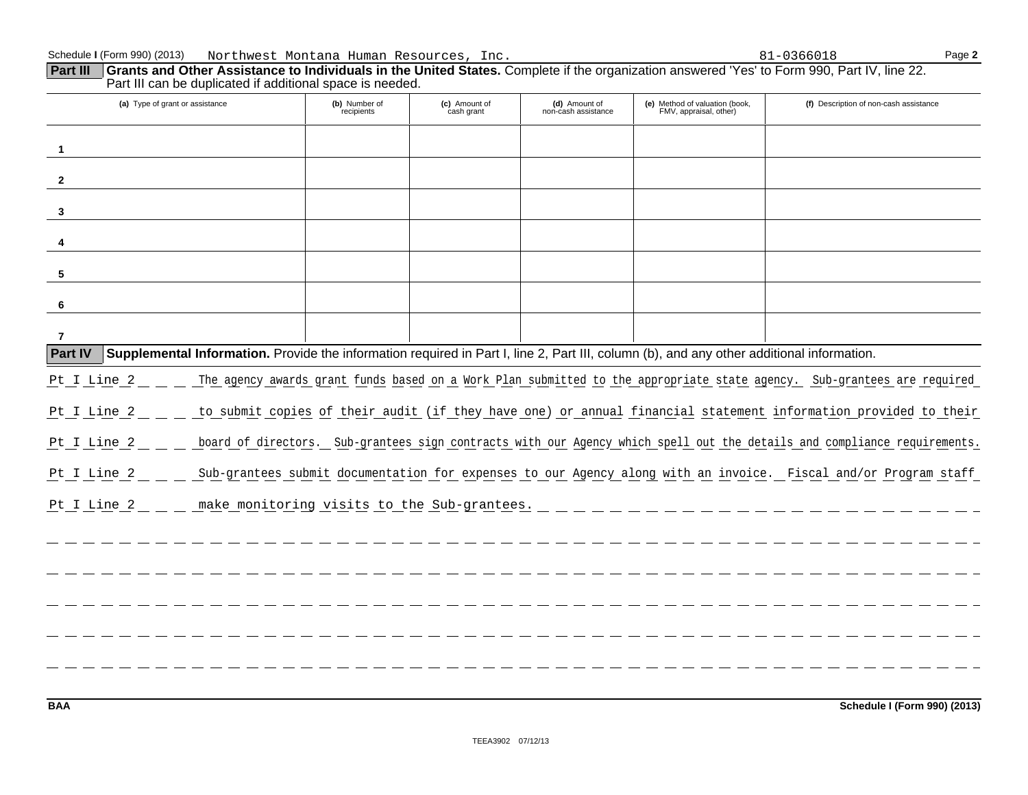| Part III can be duplicated if additional space is needed.                                                                                                   |                             |                                             |                                      |                                                          |                                                                                                                          |
|-------------------------------------------------------------------------------------------------------------------------------------------------------------|-----------------------------|---------------------------------------------|--------------------------------------|----------------------------------------------------------|--------------------------------------------------------------------------------------------------------------------------|
| (a) Type of grant or assistance                                                                                                                             | (b) Number of<br>recipients | (c) Amount of<br>cash grant                 | (d) Amount of<br>non-cash assistance | (e) Method of valuation (book,<br>FMV, appraisal, other) | (f) Description of non-cash assistance                                                                                   |
| 1                                                                                                                                                           |                             |                                             |                                      |                                                          |                                                                                                                          |
| $\overline{2}$                                                                                                                                              |                             |                                             |                                      |                                                          |                                                                                                                          |
| 3                                                                                                                                                           |                             |                                             |                                      |                                                          |                                                                                                                          |
| 4                                                                                                                                                           |                             |                                             |                                      |                                                          |                                                                                                                          |
| 5                                                                                                                                                           |                             |                                             |                                      |                                                          |                                                                                                                          |
| 6                                                                                                                                                           |                             |                                             |                                      |                                                          |                                                                                                                          |
| -7                                                                                                                                                          |                             |                                             |                                      |                                                          |                                                                                                                          |
| <b>Part IV</b><br>Supplemental Information. Provide the information required in Part I, line 2, Part III, column (b), and any other additional information. |                             |                                             |                                      |                                                          |                                                                                                                          |
| Pt I Line 2                                                                                                                                                 |                             |                                             |                                      |                                                          | The agency awards grant funds based on a Work Plan submitted to the appropriate state agency. Sub-grantees are required  |
| Pt I Line 2                                                                                                                                                 |                             |                                             |                                      |                                                          | to submit copies of their audit (if they have one) or annual financial statement information provided to their           |
| Pt I Line 2                                                                                                                                                 |                             |                                             |                                      |                                                          | board of directors. Sub-grantees sign contracts with our Agency which spell out the details and compliance requirements. |
| Pt I Line 2                                                                                                                                                 |                             |                                             |                                      |                                                          | Sub-grantees submit documentation for expenses to our Agency along with an invoice. Fiscal and/or Program staff          |
| Pt I Line 2                                                                                                                                                 |                             | make monitoring visits to the Sub-grantees. |                                      |                                                          |                                                                                                                          |
|                                                                                                                                                             |                             |                                             |                                      |                                                          |                                                                                                                          |
|                                                                                                                                                             |                             |                                             |                                      |                                                          |                                                                                                                          |
|                                                                                                                                                             |                             |                                             |                                      |                                                          |                                                                                                                          |
|                                                                                                                                                             |                             |                                             |                                      |                                                          |                                                                                                                          |
|                                                                                                                                                             |                             |                                             |                                      |                                                          |                                                                                                                          |
|                                                                                                                                                             |                             |                                             |                                      |                                                          |                                                                                                                          |

**BAA Schedule I (Form 990) (2013)**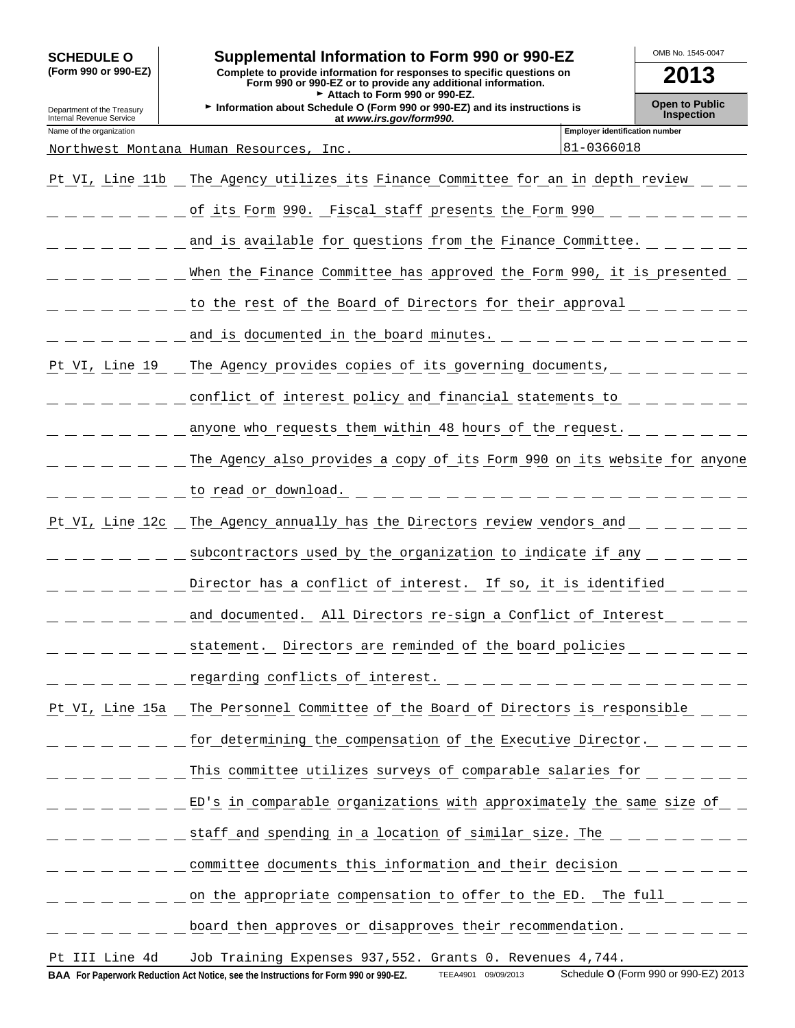| <b>SCHEDULE O</b><br>(Form 990 or 990-EZ)            | Supplemental Information to Form 990 or 990-EZ<br>Complete to provide information for responses to specific questions on<br>Form 990 or 990-EZ or to provide any additional information. |                                       | OMB No. 1545-0047<br>2013 |  |  |  |  |  |  |
|------------------------------------------------------|------------------------------------------------------------------------------------------------------------------------------------------------------------------------------------------|---------------------------------------|---------------------------|--|--|--|--|--|--|
| Department of the Treasury                           | Attach to Form 990 or 990-EZ.<br>Information about Schedule O (Form 990 or 990-EZ) and its instructions is                                                                               |                                       | <b>Open to Public</b>     |  |  |  |  |  |  |
| Internal Revenue Service<br>Name of the organization | at www.irs.gov/form990.                                                                                                                                                                  | <b>Employer identification number</b> | <b>Inspection</b>         |  |  |  |  |  |  |
|                                                      | Northwest Montana Human Resources,<br>Inc                                                                                                                                                | 81-0366018                            |                           |  |  |  |  |  |  |
| Pt VI, Line 11b                                      | The Agency utilizes its Finance Committee for an in depth review                                                                                                                         |                                       |                           |  |  |  |  |  |  |
|                                                      | of its Form 990. Fiscal staff presents the Form 990                                                                                                                                      |                                       |                           |  |  |  |  |  |  |
|                                                      | and is available for questions from the Finance Committee.                                                                                                                               |                                       |                           |  |  |  |  |  |  |
|                                                      | When the Finance Committee has approved the Form 990, it is presented                                                                                                                    |                                       |                           |  |  |  |  |  |  |
|                                                      | to the rest of the Board of Directors for their approval                                                                                                                                 |                                       |                           |  |  |  |  |  |  |
|                                                      | and is documented in the board minutes.                                                                                                                                                  |                                       |                           |  |  |  |  |  |  |
| Pt VI, Line 19                                       | The Agency provides copies of its governing documents,                                                                                                                                   |                                       |                           |  |  |  |  |  |  |
|                                                      | conflict of interest policy and financial statements to                                                                                                                                  |                                       |                           |  |  |  |  |  |  |
|                                                      | anyone who requests them within 48 hours of the request.                                                                                                                                 |                                       |                           |  |  |  |  |  |  |
|                                                      | The Agency also provides a copy of its Form 990 on its website for anyone                                                                                                                |                                       |                           |  |  |  |  |  |  |
|                                                      | to read or download.                                                                                                                                                                     |                                       |                           |  |  |  |  |  |  |
| Pt VI, Line 12c                                      | The Agency annually has the Directors review vendors and                                                                                                                                 |                                       |                           |  |  |  |  |  |  |
|                                                      | subcontractors used by the organization to indicate if any                                                                                                                               |                                       |                           |  |  |  |  |  |  |
|                                                      | Director has a conflict of interest. If so, it is identified                                                                                                                             |                                       |                           |  |  |  |  |  |  |
|                                                      | and documented. All Directors re-sign a Conflict of Interest                                                                                                                             |                                       |                           |  |  |  |  |  |  |
|                                                      | statement. Directors are reminded of the board policies                                                                                                                                  |                                       |                           |  |  |  |  |  |  |
|                                                      |                                                                                                                                                                                          |                                       |                           |  |  |  |  |  |  |
|                                                      | Pt VI, Line 15a _ The Personnel Committee of the Board of Directors is responsible                                                                                                       |                                       |                           |  |  |  |  |  |  |
|                                                      | for determining the compensation of the Executive Director.                                                                                                                              |                                       |                           |  |  |  |  |  |  |
|                                                      | This committee utilizes surveys of comparable salaries for                                                                                                                               |                                       |                           |  |  |  |  |  |  |
|                                                      | ED's in comparable organizations with approximately the same size of                                                                                                                     |                                       |                           |  |  |  |  |  |  |
|                                                      | staff and spending in a location of similar size. The _ _ _ _ _ _ _                                                                                                                      |                                       |                           |  |  |  |  |  |  |
|                                                      | committee documents this information and their decision                                                                                                                                  |                                       |                           |  |  |  |  |  |  |
|                                                      | on the appropriate compensation to offer to the ED. The full                                                                                                                             |                                       |                           |  |  |  |  |  |  |
|                                                      | board then approves or disapproves their recommendation.                                                                                                                                 |                                       |                           |  |  |  |  |  |  |
| Pt III Line 4d                                       | Job Training Expenses 937, 552. Grants 0. Revenues 4, 744.                                                                                                                               |                                       |                           |  |  |  |  |  |  |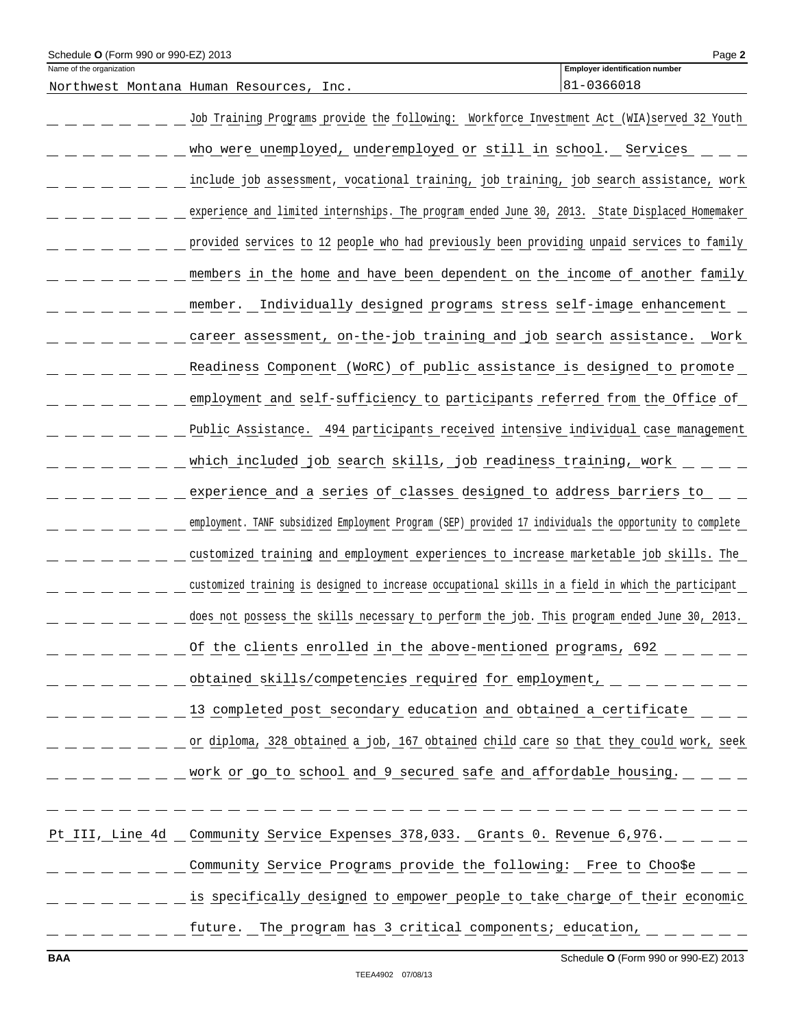| Schedule O (Form 990 or 990-EZ) 2013 |                                                                                                          | Page 2                                |
|--------------------------------------|----------------------------------------------------------------------------------------------------------|---------------------------------------|
| Name of the organization             |                                                                                                          | <b>Employer identification number</b> |
|                                      | Northwest Montana Human Resources, Inc.                                                                  | 81-0366018                            |
|                                      | Job Training Programs provide the following: Workforce Investment Act (WIA)served 32 Youth               |                                       |
|                                      | who were unemployed, underemployed or still in school. Services                                          |                                       |
|                                      | include job assessment, vocational training, job training, job search assistance, work                   |                                       |
|                                      | experience and limited internships. The program ended June 30, 2013. State Displaced Homemaker           |                                       |
|                                      | provided services to 12 people who had previously been providing unpaid services to family               |                                       |
|                                      | members in the home and have been dependent on the income of another family                              |                                       |
|                                      | Individually designed programs stress self-image enhancement<br>member.                                  |                                       |
|                                      | career assessment, on-the-job training and job search assistance.                                        | Work                                  |
|                                      | Readiness Component (WORC) of public assistance is designed to promote                                   |                                       |
|                                      | employment and self-sufficiency to participants referred from the Office of                              |                                       |
|                                      | Public Assistance. 494 participants received intensive individual case management                        |                                       |
|                                      | which included job search skills, job readiness training, work                                           |                                       |
|                                      | experience and a series of classes designed to address barriers to                                       |                                       |
|                                      | employment. TANF subsidized Employment Program (SEP) provided 17 individuals the opportunity to complete |                                       |
|                                      | customized training and employment experiences to increase marketable job skills. The                    |                                       |
|                                      | customized training is designed to increase occupational skills in a field in which the participant      |                                       |
|                                      | does not possess the skills necessary to perform the job. This program ended June 30, 2013.              |                                       |
|                                      | Of the clients enrolled in the above-mentioned programs, 692                                             |                                       |
|                                      | obtained skills/competencies required for employment,                                                    |                                       |
|                                      | 13 completed post secondary education and obtained a certificate                                         |                                       |
|                                      | or diploma, 328 obtained a job, 167 obtained child care so that they could work, seek                    |                                       |
|                                      | work or go to school and 9 secured safe and affordable housing.                                          |                                       |
|                                      |                                                                                                          |                                       |
|                                      | Pt III, Line 4d Community Service Expenses 378, 033. Grants 0. Revenue 6, 976.                           |                                       |
|                                      | Community Service Programs provide the following: Free to Choo\$e                                        |                                       |
|                                      | is specifically designed to empower people to take charge of their economic                              |                                       |

future. The program has 3 critical components; education,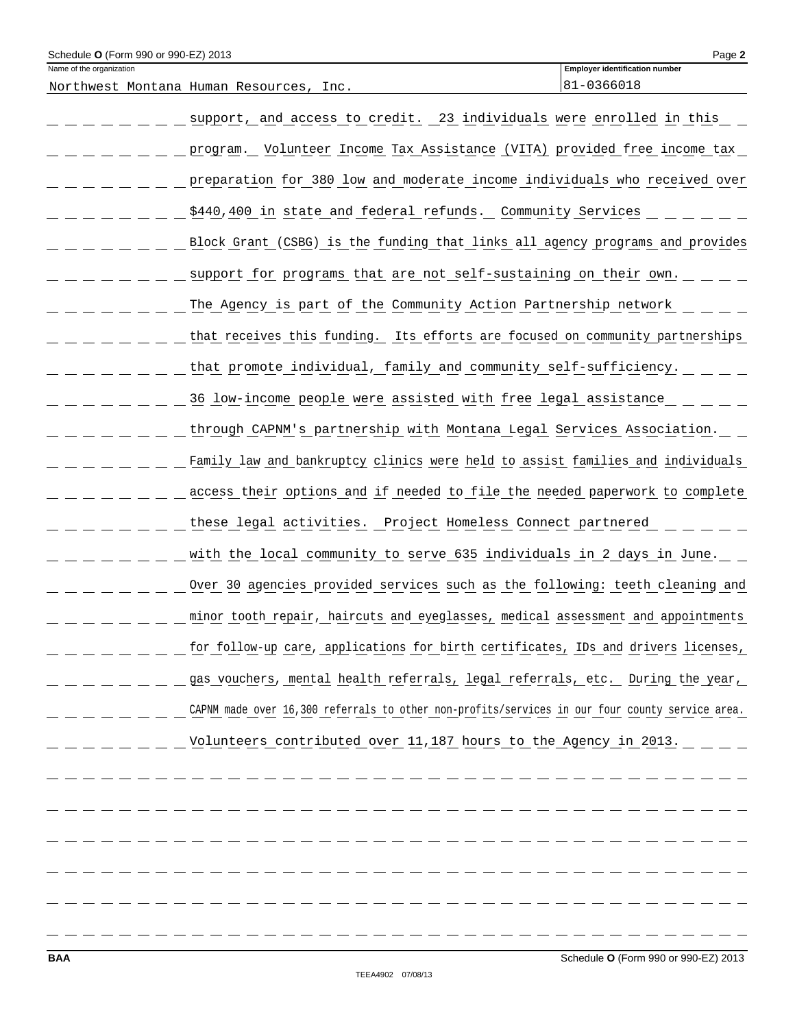| Schedule O (Form 990 or 990-EZ) 2013 |                                                                                                 | Page 2                                              |
|--------------------------------------|-------------------------------------------------------------------------------------------------|-----------------------------------------------------|
| Name of the organization             | Northwest Montana Human Resources, Inc.                                                         | <b>Employer identification number</b><br>81-0366018 |
|                                      | support, and access to credit. 23 individuals were enrolled in this                             |                                                     |
|                                      | program. Volunteer Income Tax Assistance (VITA) provided free income tax                        |                                                     |
|                                      | preparation for 380 low and moderate income individuals who received over                       |                                                     |
|                                      | \$440,400 in state and federal refunds. Community Services                                      |                                                     |
|                                      | Block Grant (CSBG) is the funding that links all agency programs and provides                   |                                                     |
|                                      | support for programs that are not self-sustaining on their own.                                 |                                                     |
|                                      | The Agency is part of the Community Action Partnership network                                  |                                                     |
|                                      | that receives this funding. Its efforts are focused on community partnerships                   |                                                     |
|                                      | that promote individual, family and community self-sufficiency.                                 |                                                     |
|                                      | 36 low-income people were assisted with free legal assistance                                   |                                                     |
|                                      | through CAPNM's partnership with Montana Legal Services Association.                            |                                                     |
|                                      | Family law and bankruptcy clinics were held to assist families and individuals                  |                                                     |
|                                      | access their options and if needed to file the needed paperwork to complete                     |                                                     |
|                                      | these legal activities. Project Homeless Connect partnered                                      |                                                     |
|                                      | with the local community to serve 635 individuals in 2 days in June.                            |                                                     |
|                                      | Over 30 agencies provided services such as the following: teeth cleaning and                    |                                                     |
|                                      | minor tooth repair, haircuts and eyeglasses, medical assessment and appointments                |                                                     |
|                                      | for follow-up care, applications for birth certificates, IDs and drivers licenses,              |                                                     |
|                                      | gas vouchers, mental health referrals, legal referrals, etc. During the year,                   |                                                     |
|                                      | CAPNM made over 16,300 referrals to other non-profits/services in our four county service area. |                                                     |
|                                      | Volunteers contributed over 11,187 hours to the Agency in 2013.                                 |                                                     |
|                                      |                                                                                                 |                                                     |
|                                      |                                                                                                 |                                                     |
|                                      |                                                                                                 |                                                     |
|                                      |                                                                                                 |                                                     |
|                                      |                                                                                                 |                                                     |
|                                      |                                                                                                 |                                                     |
|                                      |                                                                                                 |                                                     |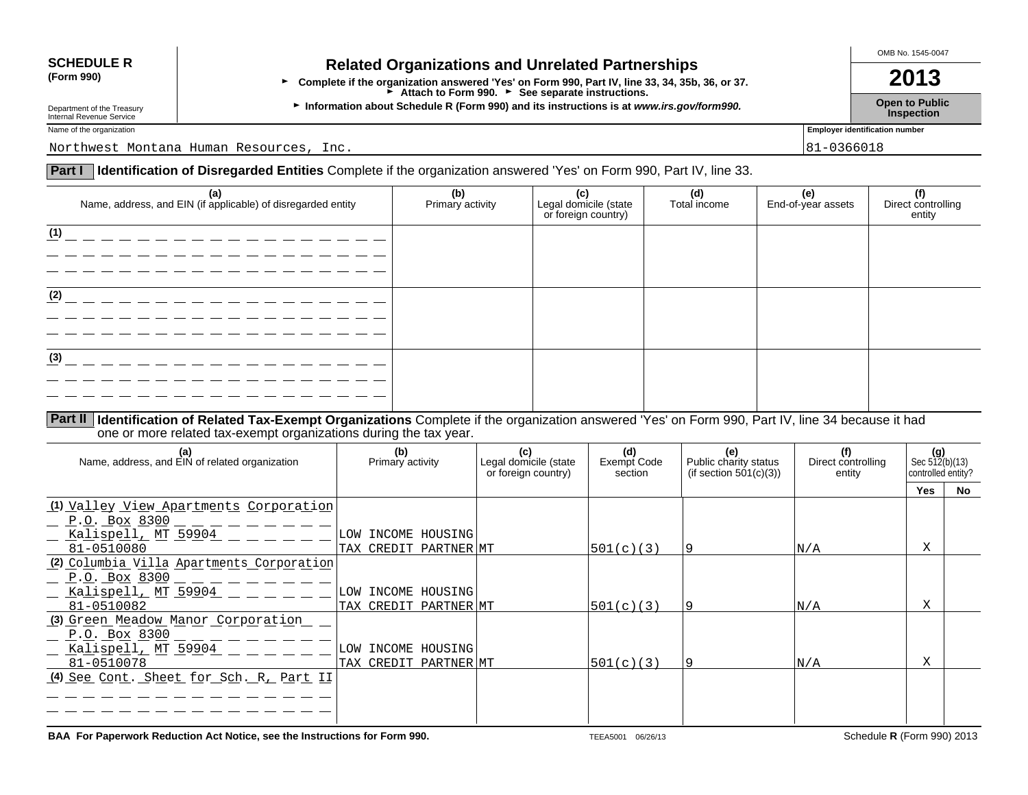# **SCHEDULE R Related Organizations and Unrelated Partnerships**<br>(Form 990) **Related Organizations and Unrelated Partnerships**

**(Form 990)** <sup>G</sup>**Complete if the organization answered 'Yes' on Form 990, Part IV, line 33, 34, 35b, 36, or 37. 2013** Attach to Form 990. **Corners** See separate instructions.

**Department of the Treasury inc.** Information about Schedule R (Form 990) and its instructions is at *www.irs.gov/form990.* Depart to Public inspection<br>Internal Revenue Service **Inspection** 

OMB No. 1545-0047

Name of the organization **Employer identification number** 

Northwest Montana Human Resources, Inc. 81-0366018

## **Part I Identification of Disregarded Entities** Complete if the organization answered 'Yes' on Form 990, Part IV, line 33.

|     | (a)<br>Name, address, and EIN (if applicable) of disregarded entity | (b)<br>Primary activity | Legal domicile (state<br>or foreign country) | (d)<br>Total income | (e)<br>End-of-year assets | <br>  Direct controlling<br>  entity |
|-----|---------------------------------------------------------------------|-------------------------|----------------------------------------------|---------------------|---------------------------|--------------------------------------|
| (1) |                                                                     |                         |                                              |                     |                           |                                      |
|     |                                                                     |                         |                                              |                     |                           |                                      |
| (2) |                                                                     |                         |                                              |                     |                           |                                      |
|     |                                                                     |                         |                                              |                     |                           |                                      |
| (3) |                                                                     |                         |                                              |                     |                           |                                      |
|     |                                                                     |                         |                                              |                     |                           |                                      |

**Part II Identification of Related Tax-Exempt Organizations** Complete if the organization answered 'Yes' on Form 990, Part IV, line 34 because it had one or more related tax-exempt organizations during the tax year.

| (a)<br>Name, address, and EIN of related organization | (b)<br>Primary activity | (c)<br>Legal domicile (state<br>or foreign country) | (d)<br>Exempt Code<br>section | (e)<br>Public charity status<br>(if section $501(c)(3)$ ) | (f)<br>Direct controlling<br>entity | (g)<br>Sec $512(b)(13)$<br>controlled entity? |     |
|-------------------------------------------------------|-------------------------|-----------------------------------------------------|-------------------------------|-----------------------------------------------------------|-------------------------------------|-----------------------------------------------|-----|
|                                                       |                         |                                                     |                               |                                                           |                                     | <b>Yes</b>                                    | No. |
| (1) Valley View Apartments Corporation                |                         |                                                     |                               |                                                           |                                     |                                               |     |
| P.O. Box 8300                                         |                         |                                                     |                               |                                                           |                                     |                                               |     |
| Kalispell, MT 59904                                   | LOW INCOME HOUSING      |                                                     |                               |                                                           |                                     |                                               |     |
| 81-0510080                                            | TAX CREDIT PARTNER MT   |                                                     | 501(c)(3)                     |                                                           | N/A                                 | X                                             |     |
| (2) Columbia Villa Apartments Corporation             |                         |                                                     |                               |                                                           |                                     |                                               |     |
| <u>P.O. Box 8300</u>                                  |                         |                                                     |                               |                                                           |                                     |                                               |     |
| Kalispell, MT 59904                                   | LOW INCOME HOUSING      |                                                     |                               |                                                           |                                     |                                               |     |
| 81-0510082                                            | TAX CREDIT PARTNER MT   |                                                     | 501(c)(3)                     |                                                           | N/A                                 | X                                             |     |
| (3) Green Meadow Manor Corporation                    |                         |                                                     |                               |                                                           |                                     |                                               |     |
| P.O. Box 8300                                         |                         |                                                     |                               |                                                           |                                     |                                               |     |
| Kalispell, MT 59904                                   | INCOME HOUSING<br>LOW   |                                                     |                               |                                                           |                                     |                                               |     |
| 81-0510078                                            | TAX CREDIT PARTNER MT   |                                                     | 501(c)(3)                     |                                                           | N/A                                 | X                                             |     |
| (4) See Cont. Sheet for Sch. R, Part II               |                         |                                                     |                               |                                                           |                                     |                                               |     |
|                                                       |                         |                                                     |                               |                                                           |                                     |                                               |     |
|                                                       |                         |                                                     |                               |                                                           |                                     |                                               |     |
|                                                       |                         |                                                     |                               |                                                           |                                     |                                               |     |

**BAA For Paperwork Reduction Act Notice, see the Instructions for Form 990.** TEEA5001 06/26/13 Schedule **R** (Form 990) 2013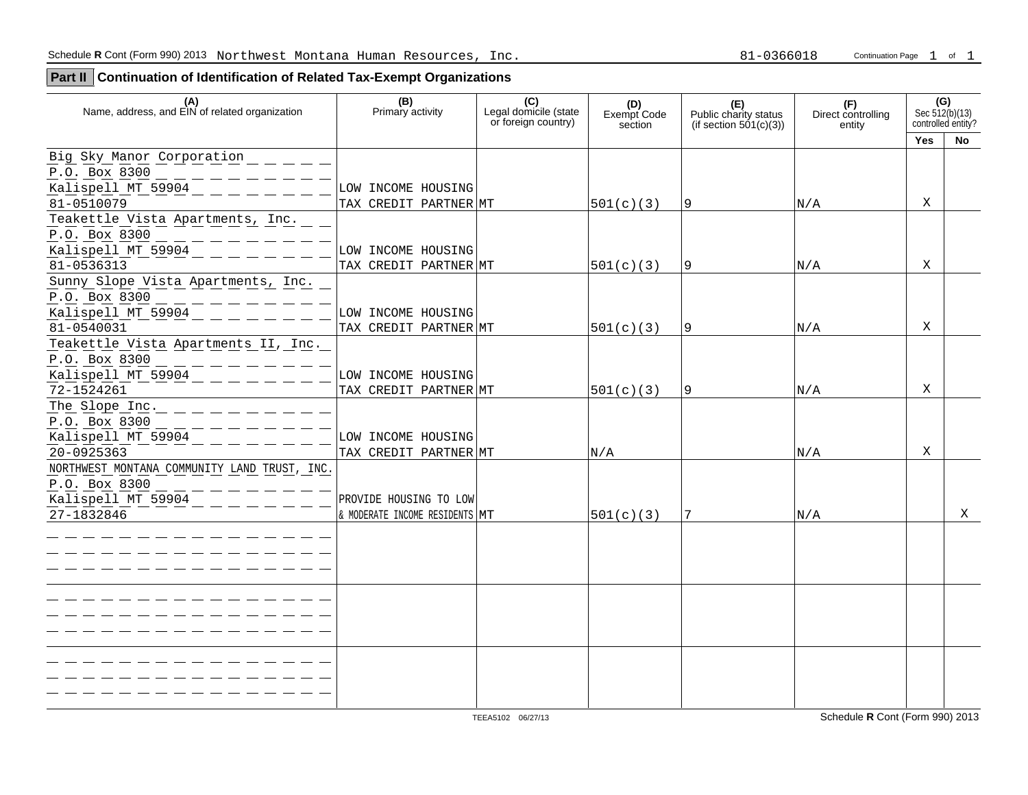**Part II Continuation of Identification of Related Tax-Exempt Organizations**

| (A)<br>Name, address, and EIN of related organization         | (B)<br>Primary activity        | (C)<br>Legal domicile (state<br>or foreign country) | (D)<br>Exempt Code<br>section | (E)<br>Public charity status<br>(if section 501(c)(3)) | (F)<br>Direct controlling<br>entity | (G)        | Sec 512(b)(13)<br>controlled entity? |
|---------------------------------------------------------------|--------------------------------|-----------------------------------------------------|-------------------------------|--------------------------------------------------------|-------------------------------------|------------|--------------------------------------|
|                                                               |                                |                                                     |                               |                                                        |                                     | <b>Yes</b> | <b>No</b>                            |
| Big Sky Manor Corporation<br>P.O. Box 8300                    |                                |                                                     |                               |                                                        |                                     |            |                                      |
| Kalispell MT 59904                                            | LOW INCOME HOUSING             |                                                     |                               |                                                        |                                     |            |                                      |
| 81-0510079                                                    | TAX CREDIT PARTNER MT          |                                                     | 501(c)(3)                     | 19                                                     | N/A                                 | X          |                                      |
| Teakettle Vista Apartments, Inc.<br>P.O. Box 8300             |                                |                                                     |                               |                                                        |                                     |            |                                      |
| $Kalispel1_MT_59904 - - -$                                    | LOW INCOME HOUSING             |                                                     |                               |                                                        |                                     |            |                                      |
| 81-0536313                                                    | TAX CREDIT PARTNER MT          |                                                     | 501(c)(3)                     | <u>9</u>                                               | N/A                                 | Χ          |                                      |
| Sunny Slope Vista Apartments, Inc.<br>P.O. Box 8300           |                                |                                                     |                               |                                                        |                                     |            |                                      |
| Kalispell MT $59904 - - -$                                    | LOW INCOME HOUSING             |                                                     |                               |                                                        |                                     |            |                                      |
| 81-0540031                                                    | TAX CREDIT PARTNER MT          |                                                     | 501(c)(3)                     | <u>9</u>                                               | N/A                                 | X          |                                      |
| Teakettle Vista Apartments II, Inc.<br>P.O. Box 8300          |                                |                                                     |                               |                                                        |                                     |            |                                      |
| $\frac{1}{2}$ Kalispell MT 59904 $\_\_$ $\_\_$ $\_$           | LOW INCOME HOUSING             |                                                     |                               |                                                        |                                     |            |                                      |
| 72-1524261                                                    | TAX CREDIT PARTNER MT          |                                                     | 501(c)(3)                     | $\overline{9}$                                         | N/A                                 | Χ          |                                      |
| The Slope Inc. $      -$<br>P.O. Box 8300                     |                                |                                                     |                               |                                                        |                                     |            |                                      |
| Kalispell MT 59904                                            | LOW INCOME HOUSING             |                                                     |                               |                                                        |                                     |            |                                      |
| 20-0925363                                                    | TAX CREDIT PARTNER MT          |                                                     | N/A                           |                                                        | N/A                                 | X          |                                      |
| NORTHWEST MONTANA COMMUNITY LAND TRUST, INC.<br>P.O. Box 8300 |                                |                                                     |                               |                                                        |                                     |            |                                      |
| Kalispell MT $59904$ - - - - -                                | PROVIDE HOUSING TO LOW         |                                                     |                               |                                                        |                                     |            |                                      |
| 27-1832846                                                    | & MODERATE INCOME RESIDENTS MT |                                                     | 501(c)(3)                     |                                                        | N/A                                 |            | X                                    |
|                                                               |                                |                                                     |                               |                                                        |                                     |            |                                      |
|                                                               |                                |                                                     |                               |                                                        |                                     |            |                                      |
|                                                               |                                |                                                     |                               |                                                        |                                     |            |                                      |
|                                                               |                                |                                                     |                               |                                                        |                                     |            |                                      |
|                                                               |                                |                                                     |                               |                                                        |                                     |            |                                      |
|                                                               |                                |                                                     |                               |                                                        |                                     |            |                                      |
|                                                               |                                |                                                     |                               |                                                        |                                     |            |                                      |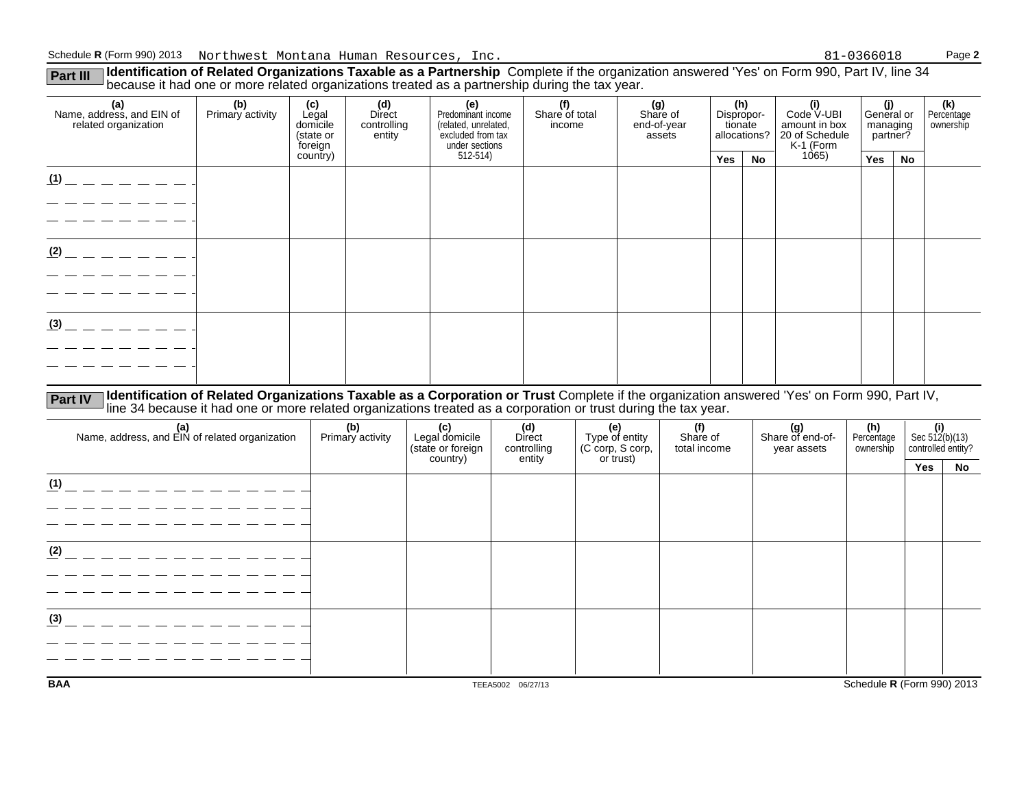**Part III Identification of Related Organizations Taxable as a Partnership** Complete if the organization answered 'Yes' on Form 990, Part IV, line 34<br>because it had one or more related organizations treated as a partnershi

| (d)<br>Direct<br>Predominant income<br>controlling<br>(related, unrelated,<br>excluded from tax<br>entity<br>under sections | (f)<br>(g)<br>Share of<br>Share of total<br>income<br>assets |  | (e)         |    | (h)<br>Dispropor- |                                    | (i)<br>Code V-UBI<br>amount in box<br>20 of Schedule |                                           |  | (k)<br>Percentage<br>ownership |
|-----------------------------------------------------------------------------------------------------------------------------|--------------------------------------------------------------|--|-------------|----|-------------------|------------------------------------|------------------------------------------------------|-------------------------------------------|--|--------------------------------|
|                                                                                                                             |                                                              |  | Yes         | No |                   | Yes                                | No                                                   |                                           |  |                                |
|                                                                                                                             |                                                              |  |             |    |                   |                                    |                                                      |                                           |  |                                |
|                                                                                                                             |                                                              |  |             |    |                   |                                    |                                                      |                                           |  |                                |
|                                                                                                                             |                                                              |  |             |    |                   |                                    |                                                      |                                           |  |                                |
|                                                                                                                             |                                                              |  |             |    |                   |                                    |                                                      |                                           |  |                                |
|                                                                                                                             |                                                              |  |             |    |                   |                                    |                                                      |                                           |  |                                |
|                                                                                                                             |                                                              |  |             |    |                   |                                    |                                                      |                                           |  |                                |
|                                                                                                                             |                                                              |  |             |    |                   |                                    |                                                      |                                           |  |                                |
|                                                                                                                             |                                                              |  |             |    |                   |                                    |                                                      |                                           |  |                                |
|                                                                                                                             |                                                              |  |             |    |                   |                                    |                                                      |                                           |  |                                |
|                                                                                                                             |                                                              |  |             |    |                   |                                    |                                                      |                                           |  |                                |
|                                                                                                                             | $512-514$                                                    |  | end-of-year |    | tionate           | allocations?<br>K-1 (Form<br>1065) |                                                      | (j)<br>General or<br>managing<br>?partner |  |                                |

**Part IV** Identification of Related Organizations Taxable as a Corporation or Trust Complete if the organization answered 'Yes' on Form 990, Part IV, local charactions treated as a corporation or trust during the tax year.

| (a)<br>Name, address, and EIN of related organization | (b)<br>Primary activity | (c)<br>Legal domicile<br>(state or foreign<br>country) | (d)<br>Direct<br>controlling<br>entity | (e)<br>Type of entity<br>(C corp, S corp,<br>or trust) | (f)<br>Share of<br>total income | (g)<br>Share of end-of-<br>year assets | (h)<br>Percentage<br>ownership | $\left\{\n \begin{array}{l}\n \text{(i)} \\  \text{Sec } 512(b)(13) \\  \text{controlled entity?}\n \end{array}\n\right.$ |    |
|-------------------------------------------------------|-------------------------|--------------------------------------------------------|----------------------------------------|--------------------------------------------------------|---------------------------------|----------------------------------------|--------------------------------|---------------------------------------------------------------------------------------------------------------------------|----|
|                                                       |                         |                                                        |                                        |                                                        |                                 |                                        |                                | Yes                                                                                                                       | No |
| (1)                                                   |                         |                                                        |                                        |                                                        |                                 |                                        |                                |                                                                                                                           |    |
|                                                       |                         |                                                        |                                        |                                                        |                                 |                                        |                                |                                                                                                                           |    |
|                                                       |                         |                                                        |                                        |                                                        |                                 |                                        |                                |                                                                                                                           |    |
| (2)                                                   |                         |                                                        |                                        |                                                        |                                 |                                        |                                |                                                                                                                           |    |
|                                                       |                         |                                                        |                                        |                                                        |                                 |                                        |                                |                                                                                                                           |    |
|                                                       |                         |                                                        |                                        |                                                        |                                 |                                        |                                |                                                                                                                           |    |
|                                                       |                         |                                                        |                                        |                                                        |                                 |                                        |                                |                                                                                                                           |    |
| (3)                                                   |                         |                                                        |                                        |                                                        |                                 |                                        |                                |                                                                                                                           |    |
|                                                       |                         |                                                        |                                        |                                                        |                                 |                                        |                                |                                                                                                                           |    |
|                                                       |                         |                                                        |                                        |                                                        |                                 |                                        |                                |                                                                                                                           |    |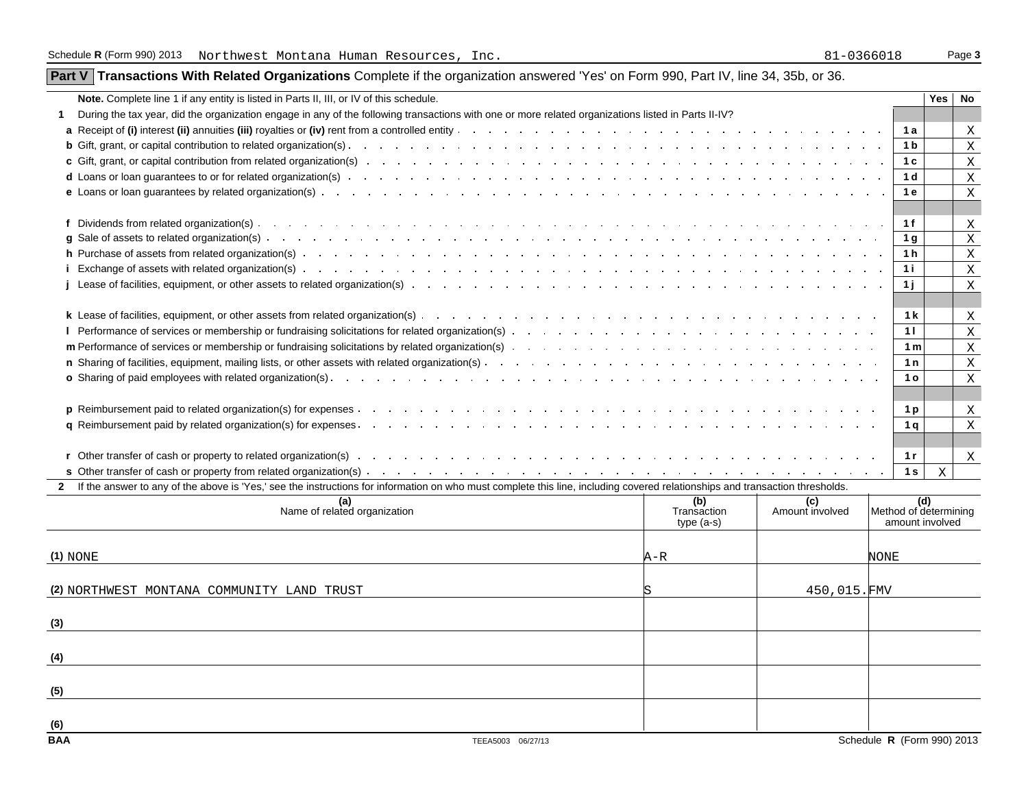**(6)**

# **Part V Transactions With Related Organizations** Complete if the organization answered 'Yes' on Form 990, Part IV, line 34, 35b, or 36.

| Note. Complete line 1 if any entity is listed in Parts II, III, or IV of this schedule.                                                                                                                                             |             |                 |                       | <b>Yes</b>  | No |
|-------------------------------------------------------------------------------------------------------------------------------------------------------------------------------------------------------------------------------------|-------------|-----------------|-----------------------|-------------|----|
| During the tax year, did the organization engage in any of the following transactions with one or more related organizations listed in Parts II-IV?                                                                                 |             |                 |                       |             |    |
| a Receipt of (i) interest (ii) annuities (iii) royalties or (iv) rent from a controlled entity and the controlled entity and the controlled entity and the controlled entity and the controlled entity and the controlled enti      |             |                 | 1 a                   |             | Χ  |
|                                                                                                                                                                                                                                     |             |                 | 1 <sub>b</sub>        |             | Χ  |
|                                                                                                                                                                                                                                     |             |                 | 1 c                   |             | Χ  |
| d Loans or loan quarantees to or for related organization(s) entering to contact the content of the content of the content of the content of the content of the content of the content of the content of the content of the co      |             |                 | 1 <sub>d</sub>        |             | X  |
| <b>e</b> Loans or loan guarantees by related organization(s) enteringly and the control of the control of the control of the control of the control of the control of the control of the control of the control of the control of t |             |                 | 1 e                   |             | X  |
|                                                                                                                                                                                                                                     |             |                 |                       |             |    |
|                                                                                                                                                                                                                                     |             |                 | 1 f                   |             | Χ  |
|                                                                                                                                                                                                                                     |             |                 | 1 g                   |             | X  |
|                                                                                                                                                                                                                                     |             |                 | 1 h                   |             | X  |
|                                                                                                                                                                                                                                     |             |                 | 1 i                   |             | Χ  |
|                                                                                                                                                                                                                                     |             |                 | 1 i                   |             | Χ  |
|                                                                                                                                                                                                                                     |             |                 |                       |             |    |
|                                                                                                                                                                                                                                     |             |                 | 1 k                   |             | Χ  |
| I Performance of services or membership or fundraising solicitations for related organization(s) enterstand and the content of the content of the content of the content of the content of the content of the content of the c      |             |                 | 11                    |             | Χ  |
|                                                                                                                                                                                                                                     |             |                 | 1 <sub>m</sub>        |             | Χ  |
|                                                                                                                                                                                                                                     |             |                 | 1n                    |             | Χ  |
| <b>o</b> Sharing of paid employees with related organization(s).                                                                                                                                                                    |             |                 | 1 o                   |             | Χ  |
|                                                                                                                                                                                                                                     |             |                 |                       |             |    |
|                                                                                                                                                                                                                                     |             |                 | 1 <sub>p</sub>        |             | Χ  |
| q Reimbursement paid by related organization(s) for expenses. The contract of the contract of the contract of the contract of the contract of the contract of the contract of the contract of the contract of the contract of       |             |                 | 1 q                   |             | X  |
|                                                                                                                                                                                                                                     |             |                 |                       |             |    |
|                                                                                                                                                                                                                                     |             |                 | 1 r                   |             | X  |
|                                                                                                                                                                                                                                     |             |                 | 1 <sub>s</sub>        | $\mathbf X$ |    |
| If the answer to any of the above is 'Yes,' see the instructions for information on who must complete this line, including covered relationships and transaction thresholds.                                                        | (b)         | (c)             | (d)                   |             |    |
| (a)<br>Name of related organization                                                                                                                                                                                                 | Transaction | Amount involved | Method of determining |             |    |
|                                                                                                                                                                                                                                     | $type(a-s)$ |                 | amount involved       |             |    |
|                                                                                                                                                                                                                                     |             |                 |                       |             |    |
| $(1)$ NONE                                                                                                                                                                                                                          | A-R         |                 | NONE                  |             |    |
|                                                                                                                                                                                                                                     |             |                 |                       |             |    |
| (2) NORTHWEST MONTANA COMMUNITY LAND TRUST                                                                                                                                                                                          |             | 450,015.FMV     |                       |             |    |
|                                                                                                                                                                                                                                     |             |                 |                       |             |    |
| (3)                                                                                                                                                                                                                                 |             |                 |                       |             |    |
|                                                                                                                                                                                                                                     |             |                 |                       |             |    |
| (4)                                                                                                                                                                                                                                 |             |                 |                       |             |    |
|                                                                                                                                                                                                                                     |             |                 |                       |             |    |
| (5)                                                                                                                                                                                                                                 |             |                 |                       |             |    |
|                                                                                                                                                                                                                                     |             |                 |                       |             |    |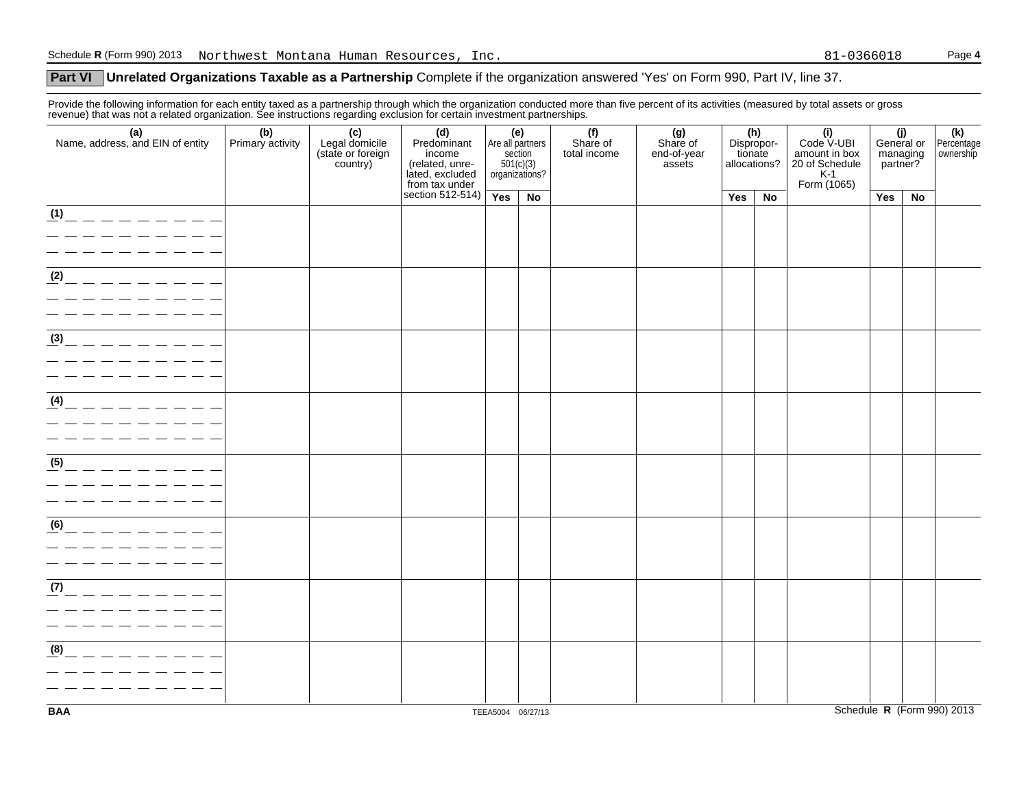# **Part VI** Unrelated Organizations Taxable as a Partnership Complete if the organization answered 'Yes' on Form 990, Part IV, line 37.

Provide the following information for each entity taxed as a partnership through which the organization conducted more than five percent of its activities (measured by total assets or gross revenue) that was not a related organization. See instructions regarding exclusion for certain investment partnerships.

| (a)<br>Name, address, and EIN of entity                                                                          | (b)<br>Primary activity | (c)<br>Legal domicile<br>(state or foreign<br>country) | (d)<br>Predominant<br>income<br>(related, unre-<br>lated, excluded<br>from tax under | (e)<br>Are all partners<br>organizations? | section<br>501(c)(3) | (f)<br>Share of<br>total income | (g)<br>Share of<br>end-of-year<br>assets | tionate<br>allocations? | (h)<br>Dispropor- | (i)<br>Code V-UBI<br>amount in box<br>20 of Schedule<br>K-1<br>Form (1065) | (j)<br>General or<br>managing<br>partner? |    | (k)<br>Percentage<br>ownership |
|------------------------------------------------------------------------------------------------------------------|-------------------------|--------------------------------------------------------|--------------------------------------------------------------------------------------|-------------------------------------------|----------------------|---------------------------------|------------------------------------------|-------------------------|-------------------|----------------------------------------------------------------------------|-------------------------------------------|----|--------------------------------|
|                                                                                                                  |                         |                                                        | section $512-514$ )                                                                  | Yes                                       | No                   |                                 |                                          | Yes                     | No                |                                                                            | Yes                                       | No |                                |
| $\frac{1}{10}$ - - - - - - - -                                                                                   |                         |                                                        |                                                                                      |                                           |                      |                                 |                                          |                         |                   |                                                                            |                                           |    |                                |
| (2)                                                                                                              |                         |                                                        |                                                                                      |                                           |                      |                                 |                                          |                         |                   |                                                                            |                                           |    |                                |
| $\sqrt{39}$ - - - - - - - -<br>_ _ _ _ _ _ _ _ _ _                                                               |                         |                                                        |                                                                                      |                                           |                      |                                 |                                          |                         |                   |                                                                            |                                           |    |                                |
| $\frac{4}{4}$ - - - - - - - - -                                                                                  |                         |                                                        |                                                                                      |                                           |                      |                                 |                                          |                         |                   |                                                                            |                                           |    |                                |
| $\frac{(5)}{6}$ - - - - - - - -                                                                                  |                         |                                                        |                                                                                      |                                           |                      |                                 |                                          |                         |                   |                                                                            |                                           |    |                                |
| (6)                                                                                                              |                         |                                                        |                                                                                      |                                           |                      |                                 |                                          |                         |                   |                                                                            |                                           |    |                                |
| <u> 1989 - Johann Barn, amerikansk politiker (</u><br>$\frac{1}{2}$ - - - - - - - - -<br>_________<br>---------- |                         |                                                        |                                                                                      |                                           |                      |                                 |                                          |                         |                   |                                                                            |                                           |    |                                |
| (8)<br>$      -$                                                                                                 |                         |                                                        |                                                                                      |                                           |                      |                                 |                                          |                         |                   |                                                                            |                                           |    |                                |
| <b>BAA</b>                                                                                                       |                         |                                                        |                                                                                      |                                           | TEEA5004 06/27/13    |                                 |                                          |                         |                   |                                                                            |                                           |    | Schedule R (Form 990) 2013     |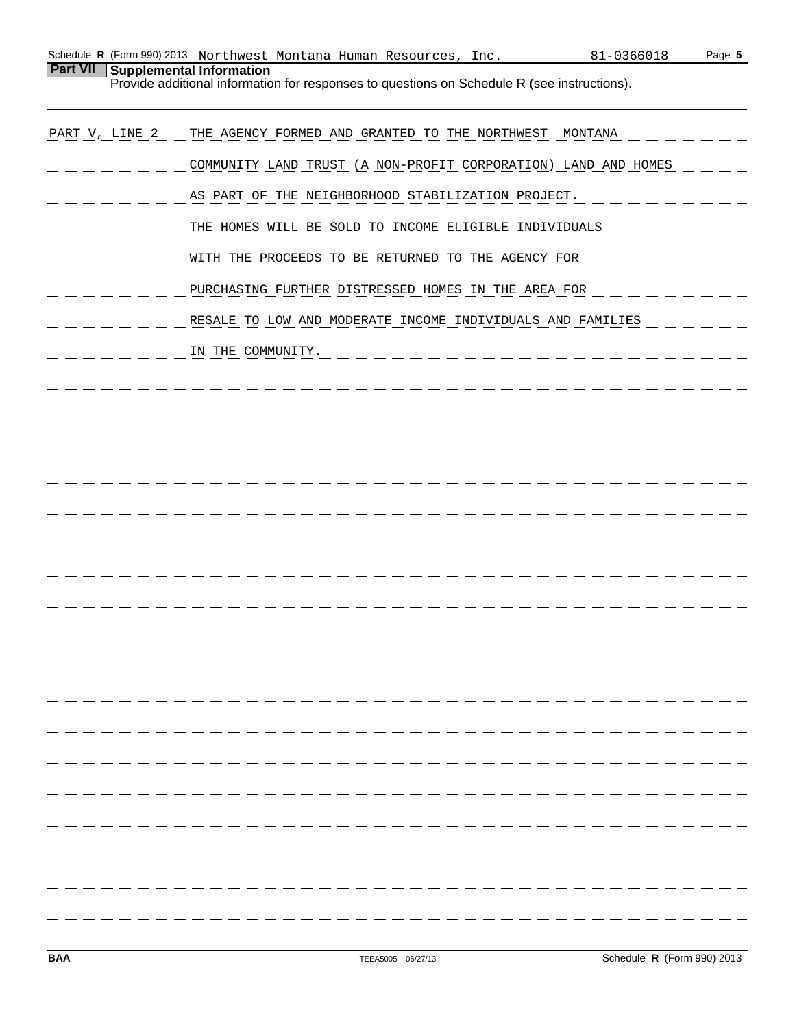| Schedule <b>R</b> (Form 990) 2013 $\,$ Northwest Montana Human Resources, Inc. |  |  | 81-0366018 | Page 5 |
|--------------------------------------------------------------------------------|--|--|------------|--------|
| <b>Part VII</b> Supplemental Information                                       |  |  |            |        |

Provide additional information for responses to questions on Schedule R (see instructions).

| PART V, LINE 2 | THE AGENCY FORMED AND GRANTED TO THE NORTHWEST MONTANA         |
|----------------|----------------------------------------------------------------|
|                | COMMUNITY LAND TRUST (A NON-PROFIT CORPORATION) LAND AND HOMES |
|                | AS PART OF THE NEIGHBORHOOD STABILIZATION PROJECT.             |
|                | THE HOMES WILL BE SOLD TO INCOME ELIGIBLE INDIVIDUALS          |
|                | WITH THE PROCEEDS TO BE RETURNED TO THE AGENCY FOR             |
|                | PURCHASING FURTHER DISTRESSED HOMES IN THE AREA FOR            |
|                | RESALE TO LOW AND MODERATE INCOME INDIVIDUALS AND FAMILIES     |
|                | IN THE COMMUNITY.                                              |
|                |                                                                |
|                |                                                                |
|                |                                                                |
|                |                                                                |
|                |                                                                |
|                |                                                                |
|                |                                                                |
|                |                                                                |
|                |                                                                |
|                |                                                                |
|                |                                                                |
|                |                                                                |
|                |                                                                |
|                |                                                                |
|                |                                                                |
|                |                                                                |
|                |                                                                |
|                |                                                                |
|                |                                                                |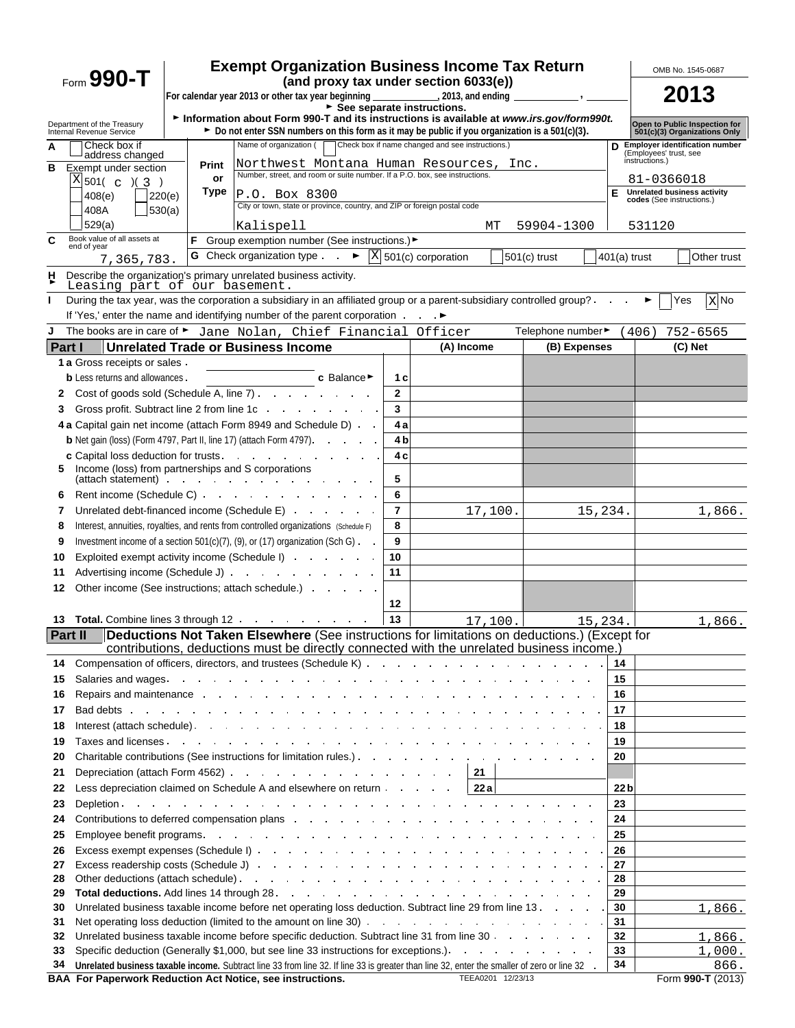|                                                          | <b>Exempt Organization Business Income Tax Return</b><br>$_{\text{Form}}$ 990-T<br>(and proxy tax under section 6033(e))<br>For calendar year 2013 or other tax year beginning ______________________, 2013, and ending<br>$\overline{\phantom{a}}$ , $\overline{\phantom{a}}$ |                                                                                                                                                                                                                                |                |                                   |                  |                 | OMB No. 1545-0687<br>2013                                                                              |  |
|----------------------------------------------------------|--------------------------------------------------------------------------------------------------------------------------------------------------------------------------------------------------------------------------------------------------------------------------------|--------------------------------------------------------------------------------------------------------------------------------------------------------------------------------------------------------------------------------|----------------|-----------------------------------|------------------|-----------------|--------------------------------------------------------------------------------------------------------|--|
|                                                          |                                                                                                                                                                                                                                                                                |                                                                                                                                                                                                                                |                |                                   |                  |                 |                                                                                                        |  |
| Department of the Treasury                               | See separate instructions.<br>Information about Form 990-T and its instructions is available at www.irs.gov/form990t.                                                                                                                                                          |                                                                                                                                                                                                                                |                |                                   |                  |                 |                                                                                                        |  |
| Internal Revenue Service                                 |                                                                                                                                                                                                                                                                                | ► Do not enter SSN numbers on this form as it may be public if you organization is a 501(c)(3).<br>Name of organization (                                                                                                      |                |                                   |                  |                 | Open to Public Inspection for<br>501(c)(3) Organizations Only<br><b>Employer identification number</b> |  |
| Check box if<br>A<br>address changed                     | Check box if name changed and see instructions.)<br>(Employees' trust, see<br>instructions.)                                                                                                                                                                                   |                                                                                                                                                                                                                                |                |                                   |                  |                 |                                                                                                        |  |
| B<br>Exempt under section                                | Print<br>or                                                                                                                                                                                                                                                                    | Northwest Montana Human Resources,<br>Number, street, and room or suite number. If a P.O. box, see instructions.                                                                                                               |                |                                   | Inc.             |                 |                                                                                                        |  |
| $X _{501( c )(\frac{3}{2} )}$                            | Type                                                                                                                                                                                                                                                                           |                                                                                                                                                                                                                                |                |                                   |                  | Е               | 81-0366018<br><b>Unrelated business activity</b>                                                       |  |
| 408(e)                                                   | 220(e)                                                                                                                                                                                                                                                                         | P.O. Box 8300<br>City or town, state or province, country, and ZIP or foreign postal code                                                                                                                                      |                |                                   |                  |                 | codes (See instructions.)                                                                              |  |
| 408A<br>529(a)                                           | 530(a)                                                                                                                                                                                                                                                                         |                                                                                                                                                                                                                                |                |                                   |                  |                 |                                                                                                        |  |
| Book value of all assets at<br>C                         |                                                                                                                                                                                                                                                                                | Kalispell<br>Group exemption number (See instructions.) ►                                                                                                                                                                      |                | MТ                                | 59904-1300       |                 | 531120                                                                                                 |  |
| end of year                                              |                                                                                                                                                                                                                                                                                | G Check organization type $\blacktriangleright$                                                                                                                                                                                |                | $\overline{X}$ 501(c) corporation | $501(c)$ trust   | $401(a)$ trust  | Other trust                                                                                            |  |
| 7,365,783.                                               |                                                                                                                                                                                                                                                                                |                                                                                                                                                                                                                                |                |                                   |                  |                 |                                                                                                        |  |
| H<br>Leasing part of our basement.                       |                                                                                                                                                                                                                                                                                | Describe the organization's primary unrelated business activity.                                                                                                                                                               |                |                                   |                  |                 |                                                                                                        |  |
| L                                                        |                                                                                                                                                                                                                                                                                | During the tax year, was the corporation a subsidiary in an affiliated group or a parent-subsidiary controlled group?                                                                                                          |                |                                   |                  |                 | Yes<br>X No<br>►                                                                                       |  |
|                                                          |                                                                                                                                                                                                                                                                                | If 'Yes,' enter the name and identifying number of the parent corporation                                                                                                                                                      |                |                                   |                  |                 |                                                                                                        |  |
| J                                                        |                                                                                                                                                                                                                                                                                | The books are in care of ► Jane Nolan, Chief Financial Officer                                                                                                                                                                 |                |                                   | Telephone number |                 | (406)<br>$752 - 6565$                                                                                  |  |
| <b>Part I</b>                                            |                                                                                                                                                                                                                                                                                | <b>Unrelated Trade or Business Income</b>                                                                                                                                                                                      |                | (A) Income                        | (B) Expenses     |                 | (C) Net                                                                                                |  |
| 1 a Gross receipts or sales.                             |                                                                                                                                                                                                                                                                                |                                                                                                                                                                                                                                |                |                                   |                  |                 |                                                                                                        |  |
| <b>b</b> Less returns and allowances.                    |                                                                                                                                                                                                                                                                                | c Balance▶                                                                                                                                                                                                                     | 1 c            |                                   |                  |                 |                                                                                                        |  |
| 2                                                        |                                                                                                                                                                                                                                                                                | Cost of goods sold (Schedule A, line 7)                                                                                                                                                                                        | $\overline{2}$ |                                   |                  |                 |                                                                                                        |  |
| 3                                                        |                                                                                                                                                                                                                                                                                | Gross profit. Subtract line 2 from line 1c and a series of the series of the series of the series of the series of the series of the series of the series of the series of the series of the series of the series of the serie | 3              |                                   |                  |                 |                                                                                                        |  |
|                                                          |                                                                                                                                                                                                                                                                                | 4 a Capital gain net income (attach Form 8949 and Schedule D)                                                                                                                                                                  | 4 a            |                                   |                  |                 |                                                                                                        |  |
|                                                          |                                                                                                                                                                                                                                                                                | <b>b</b> Net gain (loss) (Form 4797, Part II, line 17) (attach Form 4797).                                                                                                                                                     | 4 <sub>b</sub> |                                   |                  |                 |                                                                                                        |  |
|                                                          |                                                                                                                                                                                                                                                                                | c Capital loss deduction for trusts.                                                                                                                                                                                           | 4 c            |                                   |                  |                 |                                                                                                        |  |
| Income (loss) from partnerships and S corporations<br>5. |                                                                                                                                                                                                                                                                                | (attach statement) and the contract of the contract of the contract of the contract of the contract of the contract of the contract of the contract of the contract of the contract of the contract of the contract of the con | 5              |                                   |                  |                 |                                                                                                        |  |
| 6                                                        |                                                                                                                                                                                                                                                                                | Rent income (Schedule C)                                                                                                                                                                                                       | 6              |                                   |                  |                 |                                                                                                        |  |
| 7                                                        |                                                                                                                                                                                                                                                                                | Unrelated debt-financed income (Schedule E)                                                                                                                                                                                    | $\overline{7}$ | 17,100.                           | 15,234.          |                 | 1,866.                                                                                                 |  |
| 8                                                        |                                                                                                                                                                                                                                                                                | Interest, annuities, royalties, and rents from controlled organizations (Schedule F)                                                                                                                                           | 8              |                                   |                  |                 |                                                                                                        |  |
| 9                                                        |                                                                                                                                                                                                                                                                                | Investment income of a section $501(c)(7)$ , (9), or (17) organization (Sch G) $\cdot$                                                                                                                                         | 9              |                                   |                  |                 |                                                                                                        |  |
| 10                                                       |                                                                                                                                                                                                                                                                                | Exploited exempt activity income (Schedule I)                                                                                                                                                                                  | 10             |                                   |                  |                 |                                                                                                        |  |
| 11                                                       |                                                                                                                                                                                                                                                                                | Advertising income (Schedule J)                                                                                                                                                                                                | 11             |                                   |                  |                 |                                                                                                        |  |
| 12                                                       |                                                                                                                                                                                                                                                                                | Other income (See instructions; attach schedule.)                                                                                                                                                                              |                |                                   |                  |                 |                                                                                                        |  |
|                                                          |                                                                                                                                                                                                                                                                                |                                                                                                                                                                                                                                | 12             |                                   |                  |                 |                                                                                                        |  |
|                                                          |                                                                                                                                                                                                                                                                                | 13 Total. Combine lines 3 through 12                                                                                                                                                                                           | 13             | 17,100.                           | 15, 234.         |                 | 1,866.                                                                                                 |  |
| Part II                                                  |                                                                                                                                                                                                                                                                                | Deductions Not Taken Elsewhere (See instructions for limitations on deductions.) (Except for                                                                                                                                   |                |                                   |                  |                 |                                                                                                        |  |
|                                                          |                                                                                                                                                                                                                                                                                | contributions, deductions must be directly connected with the unrelated business income.)                                                                                                                                      |                |                                   |                  |                 |                                                                                                        |  |
| 14                                                       |                                                                                                                                                                                                                                                                                |                                                                                                                                                                                                                                |                |                                   |                  | 14              |                                                                                                        |  |
| 15                                                       |                                                                                                                                                                                                                                                                                |                                                                                                                                                                                                                                |                |                                   |                  | 15              |                                                                                                        |  |
| 16                                                       |                                                                                                                                                                                                                                                                                | Repairs and maintenance by a contract of the contract of the contract of the contract of the contract of the contract of the contract of the contract of the contract of the contract of the contract of the contract of the c |                |                                   |                  | 16              |                                                                                                        |  |
| 17                                                       |                                                                                                                                                                                                                                                                                | Bad debts in the contract of the contract of the contract of the contract of the contract of the contract of the contract of the contract of the contract of the contract of the contract of the contract of the contract of t |                |                                   |                  | 17              |                                                                                                        |  |
| 18                                                       |                                                                                                                                                                                                                                                                                |                                                                                                                                                                                                                                |                |                                   |                  | 18              |                                                                                                        |  |
| 19                                                       |                                                                                                                                                                                                                                                                                |                                                                                                                                                                                                                                |                |                                   |                  | 19              |                                                                                                        |  |
| 20                                                       |                                                                                                                                                                                                                                                                                |                                                                                                                                                                                                                                |                |                                   |                  | 20              |                                                                                                        |  |
| 21                                                       |                                                                                                                                                                                                                                                                                | Depreciation (attach Form 4562)                                                                                                                                                                                                |                | 21                                |                  |                 |                                                                                                        |  |
| 22                                                       |                                                                                                                                                                                                                                                                                | Less depreciation claimed on Schedule A and elsewhere on return                                                                                                                                                                |                | 22a                               |                  | 22 <sub>b</sub> |                                                                                                        |  |
| 23                                                       | Contributions to deferred compensation plans and a series and a series of the contributions to deferred compensation plans                                                                                                                                                     |                                                                                                                                                                                                                                |                |                                   |                  | 23              |                                                                                                        |  |
| 24                                                       |                                                                                                                                                                                                                                                                                |                                                                                                                                                                                                                                |                |                                   |                  | 24              |                                                                                                        |  |
| 25                                                       |                                                                                                                                                                                                                                                                                |                                                                                                                                                                                                                                |                |                                   |                  | 25<br>26        |                                                                                                        |  |
| 26                                                       |                                                                                                                                                                                                                                                                                |                                                                                                                                                                                                                                |                |                                   |                  |                 |                                                                                                        |  |
| 28                                                       | 27<br>27<br>28                                                                                                                                                                                                                                                                 |                                                                                                                                                                                                                                |                |                                   |                  |                 |                                                                                                        |  |
| 29                                                       | Other deductions (attach schedule) expansion and the contract of the contract of the contract of the contract of the contract of the contract of the contract of the contract of the contract of the contract of the contract                                                  |                                                                                                                                                                                                                                |                |                                   |                  |                 |                                                                                                        |  |
| 30                                                       |                                                                                                                                                                                                                                                                                | Unrelated business taxable income before net operating loss deduction. Subtract line 29 from line 13                                                                                                                           |                |                                   |                  | 29<br>30        | 1,866.                                                                                                 |  |
| 31                                                       |                                                                                                                                                                                                                                                                                |                                                                                                                                                                                                                                |                |                                   |                  | 31              |                                                                                                        |  |
| 32                                                       |                                                                                                                                                                                                                                                                                | Unrelated business taxable income before specific deduction. Subtract line 31 from line 30                                                                                                                                     |                |                                   |                  | 32              | 1,866.                                                                                                 |  |
| 33                                                       |                                                                                                                                                                                                                                                                                |                                                                                                                                                                                                                                |                |                                   |                  | 33              | 1,000.                                                                                                 |  |
| 34                                                       |                                                                                                                                                                                                                                                                                | Unrelated business taxable income. Subtract line 33 from line 32. If line 33 is greater than line 32, enter the smaller of zero or line 32 .                                                                                   |                |                                   |                  | 34              | 866.                                                                                                   |  |
|                                                          |                                                                                                                                                                                                                                                                                | BAA For Paperwork Reduction Act Notice, see instructions.                                                                                                                                                                      |                | TEEA0201 12/23/13                 |                  |                 | Form 990-T (2013)                                                                                      |  |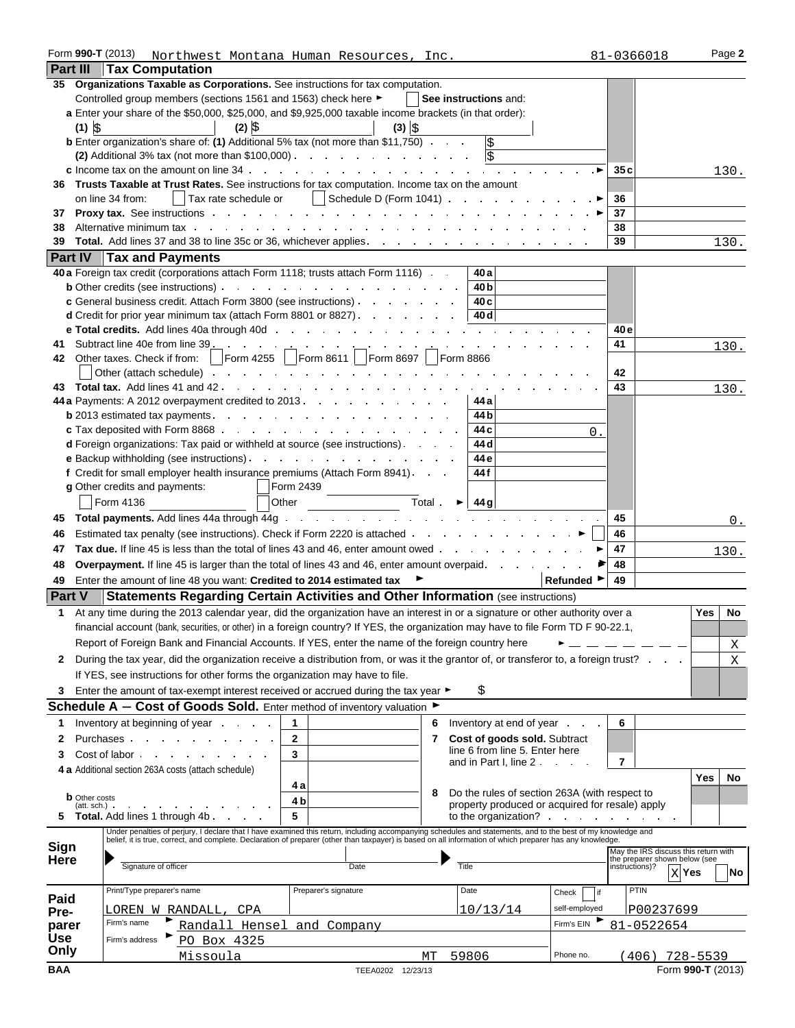| Form 990-T (2013)    |                                                                                                                                                                                                                                                                                                                           | Northwest Montana Human Resources, Inc. |                                   |                                                        | 81-0366018                                      | Page 2            |  |
|----------------------|---------------------------------------------------------------------------------------------------------------------------------------------------------------------------------------------------------------------------------------------------------------------------------------------------------------------------|-----------------------------------------|-----------------------------------|--------------------------------------------------------|-------------------------------------------------|-------------------|--|
| <b>Part III</b>      | <b>Tax Computation</b>                                                                                                                                                                                                                                                                                                    |                                         |                                   |                                                        |                                                 |                   |  |
|                      | 35 Organizations Taxable as Corporations. See instructions for tax computation.                                                                                                                                                                                                                                           |                                         |                                   |                                                        |                                                 |                   |  |
|                      | Controlled group members (sections 1561 and 1563) check here ►                                                                                                                                                                                                                                                            |                                         | See instructions and:             |                                                        |                                                 |                   |  |
|                      | a Enter your share of the \$50,000, \$25,000, and \$9,925,000 taxable income brackets (in that order):                                                                                                                                                                                                                    |                                         |                                   |                                                        |                                                 |                   |  |
| $(1)$ $\frac{1}{2}$  | $(2)$ \$                                                                                                                                                                                                                                                                                                                  | $(3)$ $\left  \right\rangle$            |                                   |                                                        |                                                 |                   |  |
|                      | <b>b</b> Enter organization's share of: (1) Additional 5% tax (not more than \$11,750)                                                                                                                                                                                                                                    |                                         | \$                                |                                                        |                                                 |                   |  |
|                      | (2) Additional 3% tax (not more than $$100,000$ )                                                                                                                                                                                                                                                                         |                                         | <b>S</b>                          |                                                        |                                                 |                   |  |
|                      | <b>c</b> Income tax on the amount on line $34$ .                                                                                                                                                                                                                                                                          |                                         |                                   |                                                        | 35 c                                            | 130.              |  |
| 36                   | Trusts Taxable at Trust Rates. See instructions for tax computation. Income tax on the amount                                                                                                                                                                                                                             |                                         |                                   |                                                        |                                                 |                   |  |
|                      | Tax rate schedule or<br>on line 34 from:                                                                                                                                                                                                                                                                                  | │ Schedule D (Form 1041) ▶              |                                   |                                                        | 36                                              |                   |  |
| 37                   |                                                                                                                                                                                                                                                                                                                           |                                         |                                   |                                                        | 37                                              |                   |  |
| 38                   | Alternative minimum tax experience and the set of the set of the set of the set of the set of the set of the set of the set of the set of the set of the set of the set of the set of the set of the set of the set of the set                                                                                            |                                         |                                   |                                                        | 38                                              |                   |  |
| 39                   |                                                                                                                                                                                                                                                                                                                           |                                         |                                   |                                                        | 39                                              | 130.              |  |
| Part IV              | <b>Tax and Payments</b>                                                                                                                                                                                                                                                                                                   |                                         |                                   |                                                        |                                                 |                   |  |
|                      | 40 a Foreign tax credit (corporations attach Form 1118; trusts attach Form 1116)                                                                                                                                                                                                                                          |                                         | 40 a                              |                                                        |                                                 |                   |  |
|                      |                                                                                                                                                                                                                                                                                                                           |                                         | 40 b                              |                                                        |                                                 |                   |  |
|                      | c General business credit. Attach Form 3800 (see instructions)                                                                                                                                                                                                                                                            |                                         | 40 <sub>c</sub>                   |                                                        |                                                 |                   |  |
|                      | <b>d</b> Credit for prior year minimum tax (attach Form 8801 or 8827)                                                                                                                                                                                                                                                     |                                         | 40 d                              |                                                        |                                                 |                   |  |
|                      | <b>e Total credits.</b> Add lines 40a through 40d <b>contained a set of the container of the Total Credits.</b>                                                                                                                                                                                                           |                                         |                                   |                                                        | 40 e                                            |                   |  |
| 41                   | Subtract line 40e from line $39$ $\ldots$ $\ldots$ $\ldots$ $\ldots$ $\ldots$ $\ldots$ $\ldots$ $\ldots$ $\ldots$ $\ldots$                                                                                                                                                                                                |                                         |                                   |                                                        | 41                                              | 130.              |  |
| 42                   | Other taxes. Check if from:   Form 4255   Form 8611   Form 8697   Form 8866                                                                                                                                                                                                                                               |                                         |                                   |                                                        |                                                 |                   |  |
|                      | Other (attach schedule) experience and the contract of the contract of the contract of the contract of the contract of the contract of the contract of the contract of the contract of the contract of the contract of the con                                                                                            |                                         |                                   |                                                        | 42                                              |                   |  |
| 43                   |                                                                                                                                                                                                                                                                                                                           |                                         |                                   |                                                        | 43                                              | 130.              |  |
|                      | 44 a Payments: A 2012 overpayment credited to 2013.                                                                                                                                                                                                                                                                       |                                         | 44 a l                            |                                                        |                                                 |                   |  |
|                      | <b>b</b> 2013 estimated tax payments example and the set of the set of the set of the set of the set of the set of the set of the set of the set of the set of the set of the set of the set of the set of the set of the set of th                                                                                       |                                         | 44 b                              |                                                        |                                                 |                   |  |
|                      | <b>c</b> Tax deposited with Form 8868 and the state of the state of the state of the state of the state of the state of the state of the state of the state of the state of the state of the state of the state of the state of the                                                                                       |                                         | 44 c                              | 0.                                                     |                                                 |                   |  |
|                      | <b>d</b> Foreign organizations: Tax paid or withheld at source (see instructions).                                                                                                                                                                                                                                        |                                         | 44 d                              |                                                        |                                                 |                   |  |
|                      | e Backup withholding (see instructions).                                                                                                                                                                                                                                                                                  |                                         | 44 e                              |                                                        |                                                 |                   |  |
|                      | f Credit for small employer health insurance premiums (Attach Form 8941).                                                                                                                                                                                                                                                 |                                         | 44 f                              |                                                        |                                                 |                   |  |
|                      | g Other credits and payments:                                                                                                                                                                                                                                                                                             | Form 2439                               |                                   |                                                        |                                                 |                   |  |
|                      | Form 4136                                                                                                                                                                                                                                                                                                                 | Other<br>Total.                         | $\blacktriangleright$ 44g         |                                                        |                                                 |                   |  |
| 45                   |                                                                                                                                                                                                                                                                                                                           |                                         |                                   |                                                        | 45                                              | $0_{.}$           |  |
| 46                   | Estimated tax penalty (see instructions). Check if Form 2220 is attached a manufactured tax penalty (see instructions). Check if Form 2220 is attached                                                                                                                                                                    |                                         |                                   |                                                        | 46                                              |                   |  |
| 47                   |                                                                                                                                                                                                                                                                                                                           |                                         |                                   |                                                        | 47                                              |                   |  |
|                      | Tax due. If line 45 is less than the total of lines 43 and 46, enter amount owed<br>130.<br><b>Overpayment.</b> If line 45 is larger than the total of lines 43 and 46, enter amount overpaid.<br>48                                                                                                                      |                                         |                                   |                                                        |                                                 |                   |  |
| 48                   |                                                                                                                                                                                                                                                                                                                           |                                         |                                   |                                                        |                                                 |                   |  |
| 49                   | Enter the amount of line 48 you want: Credited to 2014 estimated tax                                                                                                                                                                                                                                                      |                                         |                                   | Refunded ►                                             | 49                                              |                   |  |
| <b>Part V</b>        | <b>Statements Regarding Certain Activities and Other Information (see instructions)</b>                                                                                                                                                                                                                                   |                                         |                                   |                                                        |                                                 |                   |  |
| 1                    | At any time during the 2013 calendar year, did the organization have an interest in or a signature or other authority over a                                                                                                                                                                                              |                                         |                                   |                                                        |                                                 | Yes<br><b>No</b>  |  |
|                      | financial account (bank, securities, or other) in a foreign country? If YES, the organization may have to file Form TD F 90-22.1                                                                                                                                                                                          |                                         |                                   |                                                        |                                                 |                   |  |
|                      | Report of Foreign Bank and Financial Accounts. If YES, enter the name of the foreign country here                                                                                                                                                                                                                         |                                         |                                   |                                                        |                                                 | Χ                 |  |
| 2                    | During the tax year, did the organization receive a distribution from, or was it the grantor of, or transferor to, a foreign trust?                                                                                                                                                                                       |                                         |                                   |                                                        |                                                 | X                 |  |
|                      | If YES, see instructions for other forms the organization may have to file.                                                                                                                                                                                                                                               |                                         |                                   |                                                        |                                                 |                   |  |
| 3                    | Enter the amount of tax-exempt interest received or accrued during the tax year ▶                                                                                                                                                                                                                                         |                                         | \$                                |                                                        |                                                 |                   |  |
|                      | Schedule A - Cost of Goods Sold. Enter method of inventory valuation ▶                                                                                                                                                                                                                                                    |                                         |                                   |                                                        |                                                 |                   |  |
| 1                    | Inventory at beginning of year                                                                                                                                                                                                                                                                                            | 1                                       | 6                                 | Inventory at end of year                               | 6                                               |                   |  |
| 2                    | Purchases and the contract of the property of the contract of the contract of the contract of the contract of the contract of the contract of the contract of the contract of the contract of the contract of the contract of                                                                                             | $\mathbf{2}$                            | Cost of goods sold. Subtract<br>7 |                                                        |                                                 |                   |  |
|                      | Cost of labor the cost of labor                                                                                                                                                                                                                                                                                           |                                         | line 6 from line 5. Enter here    |                                                        |                                                 |                   |  |
| 3                    |                                                                                                                                                                                                                                                                                                                           | 3                                       | and in Part I, line 2.            |                                                        | $\overline{7}$                                  |                   |  |
|                      | 4 a Additional section 263A costs (attach schedule)                                                                                                                                                                                                                                                                       |                                         |                                   |                                                        |                                                 | Yes<br>No         |  |
| <b>b</b> Other costs |                                                                                                                                                                                                                                                                                                                           | 4 a                                     | 8                                 | Do the rules of section 263A (with respect to          |                                                 |                   |  |
|                      | (att. sch.) .                                                                                                                                                                                                                                                                                                             | 4 b                                     |                                   | property produced or acquired for resale) apply        |                                                 |                   |  |
| 5                    | <b>Total.</b> Add lines 1 through 4b                                                                                                                                                                                                                                                                                      | 5                                       |                                   | to the organization? The contract of the organization? |                                                 |                   |  |
|                      | Under penalties of perjury, I declare that I have examined this return, including accompanying schedules and statements, and to the best of my knowledge and<br>belief, it is true, correct, and complete. Declaration of preparer (other than taxpayer) is based on all information of which preparer has any knowledge. |                                         |                                   |                                                        |                                                 |                   |  |
| Sign                 |                                                                                                                                                                                                                                                                                                                           |                                         |                                   |                                                        | May the IRS discuss this return with            |                   |  |
| <b>Here</b>          | Signature of officer                                                                                                                                                                                                                                                                                                      | Date                                    | Title                             |                                                        | the preparer shown below (see<br>instructions)? |                   |  |
|                      |                                                                                                                                                                                                                                                                                                                           |                                         |                                   |                                                        |                                                 | $X$ Yes<br>No     |  |
| Paid                 | Print/Type preparer's name                                                                                                                                                                                                                                                                                                | Preparer's signature                    | Date                              | Check<br>lif                                           | PTIN                                            |                   |  |
| Pre-                 | LOREN W RANDALL, CPA                                                                                                                                                                                                                                                                                                      |                                         | 10/13/14                          | self-employed                                          | P00237699                                       |                   |  |
| parer                | Firm's name<br>Randall Hensel and Company                                                                                                                                                                                                                                                                                 |                                         |                                   | Firm's EIN                                             | 81-0522654                                      |                   |  |
| <b>Use</b>           | Firm's address<br>PO Box 4325                                                                                                                                                                                                                                                                                             |                                         |                                   |                                                        |                                                 |                   |  |
| Only                 | Missoula                                                                                                                                                                                                                                                                                                                  | MΤ                                      | 59806                             | Phone no.                                              | (406) 728-5539                                  |                   |  |
| <b>BAA</b>           |                                                                                                                                                                                                                                                                                                                           | TEEA0202 12/23/13                       |                                   |                                                        |                                                 | Form 990-T (2013) |  |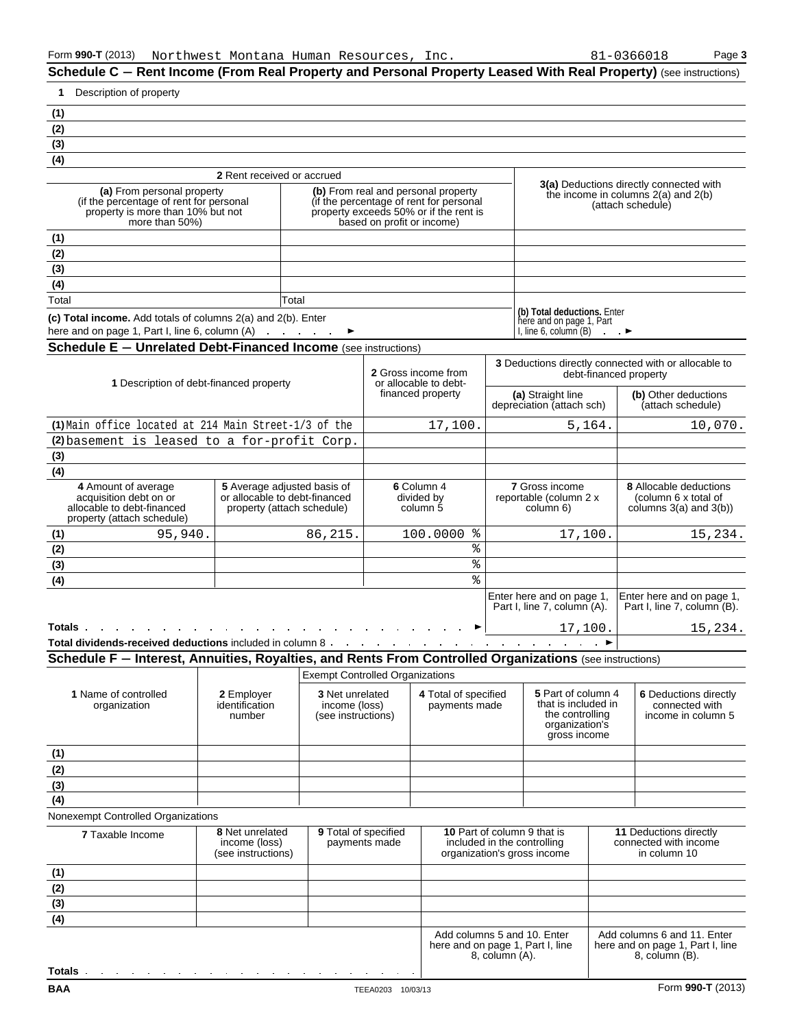**Schedule C – Rent Income (From Real Property and Personal Property Leased With Real Property) (see instructions)** 

|   |     | 81-0366018 |  |
|---|-----|------------|--|
| ٠ | . . |            |  |

| Description of property<br>1                                                                                                                                                                                   |                                                        |                                        |                                                                                                 |                                                                                                                                                        |                                                              |                                                                                                |                                                                                      |                                                                                   |  |
|----------------------------------------------------------------------------------------------------------------------------------------------------------------------------------------------------------------|--------------------------------------------------------|----------------------------------------|-------------------------------------------------------------------------------------------------|--------------------------------------------------------------------------------------------------------------------------------------------------------|--------------------------------------------------------------|------------------------------------------------------------------------------------------------|--------------------------------------------------------------------------------------|-----------------------------------------------------------------------------------|--|
| (1)                                                                                                                                                                                                            |                                                        |                                        |                                                                                                 |                                                                                                                                                        |                                                              |                                                                                                |                                                                                      |                                                                                   |  |
| (2)                                                                                                                                                                                                            |                                                        |                                        |                                                                                                 |                                                                                                                                                        |                                                              |                                                                                                |                                                                                      |                                                                                   |  |
| (3)                                                                                                                                                                                                            |                                                        |                                        |                                                                                                 |                                                                                                                                                        |                                                              |                                                                                                |                                                                                      |                                                                                   |  |
| $\overline{(4)}$                                                                                                                                                                                               |                                                        |                                        |                                                                                                 |                                                                                                                                                        |                                                              |                                                                                                |                                                                                      |                                                                                   |  |
|                                                                                                                                                                                                                | 2 Rent received or accrued                             |                                        |                                                                                                 |                                                                                                                                                        |                                                              |                                                                                                |                                                                                      | <b>3(a)</b> Deductions directly connected with                                    |  |
| (a) From personal property<br>(if the percentage of rent for personal<br>property is more than 10% but not<br>more than 50%)                                                                                   |                                                        |                                        |                                                                                                 | (b) From real and personal property<br>(if the percentage of rent for personal<br>property exceeds 50% or if the rent is<br>based on profit or income) |                                                              | the income in columns $2(a)$ and $2(b)$<br>(attach schedule)                                   |                                                                                      |                                                                                   |  |
| (1)                                                                                                                                                                                                            |                                                        |                                        |                                                                                                 |                                                                                                                                                        |                                                              |                                                                                                |                                                                                      |                                                                                   |  |
| (2)                                                                                                                                                                                                            |                                                        |                                        |                                                                                                 |                                                                                                                                                        |                                                              |                                                                                                |                                                                                      |                                                                                   |  |
| $\overline{(3)}$                                                                                                                                                                                               |                                                        |                                        |                                                                                                 |                                                                                                                                                        |                                                              |                                                                                                |                                                                                      |                                                                                   |  |
| (4)                                                                                                                                                                                                            |                                                        |                                        |                                                                                                 |                                                                                                                                                        |                                                              |                                                                                                |                                                                                      |                                                                                   |  |
| Total                                                                                                                                                                                                          |                                                        | Total                                  |                                                                                                 |                                                                                                                                                        |                                                              | (b) Total deductions. Enter                                                                    |                                                                                      |                                                                                   |  |
| (c) Total income. Add totals of columns 2(a) and 2(b). Enter<br>here and on page 1, Part I, line 6, column (A)                                                                                                 |                                                        |                                        |                                                                                                 |                                                                                                                                                        |                                                              | here and on page 1, Part<br>I, line 6, column $(B)$                                            |                                                                                      |                                                                                   |  |
| <b>Schedule E - Unrelated Debt-Financed Income</b> (see instructions)                                                                                                                                          |                                                        |                                        |                                                                                                 |                                                                                                                                                        |                                                              |                                                                                                |                                                                                      |                                                                                   |  |
| 1 Description of debt-financed property                                                                                                                                                                        |                                                        |                                        |                                                                                                 | 2 Gross income from<br>or allocable to debt-                                                                                                           |                                                              | 3 Deductions directly connected with or allocable to<br>debt-financed property                 |                                                                                      |                                                                                   |  |
|                                                                                                                                                                                                                |                                                        |                                        |                                                                                                 | financed property                                                                                                                                      |                                                              | (a) Straight line<br>depreciation (attach sch)                                                 |                                                                                      | (b) Other deductions<br>(attach schedule)                                         |  |
| (1) Main office located at 214 Main Street-1/3 of the                                                                                                                                                          |                                                        |                                        |                                                                                                 | 17,100.                                                                                                                                                |                                                              |                                                                                                | 5,164.                                                                               | 10,070.                                                                           |  |
| (2) basement is leased to a for-profit Corp.                                                                                                                                                                   |                                                        |                                        |                                                                                                 |                                                                                                                                                        |                                                              |                                                                                                |                                                                                      |                                                                                   |  |
| (3)                                                                                                                                                                                                            |                                                        |                                        |                                                                                                 |                                                                                                                                                        |                                                              |                                                                                                |                                                                                      |                                                                                   |  |
| (4)<br>4 Amount of average<br>5 Average adjusted basis of<br>acquisition debt on or<br>or allocable to debt-financed<br>allocable to debt-financed<br>property (attach schedule)<br>property (attach schedule) |                                                        |                                        | 6 Column 4<br>divided by<br>column 5                                                            |                                                                                                                                                        | <b>7</b> Gross income<br>reportable (column 2 x<br>column 6) |                                                                                                | <b>8</b> Allocable deductions<br>(column 6 x total of<br>columns $3(a)$ and $3(b)$ ) |                                                                                   |  |
| (1)<br>95,940.                                                                                                                                                                                                 |                                                        | 86,215.                                |                                                                                                 | ႜ૾<br>100.0000                                                                                                                                         |                                                              | 17,100.                                                                                        |                                                                                      | 15,234.                                                                           |  |
| (2)                                                                                                                                                                                                            |                                                        |                                        |                                                                                                 | ిక                                                                                                                                                     |                                                              |                                                                                                |                                                                                      |                                                                                   |  |
| (3)                                                                                                                                                                                                            |                                                        |                                        |                                                                                                 | %                                                                                                                                                      |                                                              |                                                                                                |                                                                                      |                                                                                   |  |
| $\overline{(4)}$                                                                                                                                                                                               |                                                        |                                        |                                                                                                 | ş                                                                                                                                                      |                                                              |                                                                                                |                                                                                      |                                                                                   |  |
|                                                                                                                                                                                                                |                                                        |                                        |                                                                                                 |                                                                                                                                                        |                                                              | Enter here and on page 1,<br>Part I, line 7, column (A).                                       |                                                                                      | Enter here and on page 1,<br>Part I, line 7, column (B).                          |  |
| Totals.                                                                                                                                                                                                        |                                                        |                                        |                                                                                                 | ►                                                                                                                                                      |                                                              | 17,100.                                                                                        |                                                                                      | 15,234.                                                                           |  |
|                                                                                                                                                                                                                |                                                        |                                        |                                                                                                 |                                                                                                                                                        |                                                              |                                                                                                |                                                                                      |                                                                                   |  |
| Schedule F - Interest, Annuities, Royalties, and Rents From Controlled Organizations (see instructions)                                                                                                        |                                                        |                                        |                                                                                                 |                                                                                                                                                        |                                                              |                                                                                                |                                                                                      |                                                                                   |  |
|                                                                                                                                                                                                                |                                                        | <b>Exempt Controlled Organizations</b> |                                                                                                 |                                                                                                                                                        |                                                              |                                                                                                |                                                                                      |                                                                                   |  |
| 1 Name of controlled<br>organization                                                                                                                                                                           | 2 Employer<br>identification<br>number                 |                                        | 3 Net unrelated<br>4 Total of specified<br>income (loss)<br>payments made<br>(see instructions) |                                                                                                                                                        |                                                              | 5 Part of column 4<br>that is included in<br>the controlling<br>organization's<br>gross income |                                                                                      | 6 Deductions directly<br>connected with<br>income in column 5                     |  |
| (1)                                                                                                                                                                                                            |                                                        |                                        |                                                                                                 |                                                                                                                                                        |                                                              |                                                                                                |                                                                                      |                                                                                   |  |
| (2)                                                                                                                                                                                                            |                                                        |                                        |                                                                                                 |                                                                                                                                                        |                                                              |                                                                                                |                                                                                      |                                                                                   |  |
| (3)                                                                                                                                                                                                            |                                                        |                                        |                                                                                                 |                                                                                                                                                        |                                                              |                                                                                                |                                                                                      |                                                                                   |  |
| (4)                                                                                                                                                                                                            |                                                        |                                        |                                                                                                 |                                                                                                                                                        |                                                              |                                                                                                |                                                                                      |                                                                                   |  |
| Nonexempt Controlled Organizations                                                                                                                                                                             |                                                        |                                        |                                                                                                 |                                                                                                                                                        |                                                              |                                                                                                |                                                                                      |                                                                                   |  |
| <b>7 Taxable Income</b>                                                                                                                                                                                        | 8 Net unrelated<br>income (loss)<br>(see instructions) | 9 Total of specified                   | payments made                                                                                   |                                                                                                                                                        |                                                              | 10 Part of column 9 that is<br>included in the controlling<br>organization's gross income      |                                                                                      | <b>11 Deductions directly</b><br>connected with income<br>in column 10            |  |
| (1)                                                                                                                                                                                                            |                                                        |                                        |                                                                                                 |                                                                                                                                                        |                                                              |                                                                                                |                                                                                      |                                                                                   |  |
| (2)                                                                                                                                                                                                            |                                                        |                                        |                                                                                                 |                                                                                                                                                        |                                                              |                                                                                                |                                                                                      |                                                                                   |  |
| (3)                                                                                                                                                                                                            |                                                        |                                        |                                                                                                 |                                                                                                                                                        |                                                              |                                                                                                |                                                                                      |                                                                                   |  |
| (4)                                                                                                                                                                                                            |                                                        |                                        |                                                                                                 |                                                                                                                                                        |                                                              |                                                                                                |                                                                                      |                                                                                   |  |
|                                                                                                                                                                                                                |                                                        |                                        |                                                                                                 |                                                                                                                                                        | 8, column (A).                                               | Add columns 5 and 10. Enter<br>here and on page 1, Part I, line                                |                                                                                      | Add columns 6 and 11. Enter<br>here and on page 1, Part I, line<br>8, column (B). |  |
| Totals .<br>the contract of the contract of the contract of the contract of the contract of                                                                                                                    |                                                        |                                        |                                                                                                 |                                                                                                                                                        |                                                              |                                                                                                |                                                                                      |                                                                                   |  |
| <b>BAA</b>                                                                                                                                                                                                     |                                                        |                                        | TEEA0203 10/03/13                                                                               |                                                                                                                                                        |                                                              |                                                                                                |                                                                                      | Form 990-T (2013)                                                                 |  |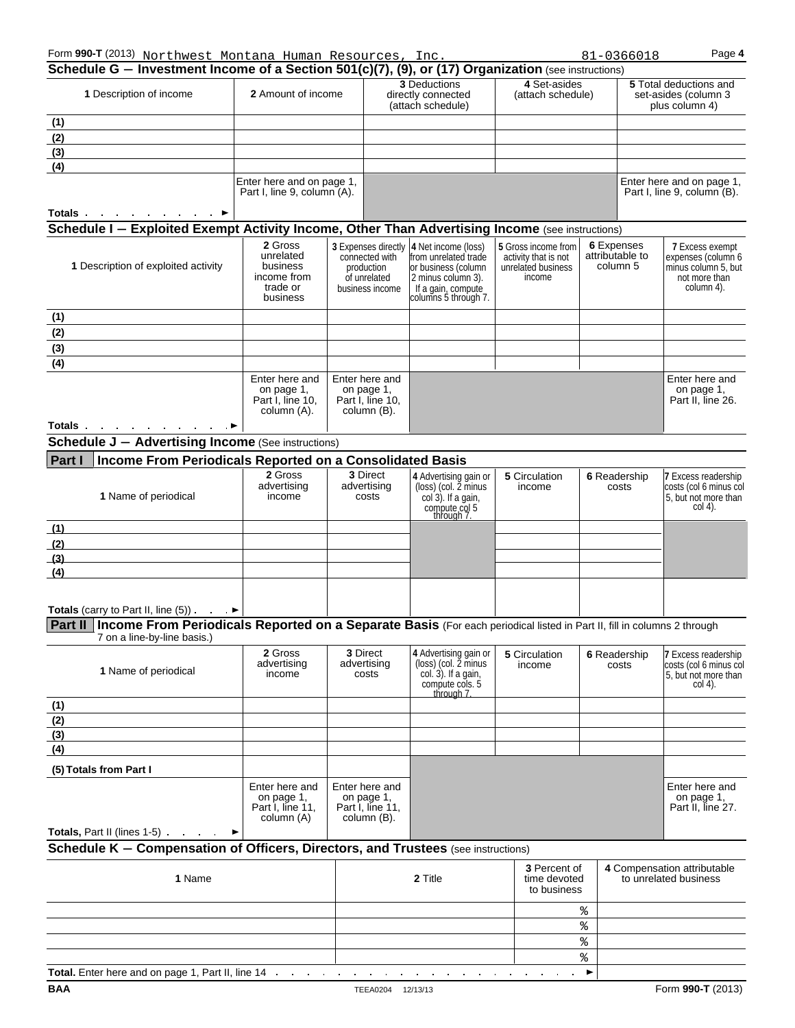| Form 990-T (2013) Northwest Montana Human Resources, Inc.<br>Schedule G - Investment Income of a Section 501(c)(7), (9), or (17) Organization (see instructions)                                                                 |                                                                         |                                                                 |                                                                 |                                                                                                                                                            |                                             |                                                                                                                          | 81-0366018            | Page 4                                                                                             |
|----------------------------------------------------------------------------------------------------------------------------------------------------------------------------------------------------------------------------------|-------------------------------------------------------------------------|-----------------------------------------------------------------|-----------------------------------------------------------------|------------------------------------------------------------------------------------------------------------------------------------------------------------|---------------------------------------------|--------------------------------------------------------------------------------------------------------------------------|-----------------------|----------------------------------------------------------------------------------------------------|
| 1 Description of income                                                                                                                                                                                                          | <b>2</b> Amount of income                                               |                                                                 | <b>3 Deductions</b><br>directly connected<br>(attach schedule)  |                                                                                                                                                            | 4 Set-asides<br>(attach schedule)           |                                                                                                                          |                       | <b>5</b> Total deductions and<br>set-asides (column 3<br>plus column 4)                            |
| (1)                                                                                                                                                                                                                              |                                                                         |                                                                 |                                                                 |                                                                                                                                                            |                                             |                                                                                                                          |                       |                                                                                                    |
| (2)                                                                                                                                                                                                                              |                                                                         |                                                                 |                                                                 |                                                                                                                                                            |                                             |                                                                                                                          |                       |                                                                                                    |
| (3)<br>(4)                                                                                                                                                                                                                       |                                                                         |                                                                 |                                                                 |                                                                                                                                                            |                                             |                                                                                                                          |                       |                                                                                                    |
|                                                                                                                                                                                                                                  | Enter here and on page 1,<br>Part I, line 9, column (A).                |                                                                 |                                                                 |                                                                                                                                                            |                                             |                                                                                                                          |                       | Enter here and on page 1,<br>Part I, line 9, column (B).                                           |
| Totals .<br>the company of the com-                                                                                                                                                                                              |                                                                         |                                                                 |                                                                 |                                                                                                                                                            |                                             |                                                                                                                          |                       |                                                                                                    |
| Schedule I - Exploited Exempt Activity Income, Other Than Advertising Income (see instructions)                                                                                                                                  |                                                                         |                                                                 |                                                                 |                                                                                                                                                            |                                             |                                                                                                                          |                       |                                                                                                    |
| 1 Description of exploited activity                                                                                                                                                                                              | 2 Gross<br>unrelated<br>business<br>income from<br>trade or<br>business | connected with<br>production<br>of unrelated<br>business income |                                                                 | 3 Expenses directly 4 Net income (loss)<br>from unrelated trade<br>or business (column<br>2 minus column 3).<br>If a gain, compute<br>columns 5 through 7. |                                             | 6 Expenses<br>5 Gross income from<br>attributable to<br>activity that is not<br>column 5<br>unrelated business<br>income |                       | <b>7 Excess exempt</b><br>expenses (column 6<br>minus column 5, but<br>not more than<br>column 4). |
| (1)                                                                                                                                                                                                                              |                                                                         |                                                                 |                                                                 |                                                                                                                                                            |                                             |                                                                                                                          |                       |                                                                                                    |
| (2)                                                                                                                                                                                                                              |                                                                         |                                                                 |                                                                 |                                                                                                                                                            |                                             |                                                                                                                          |                       |                                                                                                    |
| (3)                                                                                                                                                                                                                              |                                                                         |                                                                 |                                                                 |                                                                                                                                                            |                                             |                                                                                                                          |                       |                                                                                                    |
| (4)                                                                                                                                                                                                                              |                                                                         |                                                                 |                                                                 |                                                                                                                                                            |                                             |                                                                                                                          |                       |                                                                                                    |
|                                                                                                                                                                                                                                  | Enter here and<br>on page 1,<br>Part I. line 10.<br>column (A).         |                                                                 | Enter here and<br>on page 1,<br>Part I, line 10,<br>column (B). |                                                                                                                                                            |                                             |                                                                                                                          |                       | Enter here and<br>on page 1,<br>Part II, line 26.                                                  |
| Totals <b>Exercise State In the State of State Inc.</b>                                                                                                                                                                          |                                                                         |                                                                 |                                                                 |                                                                                                                                                            |                                             |                                                                                                                          |                       |                                                                                                    |
| <b>Schedule J - Advertising Income (See instructions)</b>                                                                                                                                                                        |                                                                         |                                                                 |                                                                 |                                                                                                                                                            |                                             |                                                                                                                          |                       |                                                                                                    |
| <b>Part I</b><br>Income From Periodicals Reported on a Consolidated Basis                                                                                                                                                        |                                                                         |                                                                 |                                                                 |                                                                                                                                                            |                                             |                                                                                                                          |                       |                                                                                                    |
| 1 Name of periodical                                                                                                                                                                                                             | 2 Gross<br>advertising<br>income                                        | 3 Direct<br>advertising<br>costs                                |                                                                 | 4 Advertising gain or<br>(loss) (col. 2 minus<br>col 3). If a gain,<br>compute col 5<br>through 7.                                                         | 5 Circulation<br>income                     |                                                                                                                          | 6 Readership<br>costs | 7 Excess readership<br>costs (col 6 minus col<br>5, but not more than<br>$col(4)$ .                |
| (1)                                                                                                                                                                                                                              |                                                                         |                                                                 |                                                                 |                                                                                                                                                            |                                             |                                                                                                                          |                       |                                                                                                    |
| (2)                                                                                                                                                                                                                              |                                                                         |                                                                 |                                                                 |                                                                                                                                                            |                                             |                                                                                                                          |                       |                                                                                                    |
| (3)                                                                                                                                                                                                                              |                                                                         |                                                                 |                                                                 |                                                                                                                                                            |                                             |                                                                                                                          |                       |                                                                                                    |
| (4)                                                                                                                                                                                                                              |                                                                         |                                                                 |                                                                 |                                                                                                                                                            |                                             |                                                                                                                          |                       |                                                                                                    |
|                                                                                                                                                                                                                                  |                                                                         |                                                                 |                                                                 |                                                                                                                                                            |                                             |                                                                                                                          |                       |                                                                                                    |
| <b>Totals</b> (carry to Part II, line $(5)$ ) $\longrightarrow$<br>Part II Income From Periodicals Reported on a Separate Basis (For each periodical listed in Part II, fill in columns 2 through<br>7 on a line-by-line basis.) |                                                                         |                                                                 |                                                                 |                                                                                                                                                            |                                             |                                                                                                                          |                       |                                                                                                    |
| 1 Name of periodical                                                                                                                                                                                                             | 2 Gross<br>advertising<br>income                                        |                                                                 | 3 Direct<br>advertising<br>costs                                | 4 Advertising gain or<br>(loss) (col. 2 minus<br>col. 3). If a gain,<br>compute cols. 5<br>through 7                                                       | 5 Circulation<br>income                     |                                                                                                                          | 6 Readership<br>costs | 7 Excess readership<br>costs (col 6 minus col<br>5, but not more than<br>$col(4)$ .                |
| (1)                                                                                                                                                                                                                              |                                                                         |                                                                 |                                                                 |                                                                                                                                                            |                                             |                                                                                                                          |                       |                                                                                                    |
| (2)                                                                                                                                                                                                                              |                                                                         |                                                                 |                                                                 |                                                                                                                                                            |                                             |                                                                                                                          |                       |                                                                                                    |
| (3)                                                                                                                                                                                                                              |                                                                         |                                                                 |                                                                 |                                                                                                                                                            |                                             |                                                                                                                          |                       |                                                                                                    |
| (4)                                                                                                                                                                                                                              |                                                                         |                                                                 |                                                                 |                                                                                                                                                            |                                             |                                                                                                                          |                       |                                                                                                    |
| (5) Totals from Part I                                                                                                                                                                                                           | Enter here and<br>on page 1,<br>Part I, line 11,<br>column (A)          |                                                                 | Enter here and<br>on page 1,<br>Part I, line 11,<br>column (B). |                                                                                                                                                            |                                             |                                                                                                                          |                       | Enter here and<br>on page 1,<br>Part II, line 27.                                                  |
| Totals, Part II (lines 1-5) → →                                                                                                                                                                                                  |                                                                         |                                                                 |                                                                 |                                                                                                                                                            |                                             |                                                                                                                          |                       |                                                                                                    |
| Schedule K - Compensation of Officers, Directors, and Trustees (see instructions)                                                                                                                                                |                                                                         |                                                                 |                                                                 |                                                                                                                                                            |                                             |                                                                                                                          |                       |                                                                                                    |
| 1 Name                                                                                                                                                                                                                           |                                                                         |                                                                 | 2 Title                                                         |                                                                                                                                                            | 3 Percent of<br>time devoted<br>to business |                                                                                                                          |                       | 4 Compensation attributable<br>to unrelated business                                               |
|                                                                                                                                                                                                                                  |                                                                         |                                                                 |                                                                 |                                                                                                                                                            |                                             | %                                                                                                                        |                       |                                                                                                    |
|                                                                                                                                                                                                                                  |                                                                         |                                                                 |                                                                 |                                                                                                                                                            |                                             | ۶,                                                                                                                       |                       |                                                                                                    |
|                                                                                                                                                                                                                                  |                                                                         |                                                                 |                                                                 |                                                                                                                                                            |                                             | ۶,                                                                                                                       |                       |                                                                                                    |
| Total Enter here and on nane 1 Part II line 14                                                                                                                                                                                   |                                                                         |                                                                 |                                                                 |                                                                                                                                                            |                                             | ۶,                                                                                                                       |                       |                                                                                                    |